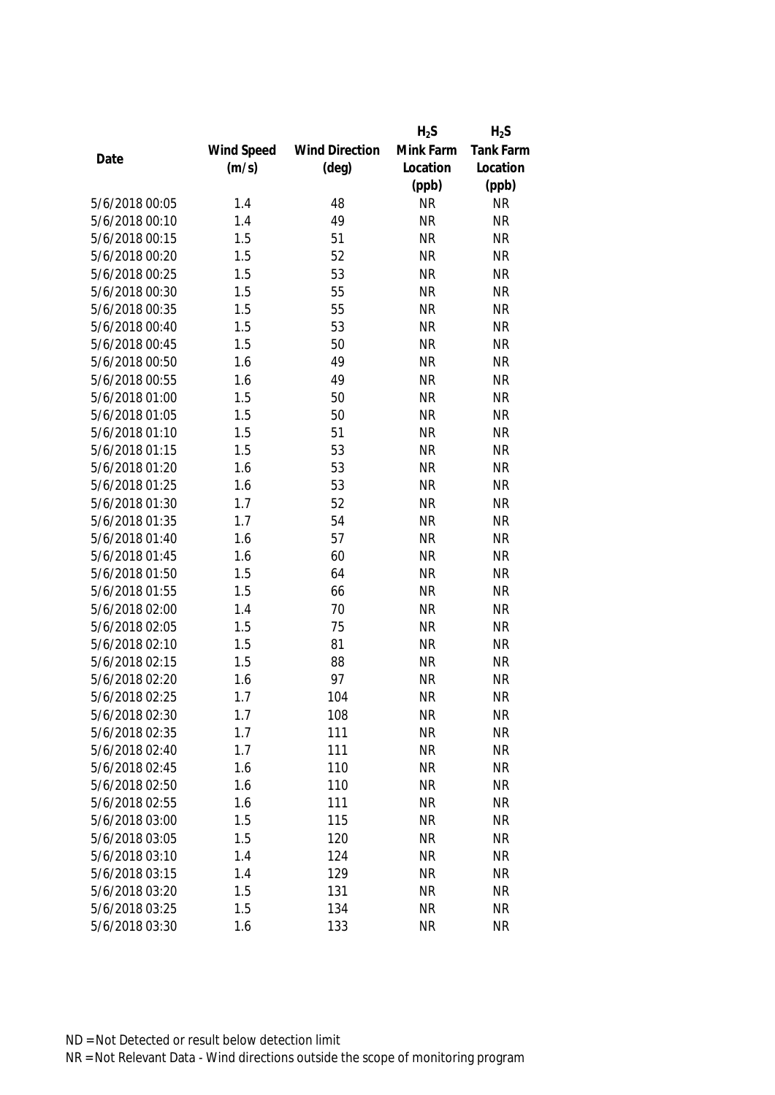|                |            |                       | $H_2S$    | $H_2S$    |
|----------------|------------|-----------------------|-----------|-----------|
|                | Wind Speed | <b>Wind Direction</b> | Mink Farm | Tank Farm |
| Date           | (m/s)      | $(\text{deg})$        | Location  | Location  |
|                |            |                       | (ppb)     | (ppb)     |
| 5/6/2018 00:05 | 1.4        | 48                    | <b>NR</b> | <b>NR</b> |
| 5/6/2018 00:10 | 1.4        | 49                    | <b>NR</b> | <b>NR</b> |
| 5/6/2018 00:15 | 1.5        | 51                    | <b>NR</b> | <b>NR</b> |
| 5/6/2018 00:20 | 1.5        | 52                    | <b>NR</b> | <b>NR</b> |
| 5/6/2018 00:25 | 1.5        | 53                    | <b>NR</b> | <b>NR</b> |
| 5/6/2018 00:30 | 1.5        | 55                    | <b>NR</b> | <b>NR</b> |
| 5/6/2018 00:35 | 1.5        | 55                    | <b>NR</b> | <b>NR</b> |
| 5/6/2018 00:40 | 1.5        | 53                    | <b>NR</b> | <b>NR</b> |
| 5/6/2018 00:45 | 1.5        | 50                    | <b>NR</b> | <b>NR</b> |
| 5/6/2018 00:50 | 1.6        | 49                    | <b>NR</b> | <b>NR</b> |
| 5/6/2018 00:55 | 1.6        | 49                    | <b>NR</b> | <b>NR</b> |
| 5/6/2018 01:00 | 1.5        | 50                    | <b>NR</b> | <b>NR</b> |
| 5/6/2018 01:05 | 1.5        | 50                    | <b>NR</b> | <b>NR</b> |
| 5/6/2018 01:10 | 1.5        | 51                    | <b>NR</b> | <b>NR</b> |
| 5/6/2018 01:15 | 1.5        | 53                    | <b>NR</b> | <b>NR</b> |
| 5/6/2018 01:20 | 1.6        | 53                    | <b>NR</b> | <b>NR</b> |
| 5/6/2018 01:25 | 1.6        | 53                    | <b>NR</b> | <b>NR</b> |
| 5/6/2018 01:30 | 1.7        | 52                    | <b>NR</b> | <b>NR</b> |
| 5/6/2018 01:35 | 1.7        | 54                    | <b>NR</b> | <b>NR</b> |
| 5/6/2018 01:40 | 1.6        | 57                    | <b>NR</b> | <b>NR</b> |
| 5/6/2018 01:45 | 1.6        | 60                    | <b>NR</b> | <b>NR</b> |
| 5/6/2018 01:50 | 1.5        | 64                    | <b>NR</b> | <b>NR</b> |
| 5/6/2018 01:55 | 1.5        | 66                    | <b>NR</b> | <b>NR</b> |
| 5/6/2018 02:00 | 1.4        | 70                    | <b>NR</b> | <b>NR</b> |
| 5/6/2018 02:05 | 1.5        | 75                    | <b>NR</b> | <b>NR</b> |
| 5/6/2018 02:10 | 1.5        | 81                    | <b>NR</b> | <b>NR</b> |
| 5/6/2018 02:15 | 1.5        | 88                    | <b>NR</b> | <b>NR</b> |
| 5/6/2018 02:20 | 1.6        | 97                    | <b>NR</b> | <b>NR</b> |
| 5/6/2018 02:25 | 1.7        | 104                   | <b>NR</b> | <b>NR</b> |
| 5/6/2018 02:30 | 1.7        | 108                   | <b>NR</b> | <b>NR</b> |
| 5/6/2018 02:35 | 1.7        | 111                   | <b>NR</b> | <b>NR</b> |
| 5/6/2018 02:40 | 1.7        | 111                   | <b>NR</b> | <b>NR</b> |
| 5/6/2018 02:45 | 1.6        | 110                   | <b>NR</b> | <b>NR</b> |
| 5/6/2018 02:50 | 1.6        | 110                   | <b>NR</b> | <b>NR</b> |
| 5/6/2018 02:55 | 1.6        | 111                   | <b>NR</b> | <b>NR</b> |
| 5/6/2018 03:00 | 1.5        | 115                   | <b>NR</b> | <b>NR</b> |
| 5/6/2018 03:05 | 1.5        | 120                   | <b>NR</b> | <b>NR</b> |
| 5/6/2018 03:10 | 1.4        | 124                   | <b>NR</b> | <b>NR</b> |
| 5/6/2018 03:15 | 1.4        | 129                   | <b>NR</b> | <b>NR</b> |
| 5/6/2018 03:20 | 1.5        | 131                   | <b>NR</b> | <b>NR</b> |
| 5/6/2018 03:25 | 1.5        | 134                   | <b>NR</b> | <b>NR</b> |
| 5/6/2018 03:30 | 1.6        | 133                   | <b>NR</b> | <b>NR</b> |
|                |            |                       |           |           |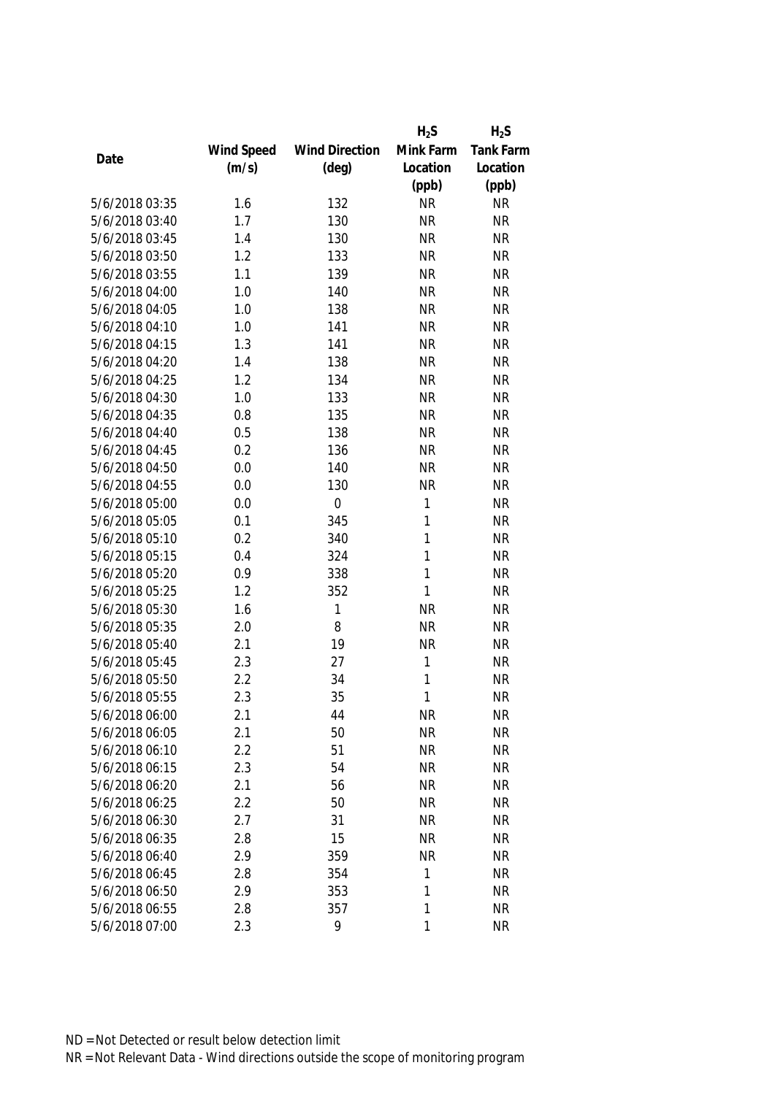|                |            |                       | $H_2S$       | $H_2S$           |
|----------------|------------|-----------------------|--------------|------------------|
|                | Wind Speed | <b>Wind Direction</b> | Mink Farm    | <b>Tank Farm</b> |
| Date           | (m/s)      | $(\text{deg})$        | Location     | Location         |
|                |            |                       | (ppb)        | (ppb)            |
| 5/6/2018 03:35 | 1.6        | 132                   | <b>NR</b>    | <b>NR</b>        |
| 5/6/2018 03:40 | 1.7        | 130                   | <b>NR</b>    | <b>NR</b>        |
| 5/6/2018 03:45 | 1.4        | 130                   | <b>NR</b>    | <b>NR</b>        |
| 5/6/2018 03:50 | 1.2        | 133                   | <b>NR</b>    | <b>NR</b>        |
| 5/6/2018 03:55 | 1.1        | 139                   | <b>NR</b>    | <b>NR</b>        |
| 5/6/2018 04:00 | 1.0        | 140                   | <b>NR</b>    | <b>NR</b>        |
| 5/6/2018 04:05 | 1.0        | 138                   | <b>NR</b>    | <b>NR</b>        |
| 5/6/2018 04:10 | 1.0        | 141                   | <b>NR</b>    | <b>NR</b>        |
| 5/6/2018 04:15 | 1.3        | 141                   | <b>NR</b>    | <b>NR</b>        |
| 5/6/2018 04:20 | 1.4        | 138                   | <b>NR</b>    | <b>NR</b>        |
| 5/6/2018 04:25 | 1.2        | 134                   | <b>NR</b>    | <b>NR</b>        |
| 5/6/2018 04:30 | 1.0        | 133                   | <b>NR</b>    | <b>NR</b>        |
| 5/6/2018 04:35 | 0.8        | 135                   | <b>NR</b>    | <b>NR</b>        |
| 5/6/2018 04:40 | 0.5        | 138                   | <b>NR</b>    | <b>NR</b>        |
| 5/6/2018 04:45 | 0.2        | 136                   | <b>NR</b>    | <b>NR</b>        |
| 5/6/2018 04:50 | 0.0        | 140                   | <b>NR</b>    | <b>NR</b>        |
| 5/6/2018 04:55 | 0.0        | 130                   | <b>NR</b>    | <b>NR</b>        |
| 5/6/2018 05:00 | 0.0        | $\mathbf 0$           | 1            | <b>NR</b>        |
| 5/6/2018 05:05 | 0.1        | 345                   | 1            | <b>NR</b>        |
| 5/6/2018 05:10 | 0.2        | 340                   | 1            | <b>NR</b>        |
| 5/6/2018 05:15 | 0.4        | 324                   | 1            | <b>NR</b>        |
| 5/6/2018 05:20 | 0.9        | 338                   | $\mathbf{1}$ | <b>NR</b>        |
| 5/6/2018 05:25 | 1.2        | 352                   | 1            | <b>NR</b>        |
| 5/6/2018 05:30 | 1.6        | 1                     | <b>NR</b>    | <b>NR</b>        |
| 5/6/2018 05:35 | 2.0        | 8                     | <b>NR</b>    | <b>NR</b>        |
| 5/6/2018 05:40 | 2.1        | 19                    | <b>NR</b>    | <b>NR</b>        |
| 5/6/2018 05:45 | 2.3        | 27                    | 1            | <b>NR</b>        |
| 5/6/2018 05:50 | 2.2        | 34                    | $\mathbf{1}$ | <b>NR</b>        |
| 5/6/2018 05:55 | 2.3        | 35                    | 1            | <b>NR</b>        |
| 5/6/2018 06:00 | 2.1        | 44                    | <b>NR</b>    | <b>NR</b>        |
| 5/6/2018 06:05 | 2.1        | 50                    | <b>NR</b>    | <b>NR</b>        |
| 5/6/2018 06:10 | 2.2        | 51                    | <b>NR</b>    | <b>NR</b>        |
| 5/6/2018 06:15 | 2.3        | 54                    | <b>NR</b>    | <b>NR</b>        |
| 5/6/2018 06:20 | 2.1        | 56                    | <b>NR</b>    | <b>NR</b>        |
| 5/6/2018 06:25 | 2.2        | 50                    | <b>NR</b>    | <b>NR</b>        |
| 5/6/2018 06:30 | 2.7        | 31                    | <b>NR</b>    | <b>NR</b>        |
| 5/6/2018 06:35 | 2.8        | 15                    | <b>NR</b>    | <b>NR</b>        |
| 5/6/2018 06:40 | 2.9        | 359                   | <b>NR</b>    | <b>NR</b>        |
| 5/6/2018 06:45 | 2.8        | 354                   | 1            | <b>NR</b>        |
| 5/6/2018 06:50 | 2.9        | 353                   | 1            | <b>NR</b>        |
| 5/6/2018 06:55 | 2.8        | 357                   | 1            | <b>NR</b>        |
| 5/6/2018 07:00 | 2.3        | 9                     | $\mathbf{1}$ | <b>NR</b>        |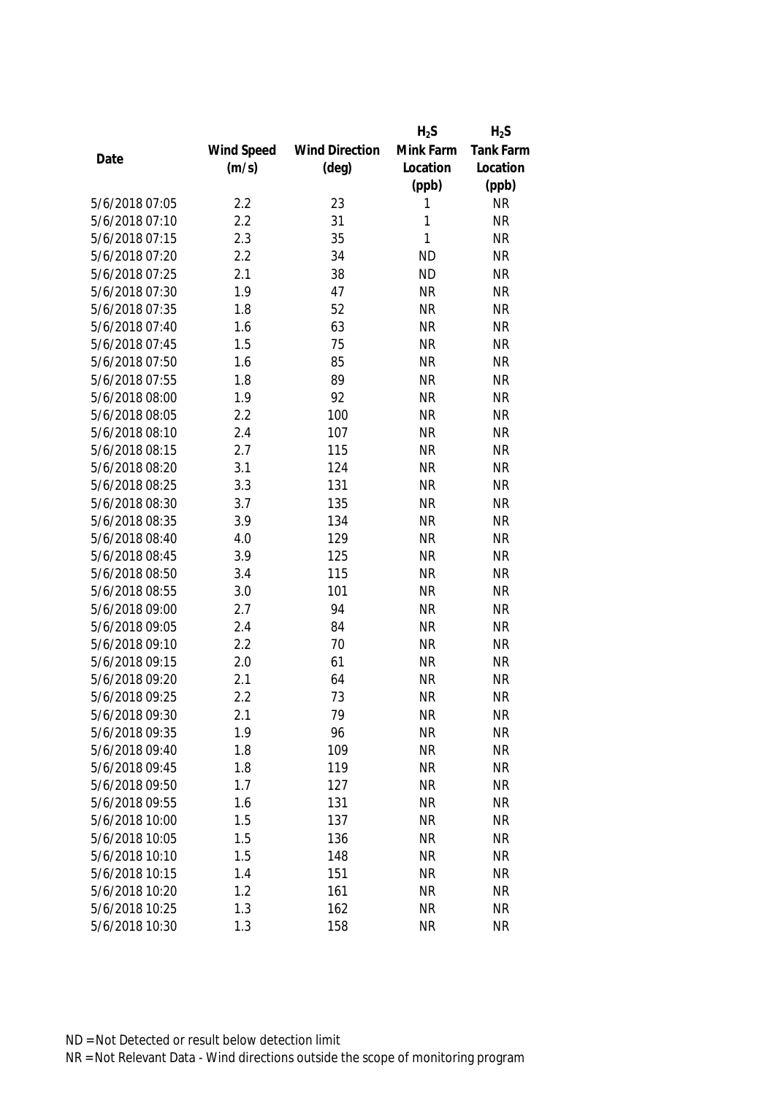|                |            |                       | $H_2S$    | $H_2S$           |
|----------------|------------|-----------------------|-----------|------------------|
|                | Wind Speed | <b>Wind Direction</b> | Mink Farm | <b>Tank Farm</b> |
| Date           | (m/s)      | $(\text{deg})$        | Location  | Location         |
|                |            |                       | (ppb)     | (ppb)            |
| 5/6/2018 07:05 | 2.2        | 23                    | 1         | <b>NR</b>        |
| 5/6/2018 07:10 | 2.2        | 31                    | 1         | <b>NR</b>        |
| 5/6/2018 07:15 | 2.3        | 35                    | 1         | <b>NR</b>        |
| 5/6/2018 07:20 | 2.2        | 34                    | <b>ND</b> | <b>NR</b>        |
| 5/6/2018 07:25 | 2.1        | 38                    | <b>ND</b> | <b>NR</b>        |
| 5/6/2018 07:30 | 1.9        | 47                    | <b>NR</b> | <b>NR</b>        |
| 5/6/2018 07:35 | 1.8        | 52                    | <b>NR</b> | <b>NR</b>        |
| 5/6/2018 07:40 | 1.6        | 63                    | <b>NR</b> | <b>NR</b>        |
| 5/6/2018 07:45 | 1.5        | 75                    | <b>NR</b> | <b>NR</b>        |
| 5/6/2018 07:50 | 1.6        | 85                    | <b>NR</b> | <b>NR</b>        |
| 5/6/2018 07:55 | 1.8        | 89                    | <b>NR</b> | <b>NR</b>        |
| 5/6/2018 08:00 | 1.9        | 92                    | <b>NR</b> | <b>NR</b>        |
| 5/6/2018 08:05 | 2.2        | 100                   | <b>NR</b> | <b>NR</b>        |
| 5/6/2018 08:10 | 2.4        | 107                   | <b>NR</b> | <b>NR</b>        |
| 5/6/2018 08:15 | 2.7        | 115                   | <b>NR</b> | <b>NR</b>        |
| 5/6/2018 08:20 | 3.1        | 124                   | <b>NR</b> | <b>NR</b>        |
| 5/6/2018 08:25 | 3.3        | 131                   | <b>NR</b> | <b>NR</b>        |
| 5/6/2018 08:30 | 3.7        | 135                   | <b>NR</b> | <b>NR</b>        |
| 5/6/2018 08:35 | 3.9        | 134                   | <b>NR</b> | <b>NR</b>        |
| 5/6/2018 08:40 | 4.0        | 129                   | <b>NR</b> | <b>NR</b>        |
| 5/6/2018 08:45 | 3.9        | 125                   | <b>NR</b> | <b>NR</b>        |
| 5/6/2018 08:50 | 3.4        | 115                   | <b>NR</b> | <b>NR</b>        |
| 5/6/2018 08:55 | 3.0        | 101                   | <b>NR</b> | <b>NR</b>        |
| 5/6/2018 09:00 | 2.7        | 94                    | <b>NR</b> | <b>NR</b>        |
| 5/6/2018 09:05 | 2.4        | 84                    | <b>NR</b> | <b>NR</b>        |
| 5/6/2018 09:10 | 2.2        | 70                    | <b>NR</b> | <b>NR</b>        |
| 5/6/2018 09:15 | 2.0        | 61                    | <b>NR</b> | <b>NR</b>        |
| 5/6/2018 09:20 | 2.1        | 64                    | <b>NR</b> | <b>NR</b>        |
| 5/6/2018 09:25 | 2.2        | 73                    | <b>NR</b> | <b>NR</b>        |
| 5/6/2018 09:30 | 2.1        | 79                    | <b>NR</b> | <b>NR</b>        |
| 5/6/2018 09:35 | 1.9        | 96                    | <b>NR</b> | <b>NR</b>        |
| 5/6/2018 09:40 | 1.8        | 109                   | <b>NR</b> | <b>NR</b>        |
| 5/6/2018 09:45 | 1.8        | 119                   | <b>NR</b> | <b>NR</b>        |
| 5/6/2018 09:50 | 1.7        | 127                   | <b>NR</b> | <b>NR</b>        |
| 5/6/2018 09:55 | 1.6        | 131                   | <b>NR</b> | <b>NR</b>        |
| 5/6/2018 10:00 | 1.5        | 137                   | <b>NR</b> | <b>NR</b>        |
| 5/6/2018 10:05 | 1.5        | 136                   | <b>NR</b> | <b>NR</b>        |
| 5/6/2018 10:10 | 1.5        | 148                   | <b>NR</b> | <b>NR</b>        |
| 5/6/2018 10:15 | 1.4        | 151                   | <b>NR</b> | <b>NR</b>        |
| 5/6/2018 10:20 | 1.2        | 161                   | <b>NR</b> | <b>NR</b>        |
| 5/6/2018 10:25 | 1.3        | 162                   | <b>NR</b> | <b>NR</b>        |
|                |            |                       |           |                  |
| 5/6/2018 10:30 | 1.3        | 158                   | <b>NR</b> | <b>NR</b>        |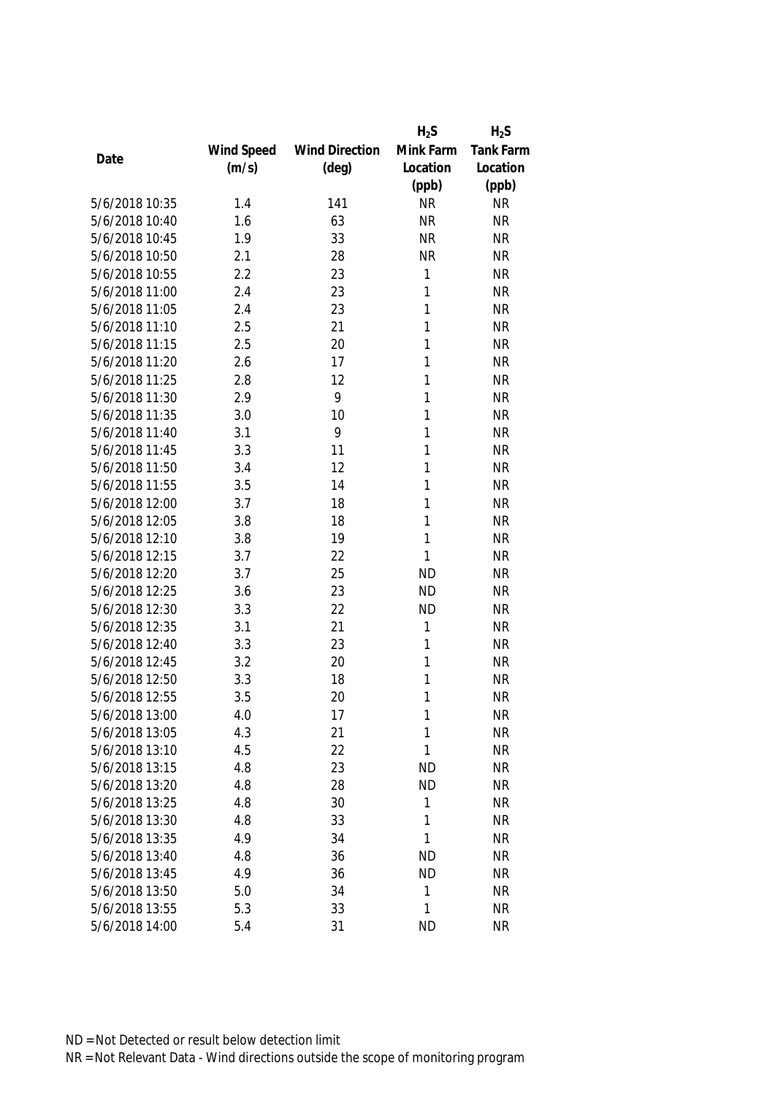|                |            |                       | $H_2S$       | $H_2S$    |
|----------------|------------|-----------------------|--------------|-----------|
|                | Wind Speed | <b>Wind Direction</b> | Mink Farm    | Tank Farm |
| Date           | (m/s)      | $(\text{deg})$        | Location     | Location  |
|                |            |                       | (ppb)        | (ppb)     |
| 5/6/2018 10:35 | 1.4        | 141                   | <b>NR</b>    | <b>NR</b> |
| 5/6/2018 10:40 | 1.6        | 63                    | <b>NR</b>    | <b>NR</b> |
| 5/6/2018 10:45 | 1.9        | 33                    | <b>NR</b>    | <b>NR</b> |
| 5/6/2018 10:50 | 2.1        | 28                    | <b>NR</b>    | <b>NR</b> |
| 5/6/2018 10:55 | 2.2        | 23                    | 1            | <b>NR</b> |
| 5/6/2018 11:00 | 2.4        | 23                    | 1            | <b>NR</b> |
| 5/6/2018 11:05 | 2.4        | 23                    | 1            | <b>NR</b> |
| 5/6/2018 11:10 | 2.5        | 21                    | 1            | <b>NR</b> |
| 5/6/2018 11:15 | 2.5        | 20                    | $\mathbf{1}$ | <b>NR</b> |
| 5/6/2018 11:20 | 2.6        | 17                    | 1            | <b>NR</b> |
| 5/6/2018 11:25 | 2.8        | 12                    | 1            | <b>NR</b> |
| 5/6/2018 11:30 | 2.9        | 9                     | 1            | <b>NR</b> |
| 5/6/2018 11:35 | 3.0        | 10                    | 1            | <b>NR</b> |
| 5/6/2018 11:40 | 3.1        | 9                     | 1            | <b>NR</b> |
| 5/6/2018 11:45 | 3.3        | 11                    | 1            | <b>NR</b> |
| 5/6/2018 11:50 | 3.4        | 12                    | 1            | <b>NR</b> |
| 5/6/2018 11:55 | 3.5        | 14                    | 1            | <b>NR</b> |
| 5/6/2018 12:00 | 3.7        | 18                    | 1            | <b>NR</b> |
| 5/6/2018 12:05 | 3.8        | 18                    | 1            | <b>NR</b> |
| 5/6/2018 12:10 | 3.8        | 19                    | 1            | <b>NR</b> |
| 5/6/2018 12:15 | 3.7        | 22                    | 1            | <b>NR</b> |
| 5/6/2018 12:20 | 3.7        | 25                    | <b>ND</b>    | <b>NR</b> |
| 5/6/2018 12:25 | 3.6        | 23                    | <b>ND</b>    | <b>NR</b> |
| 5/6/2018 12:30 | 3.3        | 22                    | <b>ND</b>    | <b>NR</b> |
| 5/6/2018 12:35 | 3.1        | 21                    | 1            | <b>NR</b> |
| 5/6/2018 12:40 | 3.3        | 23                    | 1            | <b>NR</b> |
| 5/6/2018 12:45 | 3.2        | 20                    | 1            | <b>NR</b> |
| 5/6/2018 12:50 | 3.3        | 18                    | 1            | <b>NR</b> |
| 5/6/2018 12:55 | 3.5        | 20                    | 1            | <b>NR</b> |
| 5/6/2018 13:00 | 4.0        | 17                    | 1            | <b>NR</b> |
| 5/6/2018 13:05 | 4.3        | 21                    | 1            | <b>NR</b> |
| 5/6/2018 13:10 | 4.5        | 22                    | 1            | <b>NR</b> |
| 5/6/2018 13:15 | 4.8        | 23                    | <b>ND</b>    | <b>NR</b> |
| 5/6/2018 13:20 | 4.8        | 28                    | <b>ND</b>    | <b>NR</b> |
| 5/6/2018 13:25 | 4.8        | 30                    | 1            | <b>NR</b> |
| 5/6/2018 13:30 | 4.8        | 33                    | 1            | <b>NR</b> |
| 5/6/2018 13:35 | 4.9        | 34                    | 1            | <b>NR</b> |
| 5/6/2018 13:40 | 4.8        | 36                    | <b>ND</b>    | <b>NR</b> |
| 5/6/2018 13:45 | 4.9        | 36                    | <b>ND</b>    | <b>NR</b> |
| 5/6/2018 13:50 | 5.0        | 34                    | 1            | <b>NR</b> |
| 5/6/2018 13:55 | 5.3        | 33                    | 1            | <b>NR</b> |
| 5/6/2018 14:00 | 5.4        | 31                    | <b>ND</b>    | <b>NR</b> |
|                |            |                       |              |           |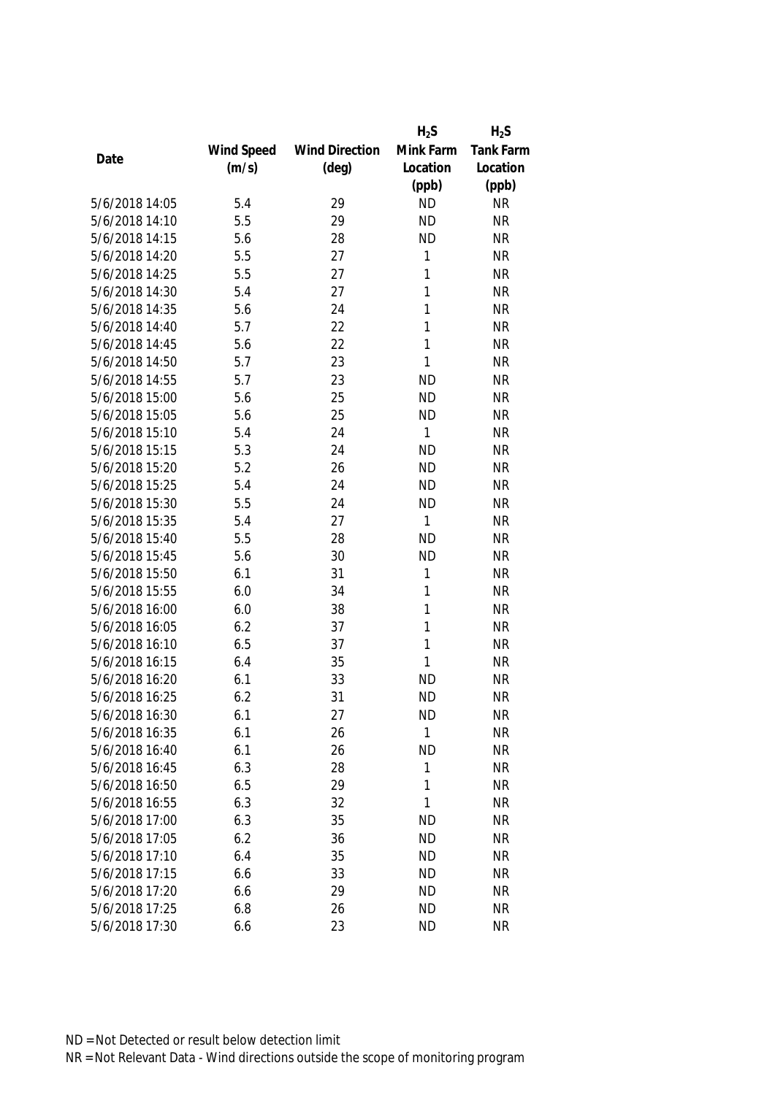|                |            |                       | $H_2S$       | $H_2S$           |
|----------------|------------|-----------------------|--------------|------------------|
|                | Wind Speed | <b>Wind Direction</b> | Mink Farm    | <b>Tank Farm</b> |
| Date           | (m/s)      | $(\text{deg})$        | Location     | Location         |
|                |            |                       | (ppb)        | (ppb)            |
| 5/6/2018 14:05 | 5.4        | 29                    | <b>ND</b>    | <b>NR</b>        |
| 5/6/2018 14:10 | 5.5        | 29                    | <b>ND</b>    | <b>NR</b>        |
| 5/6/2018 14:15 | 5.6        | 28                    | <b>ND</b>    | <b>NR</b>        |
| 5/6/2018 14:20 | 5.5        | 27                    | 1            | <b>NR</b>        |
| 5/6/2018 14:25 | 5.5        | 27                    | 1            | <b>NR</b>        |
| 5/6/2018 14:30 | 5.4        | 27                    | 1            | <b>NR</b>        |
| 5/6/2018 14:35 | 5.6        | 24                    | 1            | <b>NR</b>        |
| 5/6/2018 14:40 | 5.7        | 22                    | 1            | <b>NR</b>        |
| 5/6/2018 14:45 | 5.6        | 22                    | 1            | <b>NR</b>        |
| 5/6/2018 14:50 | 5.7        | 23                    | 1            | <b>NR</b>        |
| 5/6/2018 14:55 | 5.7        | 23                    | <b>ND</b>    | <b>NR</b>        |
| 5/6/2018 15:00 | 5.6        | 25                    | <b>ND</b>    | <b>NR</b>        |
| 5/6/2018 15:05 | 5.6        | 25                    | <b>ND</b>    | <b>NR</b>        |
| 5/6/2018 15:10 | 5.4        | 24                    | 1            | <b>NR</b>        |
| 5/6/2018 15:15 | 5.3        | 24                    | <b>ND</b>    | <b>NR</b>        |
| 5/6/2018 15:20 | 5.2        | 26                    | <b>ND</b>    | <b>NR</b>        |
| 5/6/2018 15:25 | 5.4        | 24                    | <b>ND</b>    | <b>NR</b>        |
| 5/6/2018 15:30 | 5.5        | 24                    | <b>ND</b>    | <b>NR</b>        |
| 5/6/2018 15:35 | 5.4        | 27                    | $\mathbf{1}$ | <b>NR</b>        |
| 5/6/2018 15:40 | 5.5        | 28                    | <b>ND</b>    | <b>NR</b>        |
| 5/6/2018 15:45 | 5.6        | 30                    | <b>ND</b>    | <b>NR</b>        |
| 5/6/2018 15:50 | 6.1        | 31                    | 1            | <b>NR</b>        |
| 5/6/2018 15:55 | 6.0        | 34                    | 1            | <b>NR</b>        |
| 5/6/2018 16:00 | 6.0        | 38                    | 1            | <b>NR</b>        |
| 5/6/2018 16:05 | 6.2        | 37                    | 1            | <b>NR</b>        |
| 5/6/2018 16:10 | 6.5        | 37                    | 1            | <b>NR</b>        |
| 5/6/2018 16:15 | 6.4        | 35                    | 1            | <b>NR</b>        |
| 5/6/2018 16:20 | 6.1        | 33                    | <b>ND</b>    | <b>NR</b>        |
| 5/6/2018 16:25 | 6.2        | 31                    | <b>ND</b>    | <b>NR</b>        |
| 5/6/2018 16:30 | 6.1        | 27                    | <b>ND</b>    | <b>NR</b>        |
| 5/6/2018 16:35 | 6.1        | 26                    | $\mathbf{1}$ | <b>NR</b>        |
| 5/6/2018 16:40 | 6.1        | 26                    | <b>ND</b>    | <b>NR</b>        |
| 5/6/2018 16:45 | 6.3        | 28                    | 1            | <b>NR</b>        |
| 5/6/2018 16:50 | 6.5        | 29                    | 1            | <b>NR</b>        |
| 5/6/2018 16:55 | 6.3        | 32                    | 1            | <b>NR</b>        |
| 5/6/2018 17:00 | 6.3        | 35                    | <b>ND</b>    | <b>NR</b>        |
| 5/6/2018 17:05 | 6.2        | 36                    | <b>ND</b>    | <b>NR</b>        |
| 5/6/2018 17:10 | 6.4        | 35                    | <b>ND</b>    | <b>NR</b>        |
| 5/6/2018 17:15 | 6.6        | 33                    | <b>ND</b>    | <b>NR</b>        |
| 5/6/2018 17:20 | 6.6        | 29                    | <b>ND</b>    | <b>NR</b>        |
| 5/6/2018 17:25 | 6.8        | 26                    | <b>ND</b>    | <b>NR</b>        |
| 5/6/2018 17:30 | 6.6        | 23                    | <b>ND</b>    | <b>NR</b>        |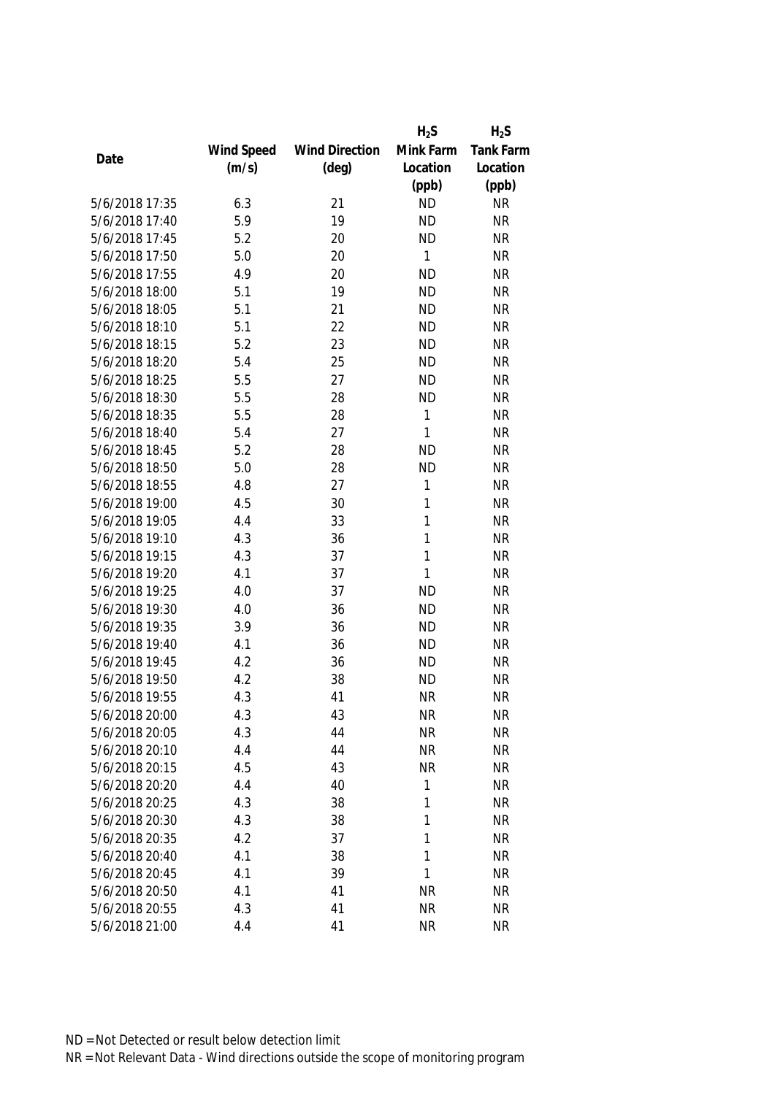|                |            |                       | $H_2S$       | $H_2S$           |
|----------------|------------|-----------------------|--------------|------------------|
|                | Wind Speed | <b>Wind Direction</b> | Mink Farm    | <b>Tank Farm</b> |
| Date           | (m/s)      | $(\text{deg})$        | Location     | Location         |
|                |            |                       | (ppb)        | (ppb)            |
| 5/6/2018 17:35 | 6.3        | 21                    | <b>ND</b>    | <b>NR</b>        |
| 5/6/2018 17:40 | 5.9        | 19                    | <b>ND</b>    | <b>NR</b>        |
| 5/6/2018 17:45 | 5.2        | 20                    | <b>ND</b>    | <b>NR</b>        |
| 5/6/2018 17:50 | 5.0        | 20                    | 1            | <b>NR</b>        |
| 5/6/2018 17:55 | 4.9        | 20                    | <b>ND</b>    | <b>NR</b>        |
| 5/6/2018 18:00 | 5.1        | 19                    | <b>ND</b>    | <b>NR</b>        |
| 5/6/2018 18:05 | 5.1        | 21                    | <b>ND</b>    | <b>NR</b>        |
| 5/6/2018 18:10 | 5.1        | 22                    | <b>ND</b>    | <b>NR</b>        |
| 5/6/2018 18:15 | 5.2        | 23                    | <b>ND</b>    | <b>NR</b>        |
| 5/6/2018 18:20 | 5.4        | 25                    | <b>ND</b>    | <b>NR</b>        |
| 5/6/2018 18:25 | 5.5        | 27                    | <b>ND</b>    | <b>NR</b>        |
| 5/6/2018 18:30 | 5.5        | 28                    | <b>ND</b>    | <b>NR</b>        |
| 5/6/2018 18:35 | 5.5        | 28                    | 1            | <b>NR</b>        |
| 5/6/2018 18:40 | 5.4        | 27                    | 1            | <b>NR</b>        |
| 5/6/2018 18:45 | 5.2        | 28                    | <b>ND</b>    | <b>NR</b>        |
| 5/6/2018 18:50 | 5.0        | 28                    | <b>ND</b>    | <b>NR</b>        |
| 5/6/2018 18:55 | 4.8        | 27                    | 1            | <b>NR</b>        |
| 5/6/2018 19:00 | 4.5        | 30                    | 1            | <b>NR</b>        |
| 5/6/2018 19:05 | 4.4        | 33                    | 1            | <b>NR</b>        |
| 5/6/2018 19:10 | 4.3        | 36                    | 1            | <b>NR</b>        |
| 5/6/2018 19:15 | 4.3        | 37                    | 1            | <b>NR</b>        |
| 5/6/2018 19:20 | 4.1        | 37                    | $\mathbf{1}$ | <b>NR</b>        |
| 5/6/2018 19:25 | 4.0        | 37                    | <b>ND</b>    | <b>NR</b>        |
| 5/6/2018 19:30 | 4.0        | 36                    | <b>ND</b>    | <b>NR</b>        |
| 5/6/2018 19:35 | 3.9        | 36                    | <b>ND</b>    | <b>NR</b>        |
| 5/6/2018 19:40 | 4.1        | 36                    | <b>ND</b>    | <b>NR</b>        |
| 5/6/2018 19:45 | 4.2        | 36                    | <b>ND</b>    | <b>NR</b>        |
| 5/6/2018 19:50 | 4.2        | 38                    | <b>ND</b>    | <b>NR</b>        |
| 5/6/2018 19:55 | 4.3        | 41                    | <b>NR</b>    | <b>NR</b>        |
| 5/6/2018 20:00 | 4.3        | 43                    | <b>NR</b>    | <b>NR</b>        |
| 5/6/2018 20:05 | 4.3        | 44                    | <b>NR</b>    | <b>NR</b>        |
| 5/6/2018 20:10 | 4.4        | 44                    | <b>NR</b>    | <b>NR</b>        |
| 5/6/2018 20:15 | 4.5        | 43                    | <b>NR</b>    | <b>NR</b>        |
| 5/6/2018 20:20 | 4.4        | 40                    | 1            | <b>NR</b>        |
| 5/6/2018 20:25 | 4.3        | 38                    | 1            | <b>NR</b>        |
| 5/6/2018 20:30 | 4.3        | 38                    | 1            | <b>NR</b>        |
| 5/6/2018 20:35 | 4.2        | 37                    | 1            | <b>NR</b>        |
| 5/6/2018 20:40 | 4.1        | 38                    | 1            | <b>NR</b>        |
| 5/6/2018 20:45 | 4.1        | 39                    | 1            | <b>NR</b>        |
| 5/6/2018 20:50 | 4.1        | 41                    | NR           | <b>NR</b>        |
| 5/6/2018 20:55 | 4.3        | 41                    | <b>NR</b>    | <b>NR</b>        |
|                |            |                       |              |                  |
| 5/6/2018 21:00 | 4.4        | 41                    | <b>NR</b>    | <b>NR</b>        |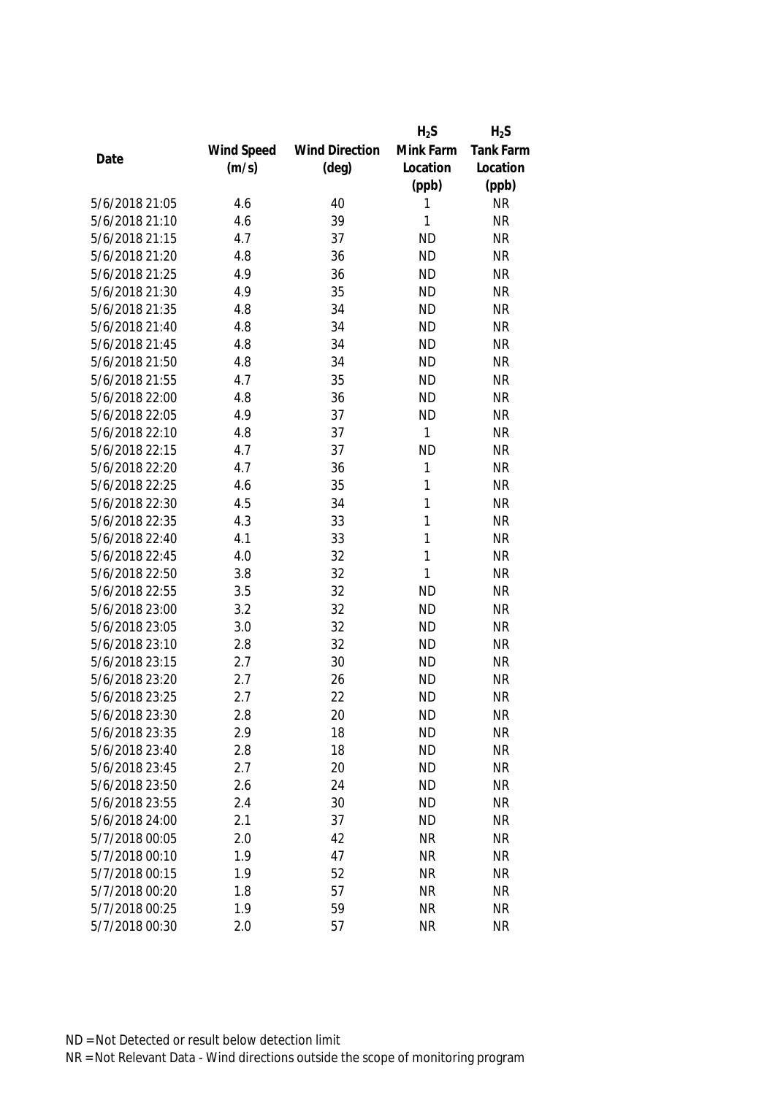|                |            |                       | $H_2S$    | $H_2S$           |
|----------------|------------|-----------------------|-----------|------------------|
|                | Wind Speed | <b>Wind Direction</b> | Mink Farm | <b>Tank Farm</b> |
| Date           | (m/s)      | $(\text{deg})$        | Location  | Location         |
|                |            |                       | (ppb)     | (ppb)            |
| 5/6/2018 21:05 | 4.6        | 40                    | 1         | <b>NR</b>        |
| 5/6/2018 21:10 | 4.6        | 39                    | 1         | <b>NR</b>        |
| 5/6/2018 21:15 | 4.7        | 37                    | <b>ND</b> | <b>NR</b>        |
| 5/6/2018 21:20 | 4.8        | 36                    | <b>ND</b> | <b>NR</b>        |
| 5/6/2018 21:25 | 4.9        | 36                    | <b>ND</b> | <b>NR</b>        |
| 5/6/2018 21:30 | 4.9        | 35                    | <b>ND</b> | <b>NR</b>        |
| 5/6/2018 21:35 | 4.8        | 34                    | <b>ND</b> | <b>NR</b>        |
| 5/6/2018 21:40 | 4.8        | 34                    | <b>ND</b> | <b>NR</b>        |
| 5/6/2018 21:45 | 4.8        | 34                    | <b>ND</b> | <b>NR</b>        |
| 5/6/2018 21:50 | 4.8        | 34                    | <b>ND</b> | <b>NR</b>        |
| 5/6/2018 21:55 | 4.7        | 35                    | <b>ND</b> | <b>NR</b>        |
| 5/6/2018 22:00 | 4.8        | 36                    | <b>ND</b> | <b>NR</b>        |
| 5/6/2018 22:05 | 4.9        | 37                    | <b>ND</b> | <b>NR</b>        |
| 5/6/2018 22:10 | 4.8        | 37                    | 1         | <b>NR</b>        |
| 5/6/2018 22:15 | 4.7        | 37                    | <b>ND</b> | <b>NR</b>        |
| 5/6/2018 22:20 | 4.7        | 36                    | 1         | <b>NR</b>        |
| 5/6/2018 22:25 | 4.6        | 35                    | 1         | <b>NR</b>        |
| 5/6/2018 22:30 | 4.5        | 34                    | 1         | <b>NR</b>        |
| 5/6/2018 22:35 | 4.3        | 33                    | 1         | <b>NR</b>        |
| 5/6/2018 22:40 | 4.1        | 33                    | 1         | <b>NR</b>        |
| 5/6/2018 22:45 | 4.0        | 32                    | 1         | <b>NR</b>        |
| 5/6/2018 22:50 | 3.8        | 32                    | 1         | <b>NR</b>        |
| 5/6/2018 22:55 | 3.5        | 32                    | <b>ND</b> | <b>NR</b>        |
| 5/6/2018 23:00 | 3.2        | 32                    | <b>ND</b> | <b>NR</b>        |
| 5/6/2018 23:05 | 3.0        | 32                    | <b>ND</b> | <b>NR</b>        |
| 5/6/2018 23:10 | 2.8        | 32                    | <b>ND</b> | <b>NR</b>        |
| 5/6/2018 23:15 | 2.7        | 30                    | <b>ND</b> | <b>NR</b>        |
| 5/6/2018 23:20 | 2.7        | 26                    | <b>ND</b> | <b>NR</b>        |
| 5/6/2018 23:25 | 2.7        | 22                    | <b>ND</b> | <b>NR</b>        |
| 5/6/2018 23:30 | 2.8        | 20                    | <b>ND</b> | <b>NR</b>        |
| 5/6/2018 23:35 | 2.9        | 18                    | <b>ND</b> | <b>NR</b>        |
| 5/6/2018 23:40 | 2.8        | 18                    | <b>ND</b> | <b>NR</b>        |
| 5/6/2018 23:45 | 2.7        | 20                    | <b>ND</b> | <b>NR</b>        |
| 5/6/2018 23:50 | 2.6        | 24                    | <b>ND</b> | <b>NR</b>        |
| 5/6/2018 23:55 | 2.4        | 30                    | <b>ND</b> | <b>NR</b>        |
| 5/6/2018 24:00 | 2.1        | 37                    | <b>ND</b> | <b>NR</b>        |
| 5/7/2018 00:05 | 2.0        | 42                    | <b>NR</b> | <b>NR</b>        |
| 5/7/2018 00:10 | 1.9        | 47                    | <b>NR</b> | <b>NR</b>        |
| 5/7/2018 00:15 | 1.9        | 52                    | <b>NR</b> | <b>NR</b>        |
| 5/7/2018 00:20 | 1.8        | 57                    | <b>NR</b> | <b>NR</b>        |
| 5/7/2018 00:25 | 1.9        | 59                    | <b>NR</b> | <b>NR</b>        |
| 5/7/2018 00:30 | 2.0        | 57                    | <b>NR</b> | <b>NR</b>        |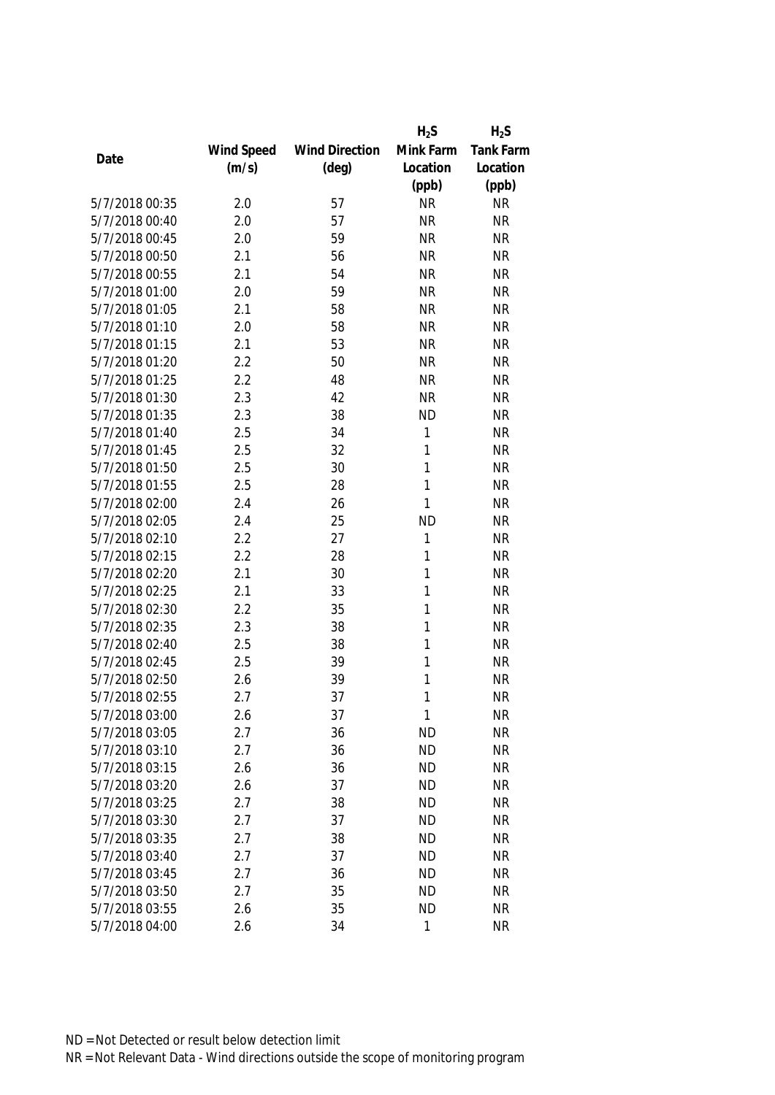|                |            |                       | $H_2S$    | $H_2S$           |
|----------------|------------|-----------------------|-----------|------------------|
|                | Wind Speed | <b>Wind Direction</b> | Mink Farm | <b>Tank Farm</b> |
| Date           | (m/s)      | $(\text{deg})$        | Location  | Location         |
|                |            |                       | (ppb)     | (ppb)            |
| 5/7/2018 00:35 | 2.0        | 57                    | <b>NR</b> | <b>NR</b>        |
| 5/7/2018 00:40 | 2.0        | 57                    | <b>NR</b> | <b>NR</b>        |
| 5/7/2018 00:45 | 2.0        | 59                    | <b>NR</b> | <b>NR</b>        |
| 5/7/2018 00:50 | 2.1        | 56                    | <b>NR</b> | <b>NR</b>        |
| 5/7/2018 00:55 | 2.1        | 54                    | <b>NR</b> | <b>NR</b>        |
| 5/7/2018 01:00 | 2.0        | 59                    | <b>NR</b> | <b>NR</b>        |
| 5/7/2018 01:05 | 2.1        | 58                    | <b>NR</b> | <b>NR</b>        |
| 5/7/2018 01:10 | 2.0        | 58                    | <b>NR</b> | <b>NR</b>        |
| 5/7/2018 01:15 | 2.1        | 53                    | <b>NR</b> | <b>NR</b>        |
| 5/7/2018 01:20 | 2.2        | 50                    | <b>NR</b> | <b>NR</b>        |
| 5/7/2018 01:25 | 2.2        | 48                    | <b>NR</b> | <b>NR</b>        |
| 5/7/2018 01:30 | 2.3        | 42                    | <b>NR</b> | <b>NR</b>        |
| 5/7/2018 01:35 | 2.3        | 38                    | <b>ND</b> | <b>NR</b>        |
| 5/7/2018 01:40 | 2.5        | 34                    | 1         | <b>NR</b>        |
| 5/7/2018 01:45 | 2.5        | 32                    | 1         | <b>NR</b>        |
| 5/7/2018 01:50 | 2.5        | 30                    | 1         | <b>NR</b>        |
| 5/7/2018 01:55 | 2.5        | 28                    | 1         | <b>NR</b>        |
| 5/7/2018 02:00 | 2.4        | 26                    | 1         | <b>NR</b>        |
| 5/7/2018 02:05 | 2.4        | 25                    | <b>ND</b> | <b>NR</b>        |
| 5/7/2018 02:10 | 2.2        | 27                    | 1         | <b>NR</b>        |
| 5/7/2018 02:15 | 2.2        | 28                    | 1         | <b>NR</b>        |
| 5/7/2018 02:20 | 2.1        | 30                    | 1         | <b>NR</b>        |
| 5/7/2018 02:25 | 2.1        | 33                    | 1         | <b>NR</b>        |
| 5/7/2018 02:30 | 2.2        | 35                    | 1         | <b>NR</b>        |
| 5/7/2018 02:35 | 2.3        | 38                    | 1         | <b>NR</b>        |
| 5/7/2018 02:40 | 2.5        | 38                    | 1         | <b>NR</b>        |
| 5/7/2018 02:45 | 2.5        | 39                    | 1         | <b>NR</b>        |
| 5/7/2018 02:50 | 2.6        | 39                    | 1         | <b>NR</b>        |
| 5/7/2018 02:55 | 2.7        | 37                    | 1         | <b>NR</b>        |
| 5/7/2018 03:00 | 2.6        | 37                    | 1         | <b>NR</b>        |
| 5/7/2018 03:05 | 2.7        | 36                    | <b>ND</b> | <b>NR</b>        |
| 5/7/2018 03:10 | 2.7        | 36                    | <b>ND</b> | <b>NR</b>        |
| 5/7/2018 03:15 | 2.6        | 36                    | <b>ND</b> | <b>NR</b>        |
| 5/7/2018 03:20 | 2.6        | 37                    | <b>ND</b> | <b>NR</b>        |
| 5/7/2018 03:25 | 2.7        | 38                    | <b>ND</b> | <b>NR</b>        |
| 5/7/2018 03:30 | 2.7        | 37                    | <b>ND</b> | <b>NR</b>        |
| 5/7/2018 03:35 | 2.7        | 38                    | <b>ND</b> | <b>NR</b>        |
| 5/7/2018 03:40 | 2.7        | 37                    | <b>ND</b> | <b>NR</b>        |
| 5/7/2018 03:45 | 2.7        | 36                    | <b>ND</b> | <b>NR</b>        |
| 5/7/2018 03:50 | 2.7        | 35                    | <b>ND</b> | <b>NR</b>        |
| 5/7/2018 03:55 | 2.6        | 35                    | <b>ND</b> | <b>NR</b>        |
| 5/7/2018 04:00 | 2.6        | 34                    | 1         | <b>NR</b>        |
|                |            |                       |           |                  |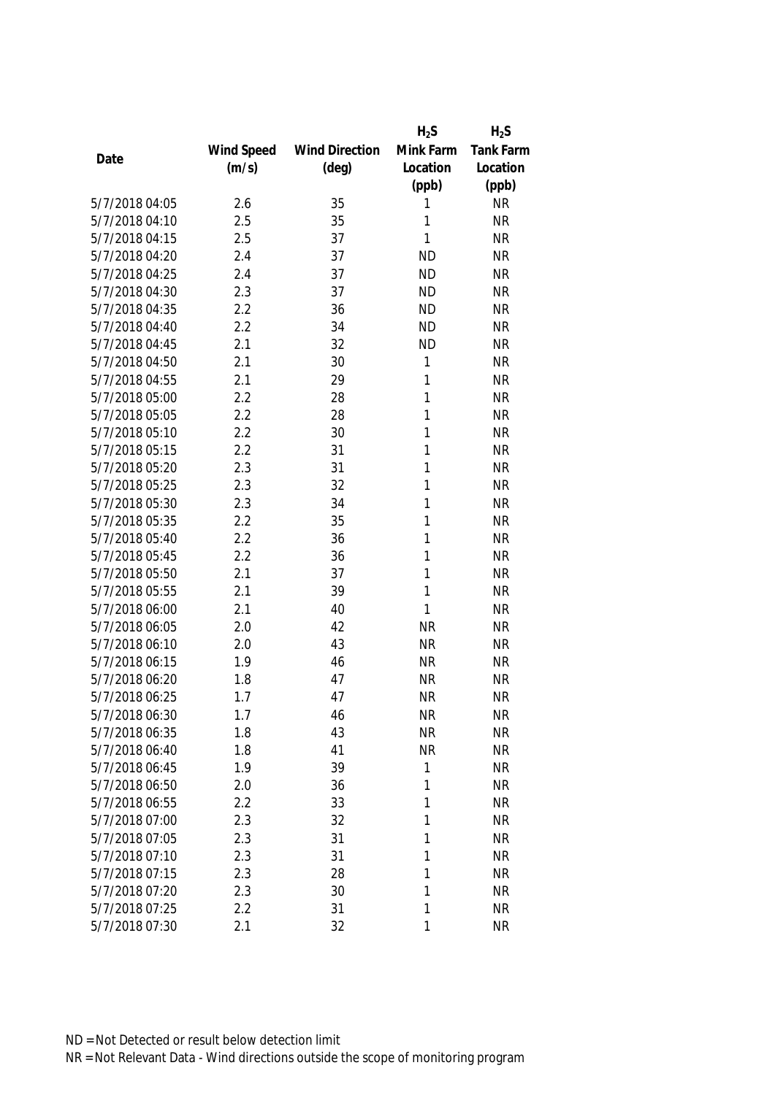|                |            |                       | $H_2S$    | $H_2S$    |
|----------------|------------|-----------------------|-----------|-----------|
|                | Wind Speed | <b>Wind Direction</b> | Mink Farm | Tank Farm |
| Date           | (m/s)      | $(\text{deg})$        | Location  | Location  |
|                |            |                       | (ppb)     | (ppb)     |
| 5/7/2018 04:05 | 2.6        | 35                    | 1         | <b>NR</b> |
| 5/7/2018 04:10 | 2.5        | 35                    | 1         | <b>NR</b> |
| 5/7/2018 04:15 | 2.5        | 37                    | 1         | <b>NR</b> |
| 5/7/2018 04:20 | 2.4        | 37                    | <b>ND</b> | <b>NR</b> |
| 5/7/2018 04:25 | 2.4        | 37                    | <b>ND</b> | <b>NR</b> |
| 5/7/2018 04:30 | 2.3        | 37                    | <b>ND</b> | <b>NR</b> |
| 5/7/2018 04:35 | 2.2        | 36                    | <b>ND</b> | <b>NR</b> |
| 5/7/2018 04:40 | 2.2        | 34                    | <b>ND</b> | <b>NR</b> |
| 5/7/2018 04:45 | 2.1        | 32                    | <b>ND</b> | <b>NR</b> |
| 5/7/2018 04:50 | 2.1        | 30                    | 1         | <b>NR</b> |
| 5/7/2018 04:55 | 2.1        | 29                    | 1         | <b>NR</b> |
| 5/7/2018 05:00 | 2.2        | 28                    | 1         | <b>NR</b> |
| 5/7/2018 05:05 | 2.2        | 28                    | 1         | <b>NR</b> |
| 5/7/2018 05:10 | 2.2        | 30                    | 1         | <b>NR</b> |
| 5/7/2018 05:15 | 2.2        | 31                    | 1         | <b>NR</b> |
| 5/7/2018 05:20 | 2.3        | 31                    | 1         | <b>NR</b> |
| 5/7/2018 05:25 | 2.3        | 32                    | 1         | <b>NR</b> |
| 5/7/2018 05:30 | 2.3        | 34                    | 1         | <b>NR</b> |
| 5/7/2018 05:35 | 2.2        | 35                    | 1         | <b>NR</b> |
| 5/7/2018 05:40 | 2.2        | 36                    | 1         | <b>NR</b> |
| 5/7/2018 05:45 | 2.2        | 36                    | 1         | <b>NR</b> |
| 5/7/2018 05:50 | 2.1        | 37                    | 1         | <b>NR</b> |
| 5/7/2018 05:55 | 2.1        | 39                    | 1         | <b>NR</b> |
| 5/7/2018 06:00 | 2.1        | 40                    | 1         | <b>NR</b> |
| 5/7/2018 06:05 | 2.0        | 42                    | <b>NR</b> | <b>NR</b> |
| 5/7/2018 06:10 | 2.0        | 43                    | <b>NR</b> | <b>NR</b> |
| 5/7/2018 06:15 | 1.9        | 46                    | <b>NR</b> | <b>NR</b> |
| 5/7/2018 06:20 | 1.8        | 47                    | <b>NR</b> | <b>NR</b> |
| 5/7/2018 06:25 | 1.7        | 47                    | <b>NR</b> | <b>NR</b> |
| 5/7/2018 06:30 | 1.7        | 46                    | <b>NR</b> | <b>NR</b> |
| 5/7/2018 06:35 | 1.8        | 43                    | <b>NR</b> | <b>NR</b> |
| 5/7/2018 06:40 | 1.8        | 41                    | <b>NR</b> | <b>NR</b> |
| 5/7/2018 06:45 | 1.9        | 39                    | 1         | <b>NR</b> |
| 5/7/2018 06:50 | 2.0        | 36                    | 1         | <b>NR</b> |
| 5/7/2018 06:55 | 2.2        | 33                    | 1         | <b>NR</b> |
| 5/7/2018 07:00 | 2.3        | 32                    | 1         | <b>NR</b> |
| 5/7/2018 07:05 | 2.3        | 31                    | 1         | <b>NR</b> |
| 5/7/2018 07:10 | 2.3        | 31                    | 1         | <b>NR</b> |
| 5/7/2018 07:15 | 2.3        | 28                    | 1         | <b>NR</b> |
| 5/7/2018 07:20 | 2.3        | 30                    | 1         | <b>NR</b> |
| 5/7/2018 07:25 | 2.2        | 31                    | 1         | <b>NR</b> |
| 5/7/2018 07:30 | 2.1        | 32                    | 1         | <b>NR</b> |
|                |            |                       |           |           |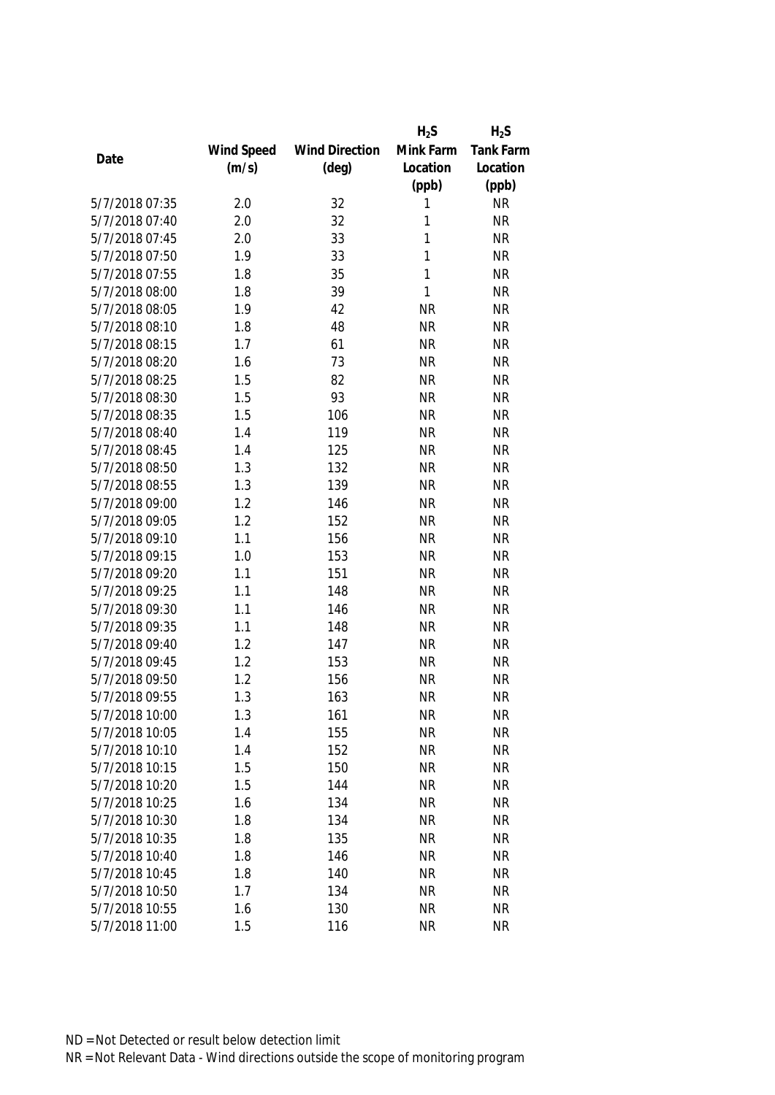|                |            |                       | $H_2S$    | $H_2S$           |
|----------------|------------|-----------------------|-----------|------------------|
|                | Wind Speed | <b>Wind Direction</b> | Mink Farm | <b>Tank Farm</b> |
| Date           | (m/s)      | $(\text{deg})$        | Location  | Location         |
|                |            |                       | (ppb)     | (ppb)            |
| 5/7/2018 07:35 | 2.0        | 32                    | 1         | <b>NR</b>        |
| 5/7/2018 07:40 | 2.0        | 32                    | 1         | <b>NR</b>        |
| 5/7/2018 07:45 | 2.0        | 33                    | 1         | <b>NR</b>        |
| 5/7/2018 07:50 | 1.9        | 33                    | 1         | <b>NR</b>        |
| 5/7/2018 07:55 | 1.8        | 35                    | 1         | <b>NR</b>        |
| 5/7/2018 08:00 | 1.8        | 39                    | 1         | <b>NR</b>        |
| 5/7/2018 08:05 | 1.9        | 42                    | <b>NR</b> | <b>NR</b>        |
| 5/7/2018 08:10 | 1.8        | 48                    | <b>NR</b> | <b>NR</b>        |
| 5/7/2018 08:15 | 1.7        | 61                    | <b>NR</b> | <b>NR</b>        |
| 5/7/2018 08:20 | 1.6        | 73                    | <b>NR</b> | <b>NR</b>        |
| 5/7/2018 08:25 | 1.5        | 82                    | <b>NR</b> | <b>NR</b>        |
| 5/7/2018 08:30 | 1.5        | 93                    | <b>NR</b> | <b>NR</b>        |
| 5/7/2018 08:35 | 1.5        | 106                   | <b>NR</b> | <b>NR</b>        |
| 5/7/2018 08:40 | 1.4        | 119                   | <b>NR</b> | <b>NR</b>        |
| 5/7/2018 08:45 | 1.4        | 125                   | <b>NR</b> | <b>NR</b>        |
| 5/7/2018 08:50 | 1.3        | 132                   | <b>NR</b> | <b>NR</b>        |
| 5/7/2018 08:55 | 1.3        | 139                   | <b>NR</b> | <b>NR</b>        |
| 5/7/2018 09:00 | 1.2        | 146                   | <b>NR</b> | <b>NR</b>        |
| 5/7/2018 09:05 | 1.2        | 152                   | <b>NR</b> | <b>NR</b>        |
| 5/7/2018 09:10 | 1.1        | 156                   | <b>NR</b> | <b>NR</b>        |
| 5/7/2018 09:15 | 1.0        | 153                   | <b>NR</b> | <b>NR</b>        |
| 5/7/2018 09:20 | 1.1        | 151                   | <b>NR</b> | <b>NR</b>        |
| 5/7/2018 09:25 | 1.1        | 148                   | <b>NR</b> | <b>NR</b>        |
| 5/7/2018 09:30 | 1.1        | 146                   | <b>NR</b> | <b>NR</b>        |
| 5/7/2018 09:35 | 1.1        | 148                   | <b>NR</b> | <b>NR</b>        |
| 5/7/2018 09:40 | 1.2        | 147                   | <b>NR</b> | <b>NR</b>        |
| 5/7/2018 09:45 | 1.2        | 153                   | <b>NR</b> | <b>NR</b>        |
| 5/7/2018 09:50 | 1.2        | 156                   | <b>NR</b> | <b>NR</b>        |
| 5/7/2018 09:55 | 1.3        | 163                   | <b>NR</b> | <b>NR</b>        |
| 5/7/2018 10:00 | 1.3        | 161                   | <b>NR</b> | <b>NR</b>        |
| 5/7/2018 10:05 | 1.4        | 155                   | <b>NR</b> | <b>NR</b>        |
| 5/7/2018 10:10 | 1.4        | 152                   | <b>NR</b> | <b>NR</b>        |
| 5/7/2018 10:15 | 1.5        | 150                   | <b>NR</b> | <b>NR</b>        |
| 5/7/2018 10:20 | 1.5        | 144                   | <b>NR</b> | <b>NR</b>        |
| 5/7/2018 10:25 | 1.6        | 134                   | <b>NR</b> | <b>NR</b>        |
| 5/7/2018 10:30 | 1.8        | 134                   | <b>NR</b> | <b>NR</b>        |
| 5/7/2018 10:35 | 1.8        | 135                   | <b>NR</b> | <b>NR</b>        |
| 5/7/2018 10:40 | 1.8        | 146                   | <b>NR</b> | <b>NR</b>        |
| 5/7/2018 10:45 | 1.8        | 140                   | <b>NR</b> | <b>NR</b>        |
| 5/7/2018 10:50 | 1.7        | 134                   | <b>NR</b> | <b>NR</b>        |
|                |            |                       |           |                  |
| 5/7/2018 10:55 | 1.6        | 130                   | <b>NR</b> | <b>NR</b>        |
| 5/7/2018 11:00 | 1.5        | 116                   | <b>NR</b> | <b>NR</b>        |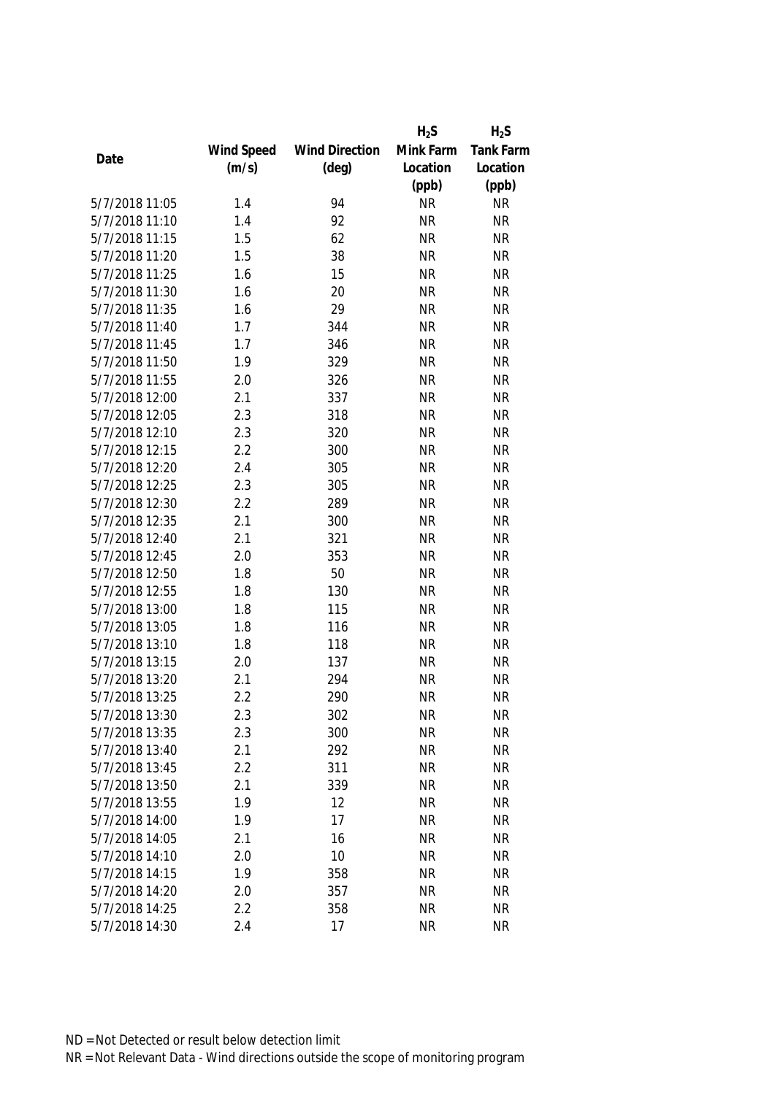|                |            |                       | $H_2S$    | $H_2S$           |
|----------------|------------|-----------------------|-----------|------------------|
|                | Wind Speed | <b>Wind Direction</b> | Mink Farm | <b>Tank Farm</b> |
| Date           | (m/s)      | $(\text{deg})$        | Location  | Location         |
|                |            |                       | (ppb)     | (ppb)            |
| 5/7/2018 11:05 | 1.4        | 94                    | <b>NR</b> | <b>NR</b>        |
| 5/7/2018 11:10 | 1.4        | 92                    | <b>NR</b> | <b>NR</b>        |
| 5/7/2018 11:15 | 1.5        | 62                    | <b>NR</b> | <b>NR</b>        |
| 5/7/2018 11:20 | 1.5        | 38                    | <b>NR</b> | <b>NR</b>        |
| 5/7/2018 11:25 | 1.6        | 15                    | <b>NR</b> | <b>NR</b>        |
| 5/7/2018 11:30 | 1.6        | 20                    | <b>NR</b> | <b>NR</b>        |
| 5/7/2018 11:35 | 1.6        | 29                    | <b>NR</b> | <b>NR</b>        |
| 5/7/2018 11:40 | 1.7        | 344                   | <b>NR</b> | <b>NR</b>        |
| 5/7/2018 11:45 | 1.7        | 346                   | <b>NR</b> | <b>NR</b>        |
| 5/7/2018 11:50 | 1.9        | 329                   | <b>NR</b> | <b>NR</b>        |
| 5/7/2018 11:55 | 2.0        | 326                   | <b>NR</b> | <b>NR</b>        |
| 5/7/2018 12:00 | 2.1        | 337                   | <b>NR</b> | <b>NR</b>        |
| 5/7/2018 12:05 | 2.3        | 318                   | <b>NR</b> | <b>NR</b>        |
| 5/7/2018 12:10 | 2.3        | 320                   | <b>NR</b> | <b>NR</b>        |
| 5/7/2018 12:15 | 2.2        | 300                   | <b>NR</b> | <b>NR</b>        |
| 5/7/2018 12:20 | 2.4        | 305                   | <b>NR</b> | <b>NR</b>        |
| 5/7/2018 12:25 | 2.3        | 305                   | <b>NR</b> | <b>NR</b>        |
| 5/7/2018 12:30 | 2.2        | 289                   | <b>NR</b> | <b>NR</b>        |
| 5/7/2018 12:35 | 2.1        | 300                   | <b>NR</b> | <b>NR</b>        |
| 5/7/2018 12:40 | 2.1        | 321                   | <b>NR</b> | <b>NR</b>        |
| 5/7/2018 12:45 | 2.0        | 353                   | <b>NR</b> | <b>NR</b>        |
| 5/7/2018 12:50 | 1.8        | 50                    | <b>NR</b> | <b>NR</b>        |
| 5/7/2018 12:55 | 1.8        | 130                   | <b>NR</b> | <b>NR</b>        |
| 5/7/2018 13:00 | 1.8        | 115                   | <b>NR</b> | <b>NR</b>        |
| 5/7/2018 13:05 | 1.8        | 116                   | <b>NR</b> | <b>NR</b>        |
| 5/7/2018 13:10 | 1.8        | 118                   | <b>NR</b> | <b>NR</b>        |
| 5/7/2018 13:15 | 2.0        | 137                   | <b>NR</b> | <b>NR</b>        |
| 5/7/2018 13:20 | 2.1        | 294                   | <b>NR</b> | <b>NR</b>        |
| 5/7/2018 13:25 | 2.2        | 290                   | <b>NR</b> | <b>NR</b>        |
| 5/7/2018 13:30 | 2.3        | 302                   | <b>NR</b> | <b>NR</b>        |
| 5/7/2018 13:35 | 2.3        | 300                   | <b>NR</b> | <b>NR</b>        |
| 5/7/2018 13:40 | 2.1        | 292                   | <b>NR</b> | <b>NR</b>        |
| 5/7/2018 13:45 | 2.2        | 311                   | <b>NR</b> | <b>NR</b>        |
| 5/7/2018 13:50 | 2.1        | 339                   | <b>NR</b> | <b>NR</b>        |
| 5/7/2018 13:55 | 1.9        | 12                    | <b>NR</b> | <b>NR</b>        |
| 5/7/2018 14:00 | 1.9        | 17                    | <b>NR</b> | <b>NR</b>        |
| 5/7/2018 14:05 | 2.1        | 16                    | <b>NR</b> | <b>NR</b>        |
| 5/7/2018 14:10 | 2.0        | 10                    | <b>NR</b> | <b>NR</b>        |
| 5/7/2018 14:15 | 1.9        | 358                   | <b>NR</b> | <b>NR</b>        |
| 5/7/2018 14:20 | 2.0        | 357                   | <b>NR</b> | <b>NR</b>        |
| 5/7/2018 14:25 | 2.2        | 358                   | <b>NR</b> | <b>NR</b>        |
| 5/7/2018 14:30 | 2.4        | 17                    | <b>NR</b> | <b>NR</b>        |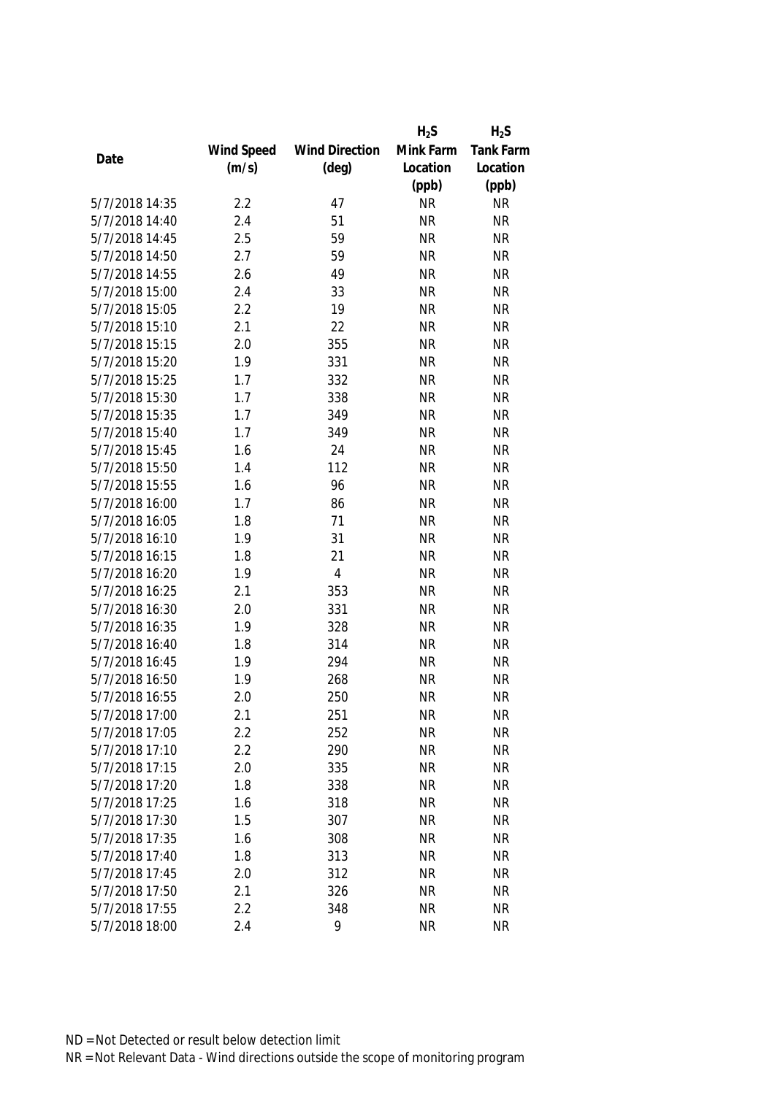|                |            |                       | $H_2S$    | $H_2S$           |
|----------------|------------|-----------------------|-----------|------------------|
|                | Wind Speed | <b>Wind Direction</b> | Mink Farm | <b>Tank Farm</b> |
| Date           | (m/s)      | $(\text{deg})$        | Location  | Location         |
|                |            |                       | (ppb)     | (ppb)            |
| 5/7/2018 14:35 | 2.2        | 47                    | <b>NR</b> | <b>NR</b>        |
| 5/7/2018 14:40 | 2.4        | 51                    | <b>NR</b> | <b>NR</b>        |
| 5/7/2018 14:45 | 2.5        | 59                    | <b>NR</b> | <b>NR</b>        |
| 5/7/2018 14:50 | 2.7        | 59                    | <b>NR</b> | <b>NR</b>        |
| 5/7/2018 14:55 | 2.6        | 49                    | <b>NR</b> | <b>NR</b>        |
| 5/7/2018 15:00 | 2.4        | 33                    | <b>NR</b> | <b>NR</b>        |
| 5/7/2018 15:05 | 2.2        | 19                    | <b>NR</b> | <b>NR</b>        |
| 5/7/2018 15:10 | 2.1        | 22                    | <b>NR</b> | <b>NR</b>        |
| 5/7/2018 15:15 | 2.0        | 355                   | <b>NR</b> | <b>NR</b>        |
| 5/7/2018 15:20 | 1.9        | 331                   | <b>NR</b> | <b>NR</b>        |
| 5/7/2018 15:25 | 1.7        | 332                   | <b>NR</b> | <b>NR</b>        |
| 5/7/2018 15:30 | 1.7        | 338                   | <b>NR</b> | <b>NR</b>        |
| 5/7/2018 15:35 | 1.7        | 349                   | <b>NR</b> | <b>NR</b>        |
| 5/7/2018 15:40 | 1.7        | 349                   | <b>NR</b> | <b>NR</b>        |
| 5/7/2018 15:45 | 1.6        | 24                    | <b>NR</b> | <b>NR</b>        |
| 5/7/2018 15:50 | 1.4        | 112                   | <b>NR</b> | <b>NR</b>        |
| 5/7/2018 15:55 | 1.6        | 96                    | <b>NR</b> | <b>NR</b>        |
| 5/7/2018 16:00 | 1.7        | 86                    | <b>NR</b> | <b>NR</b>        |
| 5/7/2018 16:05 | 1.8        | 71                    | <b>NR</b> | <b>NR</b>        |
| 5/7/2018 16:10 | 1.9        | 31                    | <b>NR</b> | <b>NR</b>        |
| 5/7/2018 16:15 | 1.8        | 21                    | <b>NR</b> | <b>NR</b>        |
| 5/7/2018 16:20 | 1.9        | $\overline{4}$        | <b>NR</b> | <b>NR</b>        |
| 5/7/2018 16:25 | 2.1        | 353                   | <b>NR</b> | <b>NR</b>        |
| 5/7/2018 16:30 | 2.0        | 331                   | <b>NR</b> | <b>NR</b>        |
| 5/7/2018 16:35 | 1.9        | 328                   | <b>NR</b> | <b>NR</b>        |
| 5/7/2018 16:40 | 1.8        | 314                   | <b>NR</b> | <b>NR</b>        |
| 5/7/2018 16:45 | 1.9        | 294                   | <b>NR</b> | <b>NR</b>        |
| 5/7/2018 16:50 | 1.9        | 268                   | <b>NR</b> | <b>NR</b>        |
| 5/7/2018 16:55 | 2.0        | 250                   | <b>NR</b> | <b>NR</b>        |
| 5/7/2018 17:00 | 2.1        | 251                   | <b>NR</b> | <b>NR</b>        |
| 5/7/2018 17:05 | 2.2        | 252                   | <b>NR</b> | <b>NR</b>        |
| 5/7/2018 17:10 | 2.2        | 290                   | <b>NR</b> | <b>NR</b>        |
| 5/7/2018 17:15 | 2.0        | 335                   | <b>NR</b> | <b>NR</b>        |
| 5/7/2018 17:20 | 1.8        | 338                   | <b>NR</b> | <b>NR</b>        |
| 5/7/2018 17:25 | 1.6        | 318                   | <b>NR</b> | <b>NR</b>        |
| 5/7/2018 17:30 | 1.5        | 307                   | <b>NR</b> | <b>NR</b>        |
| 5/7/2018 17:35 | 1.6        | 308                   | <b>NR</b> | <b>NR</b>        |
| 5/7/2018 17:40 | 1.8        | 313                   | <b>NR</b> | <b>NR</b>        |
| 5/7/2018 17:45 | 2.0        | 312                   | <b>NR</b> | <b>NR</b>        |
| 5/7/2018 17:50 | 2.1        | 326                   | <b>NR</b> | <b>NR</b>        |
| 5/7/2018 17:55 | 2.2        | 348                   | <b>NR</b> | <b>NR</b>        |
| 5/7/2018 18:00 | 2.4        | 9                     | <b>NR</b> | <b>NR</b>        |
|                |            |                       |           |                  |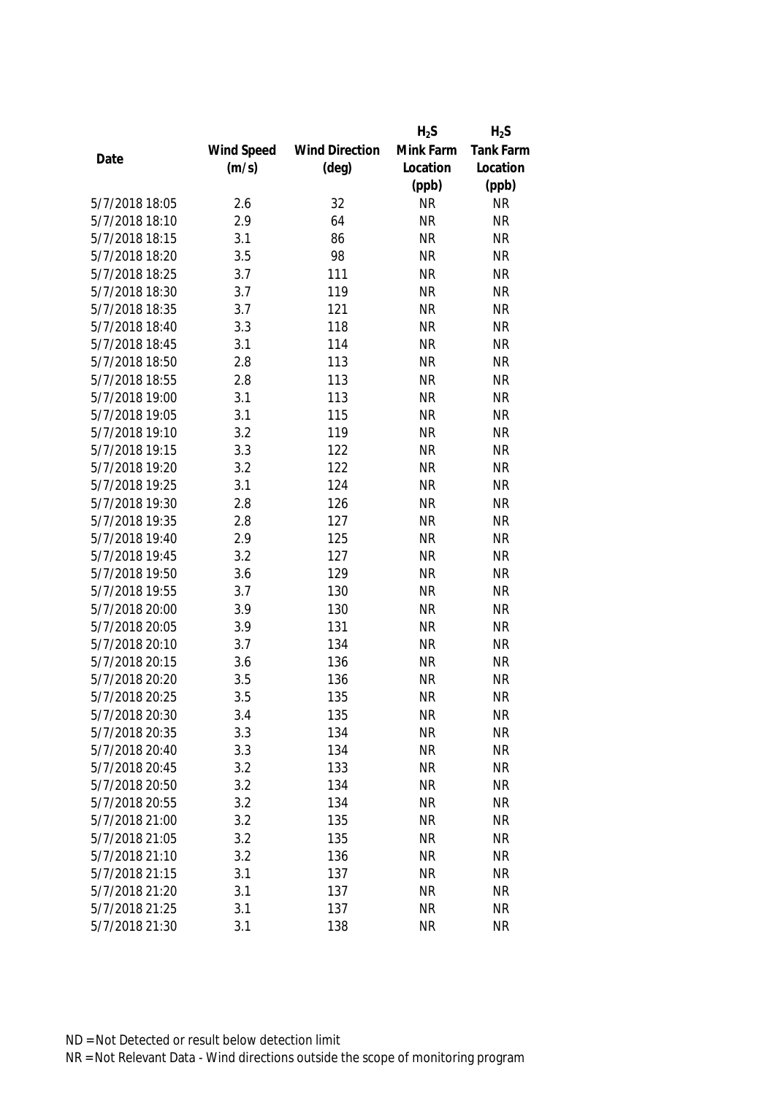|                |            |                       | $H_2S$    | $H_2S$    |
|----------------|------------|-----------------------|-----------|-----------|
|                | Wind Speed | <b>Wind Direction</b> | Mink Farm | Tank Farm |
| Date           | (m/s)      | $(\text{deg})$        | Location  | Location  |
|                |            |                       | (ppb)     | (ppb)     |
| 5/7/2018 18:05 | 2.6        | 32                    | <b>NR</b> | <b>NR</b> |
| 5/7/2018 18:10 | 2.9        | 64                    | <b>NR</b> | <b>NR</b> |
| 5/7/2018 18:15 | 3.1        | 86                    | <b>NR</b> | <b>NR</b> |
| 5/7/2018 18:20 | 3.5        | 98                    | <b>NR</b> | <b>NR</b> |
| 5/7/2018 18:25 | 3.7        | 111                   | <b>NR</b> | <b>NR</b> |
| 5/7/2018 18:30 | 3.7        | 119                   | <b>NR</b> | <b>NR</b> |
| 5/7/2018 18:35 | 3.7        | 121                   | <b>NR</b> | <b>NR</b> |
| 5/7/2018 18:40 | 3.3        | 118                   | <b>NR</b> | <b>NR</b> |
| 5/7/2018 18:45 | 3.1        | 114                   | <b>NR</b> | <b>NR</b> |
| 5/7/2018 18:50 | 2.8        | 113                   | <b>NR</b> | <b>NR</b> |
| 5/7/2018 18:55 | 2.8        | 113                   | <b>NR</b> | <b>NR</b> |
| 5/7/2018 19:00 | 3.1        | 113                   | <b>NR</b> | <b>NR</b> |
| 5/7/2018 19:05 | 3.1        | 115                   | <b>NR</b> | <b>NR</b> |
| 5/7/2018 19:10 | 3.2        | 119                   | <b>NR</b> | <b>NR</b> |
| 5/7/2018 19:15 | 3.3        | 122                   | <b>NR</b> | <b>NR</b> |
| 5/7/2018 19:20 | 3.2        | 122                   | <b>NR</b> | <b>NR</b> |
| 5/7/2018 19:25 | 3.1        | 124                   | <b>NR</b> | <b>NR</b> |
| 5/7/2018 19:30 | 2.8        | 126                   | <b>NR</b> | <b>NR</b> |
| 5/7/2018 19:35 | 2.8        | 127                   | <b>NR</b> | <b>NR</b> |
| 5/7/2018 19:40 | 2.9        | 125                   | <b>NR</b> | <b>NR</b> |
| 5/7/2018 19:45 | 3.2        | 127                   | <b>NR</b> | <b>NR</b> |
| 5/7/2018 19:50 | 3.6        | 129                   | <b>NR</b> | <b>NR</b> |
| 5/7/2018 19:55 | 3.7        | 130                   | <b>NR</b> | <b>NR</b> |
| 5/7/2018 20:00 | 3.9        | 130                   | <b>NR</b> | <b>NR</b> |
| 5/7/2018 20:05 | 3.9        | 131                   | <b>NR</b> | <b>NR</b> |
| 5/7/2018 20:10 | 3.7        | 134                   | <b>NR</b> | <b>NR</b> |
| 5/7/2018 20:15 | 3.6        | 136                   | <b>NR</b> | <b>NR</b> |
| 5/7/2018 20:20 | 3.5        | 136                   | <b>NR</b> | <b>NR</b> |
| 5/7/2018 20:25 | 3.5        | 135                   | <b>NR</b> | <b>NR</b> |
| 5/7/2018 20:30 | 3.4        | 135                   | <b>NR</b> | <b>NR</b> |
| 5/7/2018 20:35 | 3.3        | 134                   | <b>NR</b> | <b>NR</b> |
| 5/7/2018 20:40 | 3.3        | 134                   | <b>NR</b> | <b>NR</b> |
| 5/7/2018 20:45 | 3.2        | 133                   | <b>NR</b> | <b>NR</b> |
| 5/7/2018 20:50 | 3.2        | 134                   | <b>NR</b> | <b>NR</b> |
| 5/7/2018 20:55 | 3.2        | 134                   | <b>NR</b> | <b>NR</b> |
| 5/7/2018 21:00 | 3.2        | 135                   | <b>NR</b> | <b>NR</b> |
| 5/7/2018 21:05 | 3.2        | 135                   | <b>NR</b> | <b>NR</b> |
| 5/7/2018 21:10 | 3.2        | 136                   | <b>NR</b> | <b>NR</b> |
| 5/7/2018 21:15 | 3.1        | 137                   | <b>NR</b> | <b>NR</b> |
| 5/7/2018 21:20 | 3.1        | 137                   | <b>NR</b> | <b>NR</b> |
| 5/7/2018 21:25 | 3.1        | 137                   | <b>NR</b> | <b>NR</b> |
| 5/7/2018 21:30 | 3.1        | 138                   | <b>NR</b> | <b>NR</b> |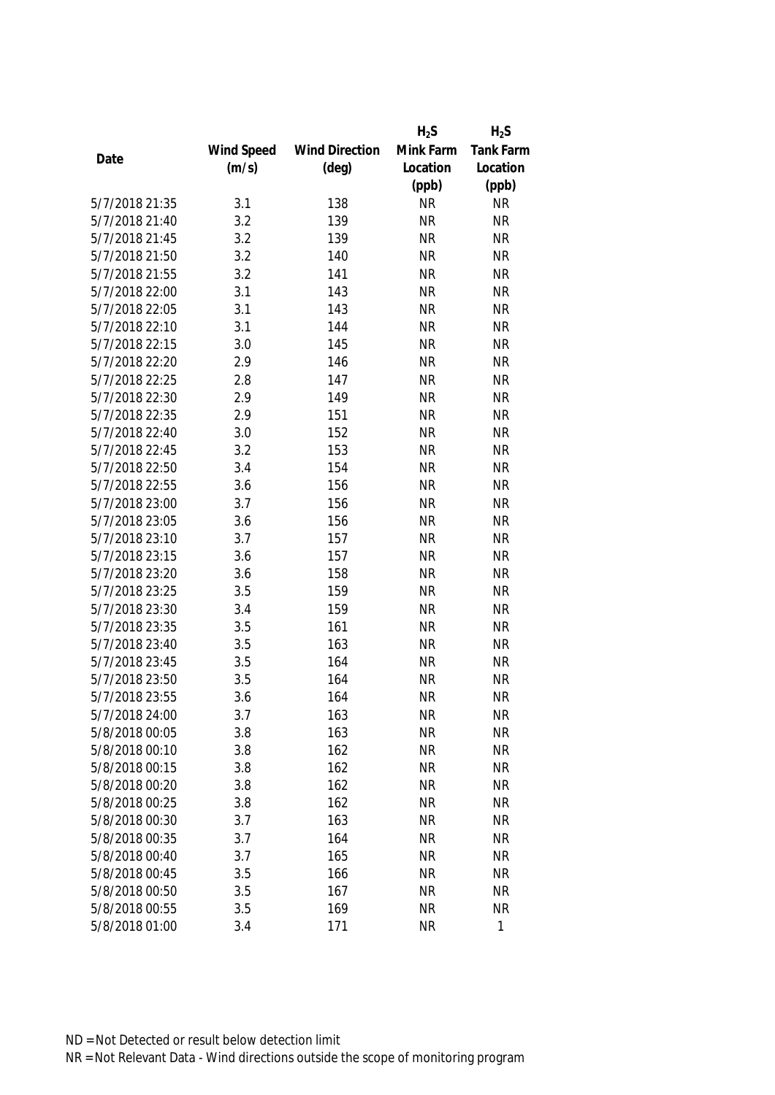|                |            |                       | $H_2S$    | $H_2S$    |
|----------------|------------|-----------------------|-----------|-----------|
|                | Wind Speed | <b>Wind Direction</b> | Mink Farm | Tank Farm |
| Date           | (m/s)      | $(\text{deg})$        | Location  | Location  |
|                |            |                       | (ppb)     | (ppb)     |
| 5/7/2018 21:35 | 3.1        | 138                   | <b>NR</b> | <b>NR</b> |
| 5/7/2018 21:40 | 3.2        | 139                   | <b>NR</b> | <b>NR</b> |
| 5/7/2018 21:45 | 3.2        | 139                   | <b>NR</b> | <b>NR</b> |
| 5/7/2018 21:50 | 3.2        | 140                   | <b>NR</b> | <b>NR</b> |
| 5/7/2018 21:55 | 3.2        | 141                   | <b>NR</b> | <b>NR</b> |
| 5/7/2018 22:00 | 3.1        | 143                   | <b>NR</b> | <b>NR</b> |
| 5/7/2018 22:05 | 3.1        | 143                   | <b>NR</b> | <b>NR</b> |
| 5/7/2018 22:10 | 3.1        | 144                   | <b>NR</b> | <b>NR</b> |
| 5/7/2018 22:15 | 3.0        | 145                   | <b>NR</b> | <b>NR</b> |
| 5/7/2018 22:20 | 2.9        | 146                   | <b>NR</b> | <b>NR</b> |
| 5/7/2018 22:25 | 2.8        | 147                   | <b>NR</b> | <b>NR</b> |
| 5/7/2018 22:30 | 2.9        | 149                   | <b>NR</b> | <b>NR</b> |
| 5/7/2018 22:35 | 2.9        | 151                   | <b>NR</b> | <b>NR</b> |
| 5/7/2018 22:40 | 3.0        | 152                   | <b>NR</b> | <b>NR</b> |
| 5/7/2018 22:45 | 3.2        | 153                   | <b>NR</b> | <b>NR</b> |
| 5/7/2018 22:50 | 3.4        | 154                   | <b>NR</b> | <b>NR</b> |
| 5/7/2018 22:55 | 3.6        | 156                   | <b>NR</b> | <b>NR</b> |
| 5/7/2018 23:00 | 3.7        | 156                   | <b>NR</b> | <b>NR</b> |
| 5/7/2018 23:05 | 3.6        | 156                   | <b>NR</b> | <b>NR</b> |
| 5/7/2018 23:10 | 3.7        | 157                   | <b>NR</b> | <b>NR</b> |
| 5/7/2018 23:15 | 3.6        | 157                   | <b>NR</b> | <b>NR</b> |
| 5/7/2018 23:20 | 3.6        | 158                   | <b>NR</b> | <b>NR</b> |
| 5/7/2018 23:25 | 3.5        | 159                   | <b>NR</b> | <b>NR</b> |
| 5/7/2018 23:30 | 3.4        | 159                   | <b>NR</b> | <b>NR</b> |
| 5/7/2018 23:35 | 3.5        | 161                   | <b>NR</b> | <b>NR</b> |
| 5/7/2018 23:40 | 3.5        | 163                   | <b>NR</b> | <b>NR</b> |
| 5/7/2018 23:45 | 3.5        | 164                   | <b>NR</b> | <b>NR</b> |
| 5/7/2018 23:50 | 3.5        | 164                   | <b>NR</b> | <b>NR</b> |
| 5/7/2018 23:55 | 3.6        | 164                   | <b>NR</b> | <b>NR</b> |
| 5/7/2018 24:00 | 3.7        | 163                   | <b>NR</b> | <b>NR</b> |
| 5/8/2018 00:05 | 3.8        | 163                   | <b>NR</b> | <b>NR</b> |
| 5/8/2018 00:10 | 3.8        | 162                   | <b>NR</b> | <b>NR</b> |
| 5/8/2018 00:15 | 3.8        | 162                   | <b>NR</b> | <b>NR</b> |
| 5/8/2018 00:20 | 3.8        | 162                   | <b>NR</b> | <b>NR</b> |
| 5/8/2018 00:25 | 3.8        | 162                   | <b>NR</b> | <b>NR</b> |
| 5/8/2018 00:30 | 3.7        | 163                   | <b>NR</b> | <b>NR</b> |
| 5/8/2018 00:35 | 3.7        | 164                   | <b>NR</b> | <b>NR</b> |
| 5/8/2018 00:40 | 3.7        | 165                   | <b>NR</b> | <b>NR</b> |
| 5/8/2018 00:45 | 3.5        | 166                   | <b>NR</b> | <b>NR</b> |
| 5/8/2018 00:50 | 3.5        | 167                   | <b>NR</b> | <b>NR</b> |
| 5/8/2018 00:55 | 3.5        | 169                   | <b>NR</b> | <b>NR</b> |
| 5/8/2018 01:00 | 3.4        | 171                   | <b>NR</b> | 1         |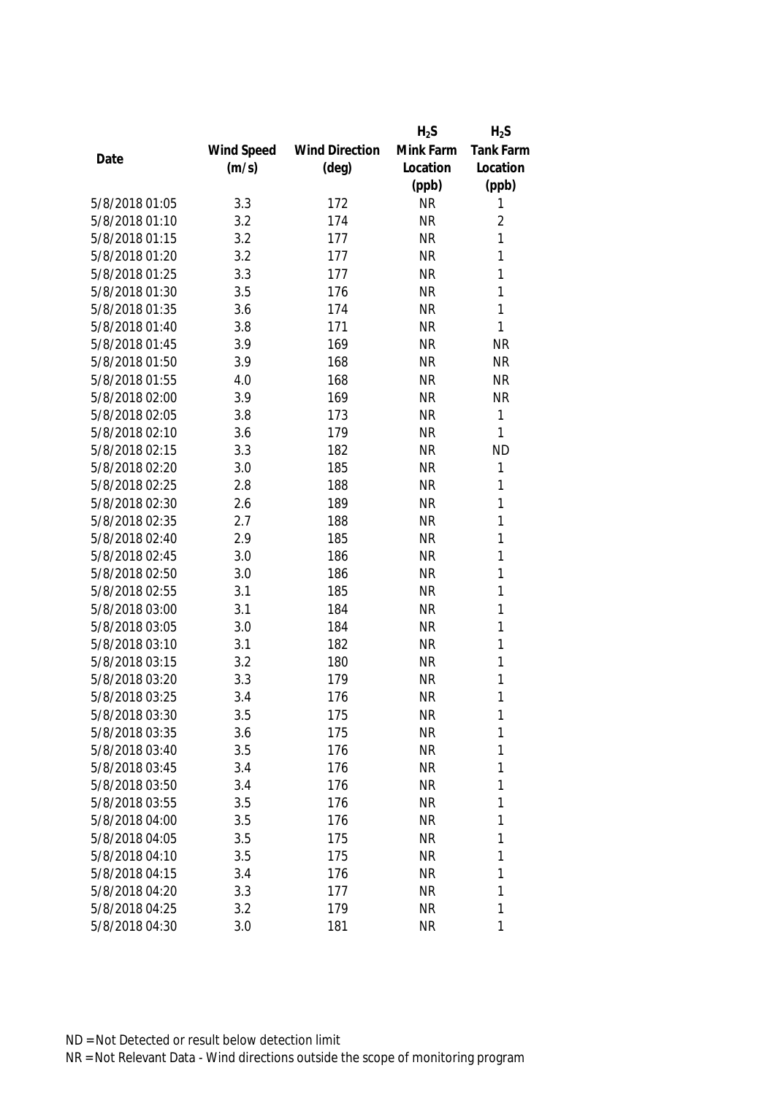|                |            |                       | $H_2S$    | $H_2S$           |
|----------------|------------|-----------------------|-----------|------------------|
|                | Wind Speed | <b>Wind Direction</b> | Mink Farm | <b>Tank Farm</b> |
| Date           | (m/s)      | $(\text{deg})$        | Location  | Location         |
|                |            |                       | (ppb)     | (ppb)            |
| 5/8/2018 01:05 | 3.3        | 172                   | <b>NR</b> | 1                |
| 5/8/2018 01:10 | 3.2        | 174                   | <b>NR</b> | $\overline{2}$   |
| 5/8/2018 01:15 | 3.2        | 177                   | <b>NR</b> | 1                |
| 5/8/2018 01:20 | 3.2        | 177                   | <b>NR</b> | 1                |
| 5/8/2018 01:25 | 3.3        | 177                   | <b>NR</b> | 1                |
| 5/8/2018 01:30 | 3.5        | 176                   | <b>NR</b> | 1                |
| 5/8/2018 01:35 | 3.6        | 174                   | <b>NR</b> | 1                |
| 5/8/2018 01:40 | 3.8        | 171                   | <b>NR</b> | $\mathbf{1}$     |
| 5/8/2018 01:45 | 3.9        | 169                   | <b>NR</b> | <b>NR</b>        |
| 5/8/2018 01:50 | 3.9        | 168                   | <b>NR</b> | <b>NR</b>        |
| 5/8/2018 01:55 | 4.0        | 168                   | <b>NR</b> | <b>NR</b>        |
| 5/8/2018 02:00 | 3.9        | 169                   | <b>NR</b> | <b>NR</b>        |
| 5/8/2018 02:05 | 3.8        | 173                   | <b>NR</b> | 1                |
| 5/8/2018 02:10 | 3.6        | 179                   | <b>NR</b> | 1                |
| 5/8/2018 02:15 | 3.3        | 182                   | <b>NR</b> | <b>ND</b>        |
| 5/8/2018 02:20 | 3.0        | 185                   | <b>NR</b> | 1                |
| 5/8/2018 02:25 | 2.8        | 188                   | <b>NR</b> | 1                |
| 5/8/2018 02:30 | 2.6        | 189                   | <b>NR</b> | 1                |
| 5/8/2018 02:35 | 2.7        | 188                   | <b>NR</b> | 1                |
| 5/8/2018 02:40 | 2.9        | 185                   | <b>NR</b> | 1                |
| 5/8/2018 02:45 | 3.0        | 186                   | <b>NR</b> | $\mathbf{1}$     |
| 5/8/2018 02:50 | 3.0        | 186                   | <b>NR</b> | 1                |
| 5/8/2018 02:55 | 3.1        | 185                   | <b>NR</b> | $\mathbf{1}$     |
| 5/8/2018 03:00 | 3.1        | 184                   | <b>NR</b> | $\mathbf{1}$     |
| 5/8/2018 03:05 | 3.0        | 184                   | <b>NR</b> | 1                |
| 5/8/2018 03:10 | 3.1        | 182                   | <b>NR</b> | 1                |
| 5/8/2018 03:15 | 3.2        | 180                   | <b>NR</b> | 1                |
| 5/8/2018 03:20 | 3.3        | 179                   | <b>NR</b> | 1                |
| 5/8/2018 03:25 | 3.4        | 176                   | <b>NR</b> | 1                |
| 5/8/2018 03:30 | 3.5        | 175                   | <b>NR</b> | 1                |
| 5/8/2018 03:35 | 3.6        | 175                   | <b>NR</b> | 1                |
| 5/8/2018 03:40 | 3.5        | 176                   | <b>NR</b> | 1                |
| 5/8/2018 03:45 | 3.4        | 176                   | <b>NR</b> | 1                |
| 5/8/2018 03:50 | 3.4        | 176                   | NR        | 1                |
| 5/8/2018 03:55 | 3.5        | 176                   | <b>NR</b> | 1                |
| 5/8/2018 04:00 | 3.5        | 176                   | <b>NR</b> | 1                |
| 5/8/2018 04:05 | 3.5        | 175                   | <b>NR</b> | 1                |
| 5/8/2018 04:10 | 3.5        | 175                   | <b>NR</b> | 1                |
| 5/8/2018 04:15 | 3.4        | 176                   | <b>NR</b> | 1                |
| 5/8/2018 04:20 | 3.3        | 177                   | <b>NR</b> | 1                |
| 5/8/2018 04:25 | 3.2        | 179                   | <b>NR</b> | 1                |
| 5/8/2018 04:30 | 3.0        | 181                   | <b>NR</b> | 1                |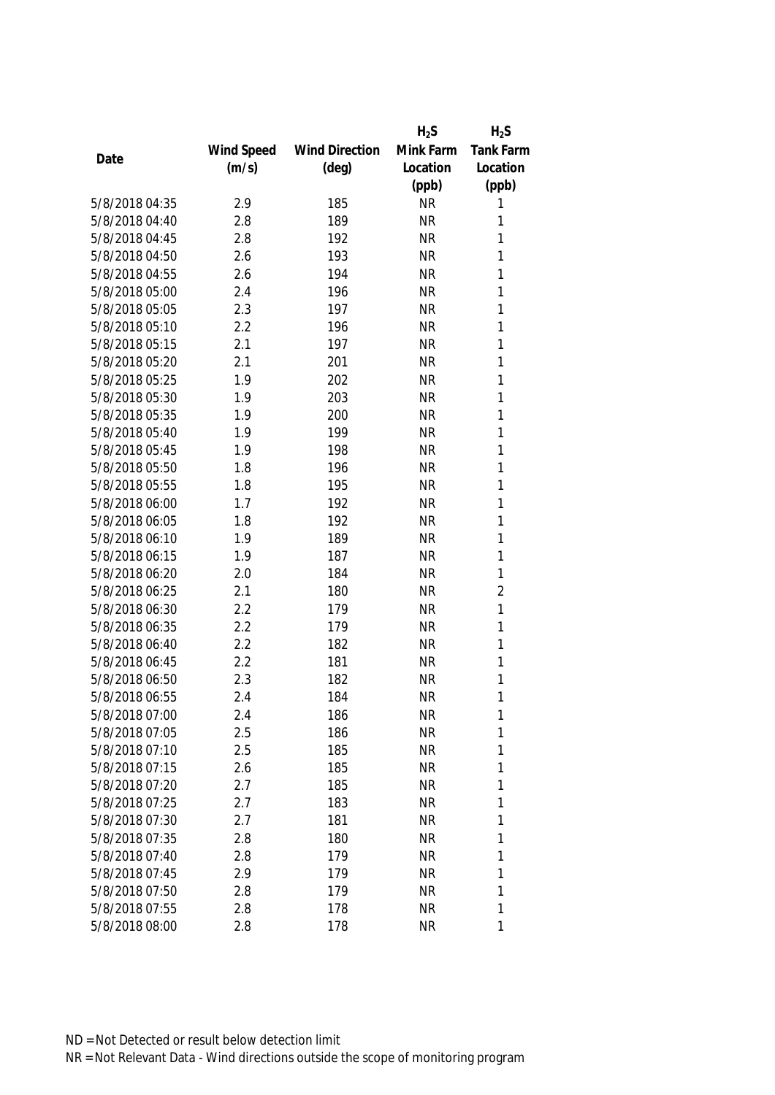|                |            |                       | $H_2S$    | $H_2S$           |
|----------------|------------|-----------------------|-----------|------------------|
|                | Wind Speed | <b>Wind Direction</b> | Mink Farm | <b>Tank Farm</b> |
| Date           | (m/s)      | $(\text{deg})$        | Location  | Location         |
|                |            |                       | (ppb)     | (ppb)            |
| 5/8/2018 04:35 | 2.9        | 185                   | <b>NR</b> | 1                |
| 5/8/2018 04:40 | 2.8        | 189                   | <b>NR</b> | 1                |
| 5/8/2018 04:45 | 2.8        | 192                   | <b>NR</b> | 1                |
| 5/8/2018 04:50 | 2.6        | 193                   | <b>NR</b> | 1                |
| 5/8/2018 04:55 | 2.6        | 194                   | <b>NR</b> | 1                |
| 5/8/2018 05:00 | 2.4        | 196                   | <b>NR</b> | 1                |
| 5/8/2018 05:05 | 2.3        | 197                   | <b>NR</b> | 1                |
| 5/8/2018 05:10 | 2.2        | 196                   | <b>NR</b> | $\mathbf{1}$     |
| 5/8/2018 05:15 | 2.1        | 197                   | <b>NR</b> | 1                |
| 5/8/2018 05:20 | 2.1        | 201                   | <b>NR</b> | 1                |
| 5/8/2018 05:25 | 1.9        | 202                   | <b>NR</b> | 1                |
| 5/8/2018 05:30 | 1.9        | 203                   | <b>NR</b> | 1                |
| 5/8/2018 05:35 | 1.9        | 200                   | <b>NR</b> | 1                |
| 5/8/2018 05:40 | 1.9        | 199                   | <b>NR</b> | 1                |
| 5/8/2018 05:45 | 1.9        | 198                   | <b>NR</b> | 1                |
| 5/8/2018 05:50 | 1.8        | 196                   | <b>NR</b> | $\mathbf{1}$     |
| 5/8/2018 05:55 | 1.8        | 195                   | <b>NR</b> | 1                |
| 5/8/2018 06:00 | 1.7        | 192                   | <b>NR</b> | 1                |
| 5/8/2018 06:05 | 1.8        | 192                   | <b>NR</b> | 1                |
| 5/8/2018 06:10 | 1.9        | 189                   | <b>NR</b> | 1                |
| 5/8/2018 06:15 | 1.9        | 187                   | <b>NR</b> | 1                |
| 5/8/2018 06:20 | 2.0        | 184                   | <b>NR</b> | 1                |
| 5/8/2018 06:25 | 2.1        | 180                   | <b>NR</b> | $\overline{2}$   |
| 5/8/2018 06:30 | 2.2        | 179                   | <b>NR</b> | $\mathbf{1}$     |
| 5/8/2018 06:35 | 2.2        | 179                   | <b>NR</b> | 1                |
| 5/8/2018 06:40 | 2.2        | 182                   | <b>NR</b> | 1                |
| 5/8/2018 06:45 | 2.2        | 181                   | <b>NR</b> | 1                |
| 5/8/2018 06:50 | 2.3        | 182                   | <b>NR</b> | 1                |
| 5/8/2018 06:55 | 2.4        | 184                   | <b>NR</b> | 1                |
| 5/8/2018 07:00 | 2.4        | 186                   | <b>NR</b> | 1                |
| 5/8/2018 07:05 | 2.5        | 186                   | <b>NR</b> | 1                |
| 5/8/2018 07:10 | 2.5        | 185                   | <b>NR</b> | 1                |
| 5/8/2018 07:15 | 2.6        | 185                   | <b>NR</b> | 1                |
| 5/8/2018 07:20 | 2.7        | 185                   | NR        | 1                |
| 5/8/2018 07:25 | 2.7        | 183                   | <b>NR</b> | 1                |
| 5/8/2018 07:30 | 2.7        | 181                   | <b>NR</b> | 1                |
| 5/8/2018 07:35 | 2.8        | 180                   | <b>NR</b> | 1                |
| 5/8/2018 07:40 | 2.8        | 179                   | <b>NR</b> | 1                |
| 5/8/2018 07:45 | 2.9        | 179                   | <b>NR</b> | 1                |
| 5/8/2018 07:50 | 2.8        | 179                   | <b>NR</b> | 1                |
| 5/8/2018 07:55 | 2.8        | 178                   | <b>NR</b> | 1                |
| 5/8/2018 08:00 | 2.8        | 178                   | <b>NR</b> | 1                |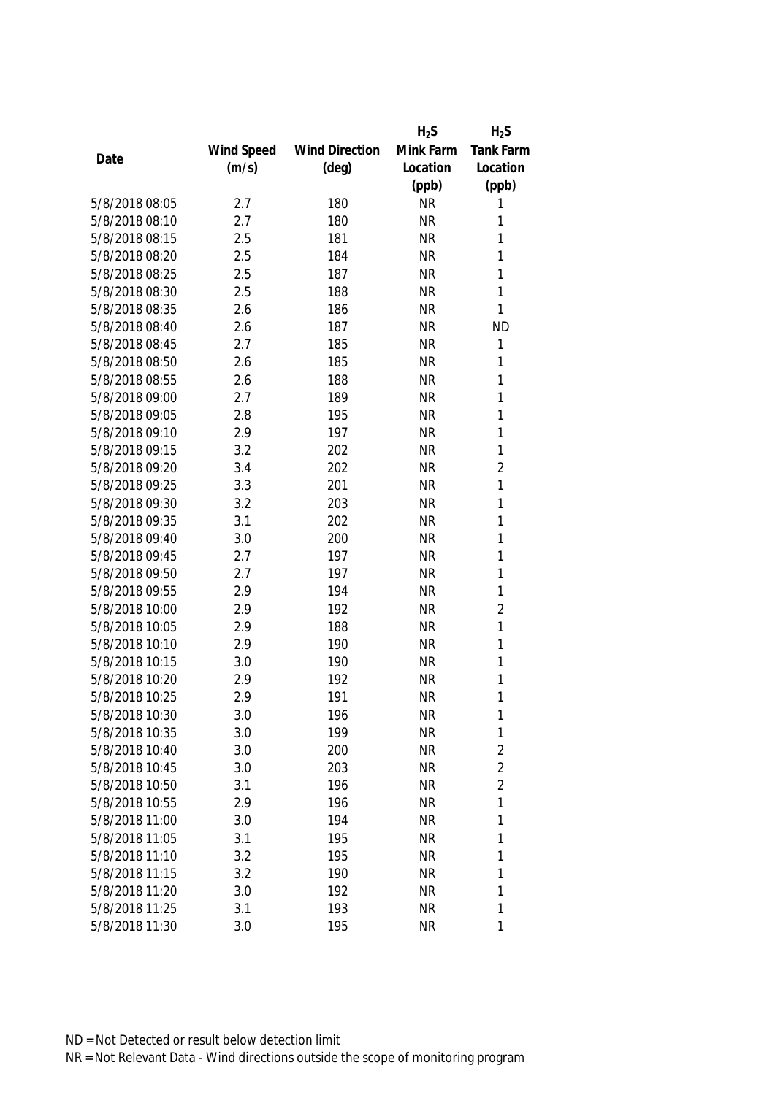|                |            |                       | $H_2S$    | $H_2S$           |
|----------------|------------|-----------------------|-----------|------------------|
|                | Wind Speed | <b>Wind Direction</b> | Mink Farm | <b>Tank Farm</b> |
| Date           | (m/s)      | $(\text{deg})$        | Location  | Location         |
|                |            |                       | (ppb)     | (ppb)            |
| 5/8/2018 08:05 | 2.7        | 180                   | <b>NR</b> | 1                |
| 5/8/2018 08:10 | 2.7        | 180                   | <b>NR</b> | 1                |
| 5/8/2018 08:15 | 2.5        | 181                   | <b>NR</b> | 1                |
| 5/8/2018 08:20 | 2.5        | 184                   | <b>NR</b> | 1                |
| 5/8/2018 08:25 | 2.5        | 187                   | <b>NR</b> | 1                |
| 5/8/2018 08:30 | 2.5        | 188                   | <b>NR</b> | 1                |
| 5/8/2018 08:35 | 2.6        | 186                   | <b>NR</b> | 1                |
| 5/8/2018 08:40 | 2.6        | 187                   | <b>NR</b> | <b>ND</b>        |
| 5/8/2018 08:45 | 2.7        | 185                   | <b>NR</b> | 1                |
| 5/8/2018 08:50 | 2.6        | 185                   | <b>NR</b> | 1                |
| 5/8/2018 08:55 | 2.6        | 188                   | <b>NR</b> | 1                |
| 5/8/2018 09:00 | 2.7        | 189                   | <b>NR</b> | 1                |
| 5/8/2018 09:05 | 2.8        | 195                   | <b>NR</b> | 1                |
| 5/8/2018 09:10 | 2.9        | 197                   | <b>NR</b> | 1                |
| 5/8/2018 09:15 | 3.2        | 202                   | <b>NR</b> | $\mathbf{1}$     |
| 5/8/2018 09:20 | 3.4        | 202                   | <b>NR</b> | $\overline{2}$   |
| 5/8/2018 09:25 | 3.3        | 201                   | <b>NR</b> | 1                |
| 5/8/2018 09:30 | 3.2        | 203                   | <b>NR</b> | 1                |
| 5/8/2018 09:35 | 3.1        | 202                   | <b>NR</b> | 1                |
| 5/8/2018 09:40 | 3.0        | 200                   | <b>NR</b> | 1                |
| 5/8/2018 09:45 | 2.7        | 197                   | <b>NR</b> | 1                |
| 5/8/2018 09:50 | 2.7        | 197                   | <b>NR</b> | 1                |
| 5/8/2018 09:55 | 2.9        | 194                   | <b>NR</b> | 1                |
| 5/8/2018 10:00 | 2.9        | 192                   | <b>NR</b> | $\overline{2}$   |
| 5/8/2018 10:05 | 2.9        | 188                   | <b>NR</b> | 1                |
| 5/8/2018 10:10 | 2.9        | 190                   | <b>NR</b> | 1                |
| 5/8/2018 10:15 | 3.0        | 190                   | <b>NR</b> | 1                |
| 5/8/2018 10:20 | 2.9        | 192                   | <b>NR</b> | 1                |
| 5/8/2018 10:25 | 2.9        | 191                   | <b>NR</b> | 1                |
| 5/8/2018 10:30 | 3.0        | 196                   | <b>NR</b> | 1                |
| 5/8/2018 10:35 | 3.0        | 199                   | <b>NR</b> | $\mathbf{1}$     |
| 5/8/2018 10:40 | 3.0        | 200                   | <b>NR</b> | $\overline{2}$   |
| 5/8/2018 10:45 | 3.0        | 203                   | <b>NR</b> | $\overline{2}$   |
| 5/8/2018 10:50 | 3.1        | 196                   | <b>NR</b> | $\overline{2}$   |
| 5/8/2018 10:55 | 2.9        | 196                   | <b>NR</b> | $\mathbf{1}$     |
| 5/8/2018 11:00 | 3.0        | 194                   | <b>NR</b> | $\mathbf{1}$     |
| 5/8/2018 11:05 | 3.1        | 195                   | <b>NR</b> | 1                |
| 5/8/2018 11:10 | 3.2        | 195                   | <b>NR</b> | 1                |
| 5/8/2018 11:15 | 3.2        | 190                   | <b>NR</b> | 1                |
| 5/8/2018 11:20 | 3.0        | 192                   | <b>NR</b> | 1                |
| 5/8/2018 11:25 | 3.1        | 193                   | <b>NR</b> | 1                |
| 5/8/2018 11:30 | 3.0        | 195                   | <b>NR</b> | 1                |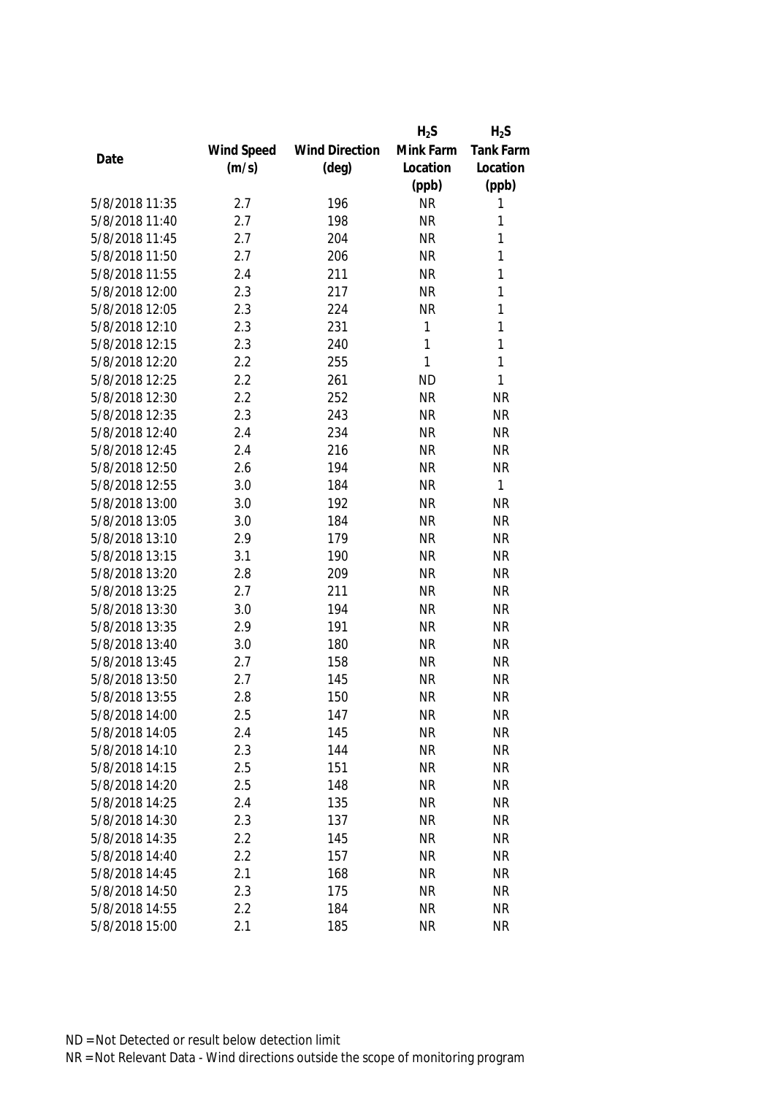|                |            |                       | $H_2S$       | $H_2S$    |
|----------------|------------|-----------------------|--------------|-----------|
|                | Wind Speed | <b>Wind Direction</b> | Mink Farm    | Tank Farm |
| Date           | (m/s)      | $(\text{deg})$        | Location     | Location  |
|                |            |                       | (ppb)        | (ppb)     |
| 5/8/2018 11:35 | 2.7        | 196                   | <b>NR</b>    | 1         |
| 5/8/2018 11:40 | 2.7        | 198                   | <b>NR</b>    | 1         |
| 5/8/2018 11:45 | 2.7        | 204                   | <b>NR</b>    | 1         |
| 5/8/2018 11:50 | 2.7        | 206                   | <b>NR</b>    | 1         |
| 5/8/2018 11:55 | 2.4        | 211                   | <b>NR</b>    | 1         |
| 5/8/2018 12:00 | 2.3        | 217                   | <b>NR</b>    | 1         |
| 5/8/2018 12:05 | 2.3        | 224                   | <b>NR</b>    | 1         |
| 5/8/2018 12:10 | 2.3        | 231                   | 1            | 1         |
| 5/8/2018 12:15 | 2.3        | 240                   | $\mathbf{1}$ | 1         |
| 5/8/2018 12:20 | 2.2        | 255                   | 1            | 1         |
| 5/8/2018 12:25 | 2.2        | 261                   | <b>ND</b>    | 1         |
| 5/8/2018 12:30 | 2.2        | 252                   | <b>NR</b>    | <b>NR</b> |
| 5/8/2018 12:35 | 2.3        | 243                   | <b>NR</b>    | <b>NR</b> |
| 5/8/2018 12:40 | 2.4        | 234                   | <b>NR</b>    | <b>NR</b> |
| 5/8/2018 12:45 | 2.4        | 216                   | <b>NR</b>    | <b>NR</b> |
| 5/8/2018 12:50 | 2.6        | 194                   | <b>NR</b>    | <b>NR</b> |
| 5/8/2018 12:55 | 3.0        | 184                   | <b>NR</b>    | 1         |
| 5/8/2018 13:00 | 3.0        | 192                   | <b>NR</b>    | <b>NR</b> |
| 5/8/2018 13:05 | 3.0        | 184                   | <b>NR</b>    | <b>NR</b> |
| 5/8/2018 13:10 | 2.9        | 179                   | <b>NR</b>    | <b>NR</b> |
| 5/8/2018 13:15 | 3.1        | 190                   | <b>NR</b>    | <b>NR</b> |
| 5/8/2018 13:20 | 2.8        | 209                   | <b>NR</b>    | <b>NR</b> |
| 5/8/2018 13:25 | 2.7        | 211                   | <b>NR</b>    | <b>NR</b> |
| 5/8/2018 13:30 | 3.0        | 194                   | <b>NR</b>    | <b>NR</b> |
| 5/8/2018 13:35 | 2.9        | 191                   | <b>NR</b>    | <b>NR</b> |
| 5/8/2018 13:40 | 3.0        | 180                   | <b>NR</b>    | <b>NR</b> |
| 5/8/2018 13:45 | 2.7        | 158                   | <b>NR</b>    | <b>NR</b> |
| 5/8/2018 13:50 | 2.7        | 145                   | <b>NR</b>    | <b>NR</b> |
| 5/8/2018 13:55 | 2.8        | 150                   | <b>NR</b>    | <b>NR</b> |
| 5/8/2018 14:00 | 2.5        | 147                   | <b>NR</b>    | <b>NR</b> |
| 5/8/2018 14:05 | 2.4        | 145                   | <b>NR</b>    | <b>NR</b> |
| 5/8/2018 14:10 | 2.3        | 144                   | <b>NR</b>    | <b>NR</b> |
| 5/8/2018 14:15 | 2.5        | 151                   | <b>NR</b>    | <b>NR</b> |
| 5/8/2018 14:20 | 2.5        | 148                   | <b>NR</b>    | <b>NR</b> |
| 5/8/2018 14:25 | 2.4        | 135                   | <b>NR</b>    | <b>NR</b> |
| 5/8/2018 14:30 | 2.3        | 137                   | <b>NR</b>    | <b>NR</b> |
| 5/8/2018 14:35 | 2.2        | 145                   | <b>NR</b>    | <b>NR</b> |
| 5/8/2018 14:40 | 2.2        | 157                   | <b>NR</b>    | <b>NR</b> |
| 5/8/2018 14:45 | 2.1        | 168                   | <b>NR</b>    | <b>NR</b> |
| 5/8/2018 14:50 | 2.3        | 175                   | <b>NR</b>    | <b>NR</b> |
| 5/8/2018 14:55 | 2.2        | 184                   | <b>NR</b>    | <b>NR</b> |
| 5/8/2018 15:00 | 2.1        | 185                   | <b>NR</b>    | <b>NR</b> |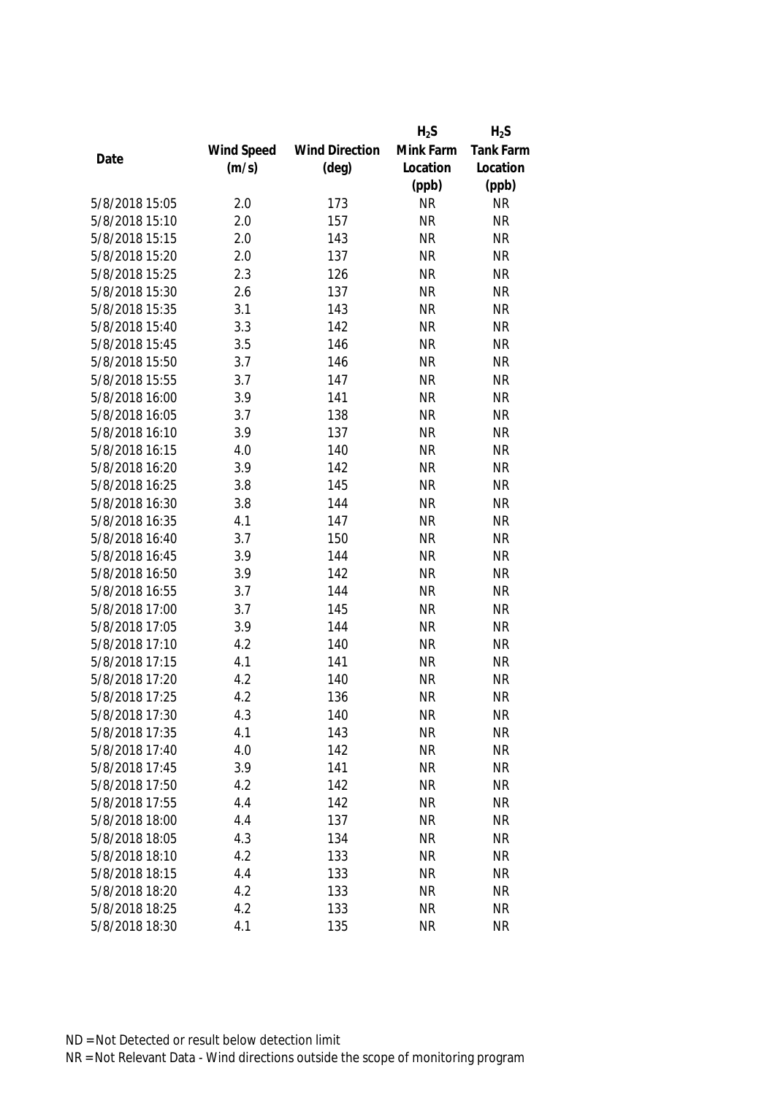|                |            |                       | $H_2S$    | $H_2S$    |
|----------------|------------|-----------------------|-----------|-----------|
|                | Wind Speed | <b>Wind Direction</b> | Mink Farm | Tank Farm |
| Date           | (m/s)      | $(\text{deg})$        | Location  | Location  |
|                |            |                       | (ppb)     | (ppb)     |
| 5/8/2018 15:05 | 2.0        | 173                   | <b>NR</b> | <b>NR</b> |
| 5/8/2018 15:10 | 2.0        | 157                   | <b>NR</b> | <b>NR</b> |
| 5/8/2018 15:15 | 2.0        | 143                   | <b>NR</b> | <b>NR</b> |
| 5/8/2018 15:20 | 2.0        | 137                   | <b>NR</b> | <b>NR</b> |
| 5/8/2018 15:25 | 2.3        | 126                   | <b>NR</b> | <b>NR</b> |
| 5/8/2018 15:30 | 2.6        | 137                   | <b>NR</b> | <b>NR</b> |
| 5/8/2018 15:35 | 3.1        | 143                   | <b>NR</b> | <b>NR</b> |
| 5/8/2018 15:40 | 3.3        | 142                   | <b>NR</b> | <b>NR</b> |
| 5/8/2018 15:45 | 3.5        | 146                   | <b>NR</b> | <b>NR</b> |
| 5/8/2018 15:50 | 3.7        | 146                   | <b>NR</b> | <b>NR</b> |
| 5/8/2018 15:55 | 3.7        | 147                   | <b>NR</b> | <b>NR</b> |
| 5/8/2018 16:00 | 3.9        | 141                   | <b>NR</b> | <b>NR</b> |
| 5/8/2018 16:05 | 3.7        | 138                   | <b>NR</b> | <b>NR</b> |
| 5/8/2018 16:10 | 3.9        | 137                   | <b>NR</b> | <b>NR</b> |
| 5/8/2018 16:15 | 4.0        | 140                   | <b>NR</b> | <b>NR</b> |
| 5/8/2018 16:20 | 3.9        | 142                   | <b>NR</b> | <b>NR</b> |
| 5/8/2018 16:25 | 3.8        | 145                   | <b>NR</b> | <b>NR</b> |
| 5/8/2018 16:30 | 3.8        | 144                   | <b>NR</b> | <b>NR</b> |
| 5/8/2018 16:35 | 4.1        | 147                   | <b>NR</b> | <b>NR</b> |
| 5/8/2018 16:40 | 3.7        | 150                   | <b>NR</b> | <b>NR</b> |
| 5/8/2018 16:45 | 3.9        | 144                   | <b>NR</b> | <b>NR</b> |
| 5/8/2018 16:50 | 3.9        | 142                   | <b>NR</b> | <b>NR</b> |
| 5/8/2018 16:55 | 3.7        | 144                   | <b>NR</b> | <b>NR</b> |
| 5/8/2018 17:00 | 3.7        | 145                   | <b>NR</b> | <b>NR</b> |
| 5/8/2018 17:05 | 3.9        | 144                   | <b>NR</b> | <b>NR</b> |
| 5/8/2018 17:10 | 4.2        | 140                   | <b>NR</b> | <b>NR</b> |
| 5/8/2018 17:15 | 4.1        | 141                   | <b>NR</b> | <b>NR</b> |
| 5/8/2018 17:20 | 4.2        | 140                   | <b>NR</b> | <b>NR</b> |
| 5/8/2018 17:25 | 4.2        | 136                   | <b>NR</b> | <b>NR</b> |
| 5/8/2018 17:30 | 4.3        | 140                   | <b>NR</b> | <b>NR</b> |
| 5/8/2018 17:35 | 4.1        | 143                   | <b>NR</b> | <b>NR</b> |
| 5/8/2018 17:40 | 4.0        | 142                   | <b>NR</b> | <b>NR</b> |
| 5/8/2018 17:45 | 3.9        | 141                   | <b>NR</b> | <b>NR</b> |
| 5/8/2018 17:50 | 4.2        | 142                   | <b>NR</b> | <b>NR</b> |
| 5/8/2018 17:55 | 4.4        | 142                   | <b>NR</b> | <b>NR</b> |
| 5/8/2018 18:00 | 4.4        | 137                   | <b>NR</b> | <b>NR</b> |
| 5/8/2018 18:05 | 4.3        | 134                   | <b>NR</b> | <b>NR</b> |
| 5/8/2018 18:10 | 4.2        | 133                   | <b>NR</b> | <b>NR</b> |
| 5/8/2018 18:15 | 4.4        | 133                   | <b>NR</b> | <b>NR</b> |
| 5/8/2018 18:20 | 4.2        | 133                   | <b>NR</b> | <b>NR</b> |
| 5/8/2018 18:25 | 4.2        | 133                   | <b>NR</b> | <b>NR</b> |
| 5/8/2018 18:30 | 4.1        | 135                   | <b>NR</b> | <b>NR</b> |
|                |            |                       |           |           |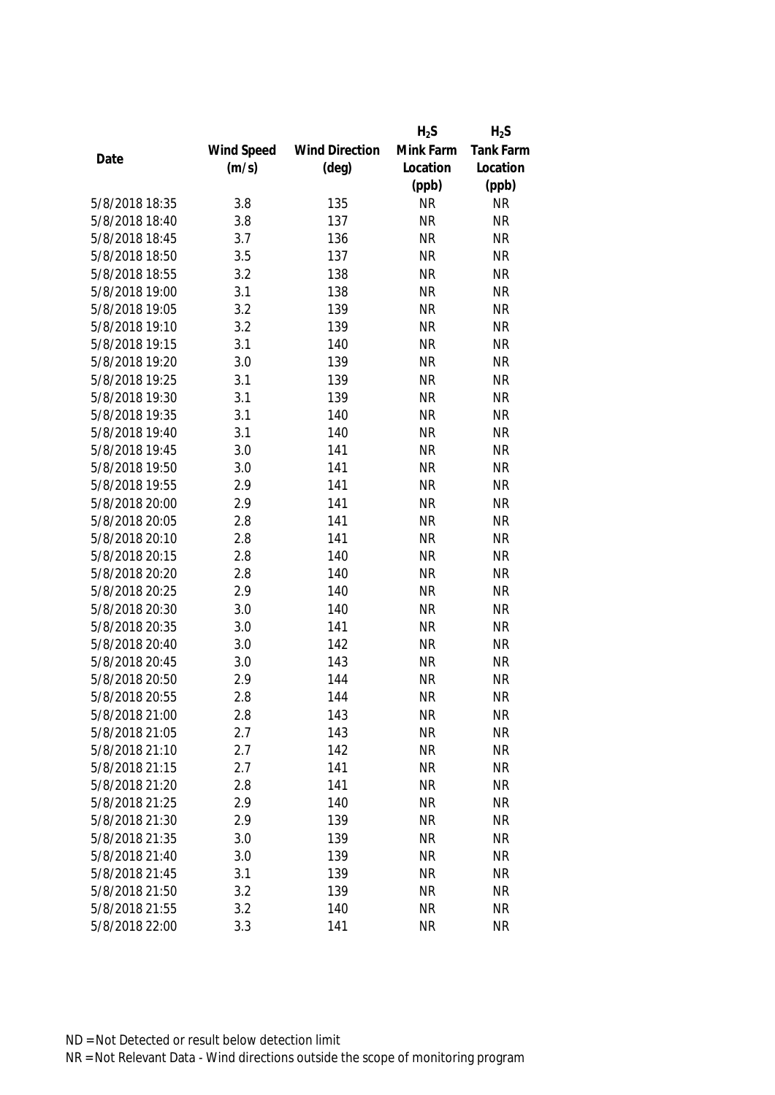|                |            |                       | $H_2S$    | $H_2S$           |
|----------------|------------|-----------------------|-----------|------------------|
|                | Wind Speed | <b>Wind Direction</b> | Mink Farm | <b>Tank Farm</b> |
| Date           | (m/s)      | $(\text{deg})$        | Location  | Location         |
|                |            |                       | (ppb)     | (ppb)            |
| 5/8/2018 18:35 | 3.8        | 135                   | <b>NR</b> | <b>NR</b>        |
| 5/8/2018 18:40 | 3.8        | 137                   | <b>NR</b> | <b>NR</b>        |
| 5/8/2018 18:45 | 3.7        | 136                   | <b>NR</b> | <b>NR</b>        |
| 5/8/2018 18:50 | 3.5        | 137                   | <b>NR</b> | <b>NR</b>        |
| 5/8/2018 18:55 | 3.2        | 138                   | <b>NR</b> | <b>NR</b>        |
| 5/8/2018 19:00 | 3.1        | 138                   | <b>NR</b> | <b>NR</b>        |
| 5/8/2018 19:05 | 3.2        | 139                   | <b>NR</b> | <b>NR</b>        |
| 5/8/2018 19:10 | 3.2        | 139                   | <b>NR</b> | <b>NR</b>        |
| 5/8/2018 19:15 | 3.1        | 140                   | <b>NR</b> | <b>NR</b>        |
| 5/8/2018 19:20 | 3.0        | 139                   | <b>NR</b> | <b>NR</b>        |
| 5/8/2018 19:25 | 3.1        | 139                   | <b>NR</b> | <b>NR</b>        |
| 5/8/2018 19:30 | 3.1        | 139                   | <b>NR</b> | <b>NR</b>        |
| 5/8/2018 19:35 | 3.1        | 140                   | <b>NR</b> | <b>NR</b>        |
| 5/8/2018 19:40 | 3.1        | 140                   | <b>NR</b> | <b>NR</b>        |
| 5/8/2018 19:45 | 3.0        | 141                   | <b>NR</b> | <b>NR</b>        |
| 5/8/2018 19:50 | 3.0        | 141                   | <b>NR</b> | <b>NR</b>        |
| 5/8/2018 19:55 | 2.9        | 141                   | <b>NR</b> | <b>NR</b>        |
| 5/8/2018 20:00 | 2.9        | 141                   | <b>NR</b> | <b>NR</b>        |
| 5/8/2018 20:05 | 2.8        | 141                   | <b>NR</b> | <b>NR</b>        |
| 5/8/2018 20:10 | 2.8        | 141                   | <b>NR</b> | <b>NR</b>        |
| 5/8/2018 20:15 | 2.8        | 140                   | <b>NR</b> | <b>NR</b>        |
| 5/8/2018 20:20 | 2.8        | 140                   | <b>NR</b> | <b>NR</b>        |
| 5/8/2018 20:25 | 2.9        | 140                   | <b>NR</b> | <b>NR</b>        |
| 5/8/2018 20:30 | 3.0        | 140                   | <b>NR</b> | <b>NR</b>        |
| 5/8/2018 20:35 | 3.0        | 141                   | <b>NR</b> | <b>NR</b>        |
| 5/8/2018 20:40 | 3.0        | 142                   | <b>NR</b> | <b>NR</b>        |
| 5/8/2018 20:45 | 3.0        | 143                   | <b>NR</b> | <b>NR</b>        |
| 5/8/2018 20:50 | 2.9        | 144                   | <b>NR</b> | <b>NR</b>        |
| 5/8/2018 20:55 | 2.8        | 144                   | <b>NR</b> | <b>NR</b>        |
| 5/8/2018 21:00 | 2.8        | 143                   | <b>NR</b> | <b>NR</b>        |
| 5/8/2018 21:05 | 2.7        | 143                   | <b>NR</b> | <b>NR</b>        |
| 5/8/2018 21:10 | 2.7        | 142                   | <b>NR</b> | <b>NR</b>        |
| 5/8/2018 21:15 | 2.7        | 141                   | <b>NR</b> | <b>NR</b>        |
| 5/8/2018 21:20 | 2.8        | 141                   | <b>NR</b> | <b>NR</b>        |
| 5/8/2018 21:25 | 2.9        | 140                   | <b>NR</b> | <b>NR</b>        |
| 5/8/2018 21:30 | 2.9        | 139                   | <b>NR</b> | <b>NR</b>        |
| 5/8/2018 21:35 | 3.0        | 139                   | <b>NR</b> | <b>NR</b>        |
| 5/8/2018 21:40 | 3.0        | 139                   | <b>NR</b> | <b>NR</b>        |
| 5/8/2018 21:45 | 3.1        | 139                   | <b>NR</b> | <b>NR</b>        |
| 5/8/2018 21:50 | 3.2        | 139                   | <b>NR</b> | <b>NR</b>        |
| 5/8/2018 21:55 | 3.2        | 140                   | <b>NR</b> | <b>NR</b>        |
| 5/8/2018 22:00 | 3.3        | 141                   | <b>NR</b> | <b>NR</b>        |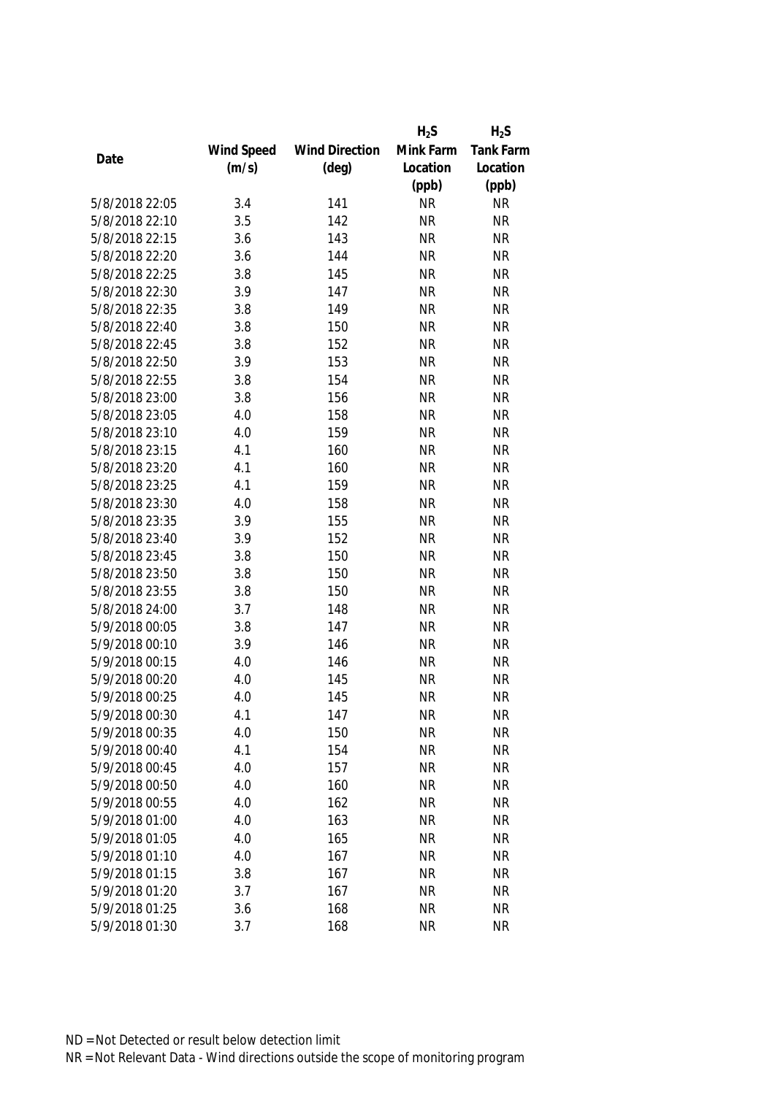|                |            |                       | $H_2S$    | $H_2S$    |
|----------------|------------|-----------------------|-----------|-----------|
|                | Wind Speed | <b>Wind Direction</b> | Mink Farm | Tank Farm |
| Date           | (m/s)      | $(\text{deg})$        | Location  | Location  |
|                |            |                       | (ppb)     | (ppb)     |
| 5/8/2018 22:05 | 3.4        | 141                   | <b>NR</b> | <b>NR</b> |
| 5/8/2018 22:10 | 3.5        | 142                   | <b>NR</b> | <b>NR</b> |
| 5/8/2018 22:15 | 3.6        | 143                   | <b>NR</b> | <b>NR</b> |
| 5/8/2018 22:20 | 3.6        | 144                   | <b>NR</b> | <b>NR</b> |
| 5/8/2018 22:25 | 3.8        | 145                   | <b>NR</b> | <b>NR</b> |
| 5/8/2018 22:30 | 3.9        | 147                   | <b>NR</b> | <b>NR</b> |
| 5/8/2018 22:35 | 3.8        | 149                   | <b>NR</b> | <b>NR</b> |
| 5/8/2018 22:40 | 3.8        | 150                   | <b>NR</b> | <b>NR</b> |
| 5/8/2018 22:45 | 3.8        | 152                   | <b>NR</b> | <b>NR</b> |
| 5/8/2018 22:50 | 3.9        | 153                   | <b>NR</b> | <b>NR</b> |
| 5/8/2018 22:55 | 3.8        | 154                   | <b>NR</b> | <b>NR</b> |
| 5/8/2018 23:00 | 3.8        | 156                   | <b>NR</b> | <b>NR</b> |
| 5/8/2018 23:05 | 4.0        | 158                   | <b>NR</b> | <b>NR</b> |
| 5/8/2018 23:10 | 4.0        | 159                   | <b>NR</b> | <b>NR</b> |
| 5/8/2018 23:15 | 4.1        | 160                   | <b>NR</b> | <b>NR</b> |
| 5/8/2018 23:20 | 4.1        | 160                   | <b>NR</b> | <b>NR</b> |
| 5/8/2018 23:25 | 4.1        | 159                   | <b>NR</b> | <b>NR</b> |
| 5/8/2018 23:30 | 4.0        | 158                   | <b>NR</b> | <b>NR</b> |
| 5/8/2018 23:35 | 3.9        | 155                   | <b>NR</b> | <b>NR</b> |
| 5/8/2018 23:40 | 3.9        | 152                   | <b>NR</b> | <b>NR</b> |
| 5/8/2018 23:45 | 3.8        | 150                   | <b>NR</b> | <b>NR</b> |
| 5/8/2018 23:50 | 3.8        | 150                   | <b>NR</b> | <b>NR</b> |
| 5/8/2018 23:55 | 3.8        | 150                   | <b>NR</b> | <b>NR</b> |
| 5/8/2018 24:00 | 3.7        | 148                   | <b>NR</b> | <b>NR</b> |
| 5/9/2018 00:05 | 3.8        | 147                   | <b>NR</b> | <b>NR</b> |
| 5/9/2018 00:10 | 3.9        | 146                   | <b>NR</b> | <b>NR</b> |
| 5/9/2018 00:15 | 4.0        | 146                   | <b>NR</b> | <b>NR</b> |
| 5/9/2018 00:20 | 4.0        | 145                   | <b>NR</b> | <b>NR</b> |
| 5/9/2018 00:25 | 4.0        | 145                   | <b>NR</b> | <b>NR</b> |
| 5/9/2018 00:30 | 4.1        | 147                   | <b>NR</b> | <b>NR</b> |
| 5/9/2018 00:35 | 4.0        | 150                   | <b>NR</b> | <b>NR</b> |
| 5/9/2018 00:40 | 4.1        | 154                   | <b>NR</b> | <b>NR</b> |
| 5/9/2018 00:45 | 4.0        | 157                   | <b>NR</b> | <b>NR</b> |
| 5/9/2018 00:50 | 4.0        | 160                   | <b>NR</b> | <b>NR</b> |
| 5/9/2018 00:55 |            |                       |           | <b>NR</b> |
|                | 4.0        | 162                   | <b>NR</b> | <b>NR</b> |
| 5/9/2018 01:00 | 4.0        | 163                   | <b>NR</b> |           |
| 5/9/2018 01:05 | 4.0        | 165                   | <b>NR</b> | <b>NR</b> |
| 5/9/2018 01:10 | 4.0        | 167                   | <b>NR</b> | <b>NR</b> |
| 5/9/2018 01:15 | 3.8        | 167                   | <b>NR</b> | <b>NR</b> |
| 5/9/2018 01:20 | 3.7        | 167                   | <b>NR</b> | <b>NR</b> |
| 5/9/2018 01:25 | 3.6        | 168                   | <b>NR</b> | <b>NR</b> |
| 5/9/2018 01:30 | 3.7        | 168                   | <b>NR</b> | <b>NR</b> |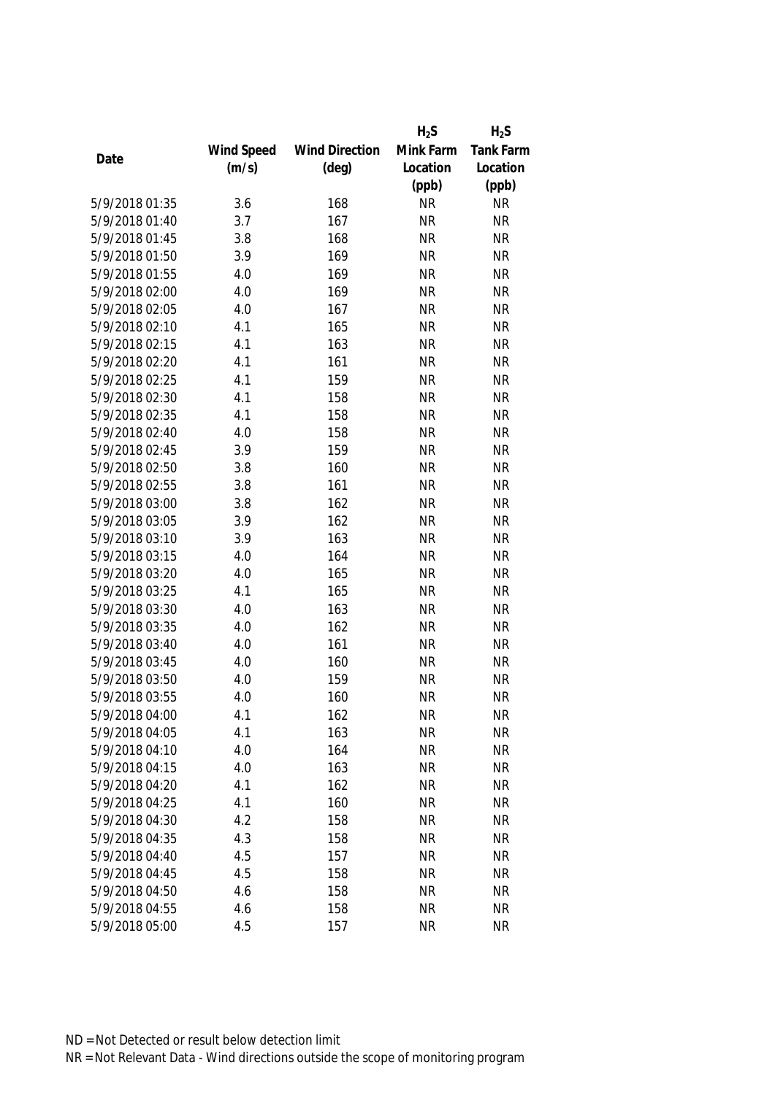|                |            |                       | $H_2S$    | $H_2S$    |
|----------------|------------|-----------------------|-----------|-----------|
|                | Wind Speed | <b>Wind Direction</b> | Mink Farm | Tank Farm |
| Date           | (m/s)      | $(\text{deg})$        | Location  | Location  |
|                |            |                       | (ppb)     | (ppb)     |
| 5/9/2018 01:35 | 3.6        | 168                   | <b>NR</b> | <b>NR</b> |
| 5/9/2018 01:40 | 3.7        | 167                   | <b>NR</b> | <b>NR</b> |
| 5/9/2018 01:45 | 3.8        | 168                   | <b>NR</b> | <b>NR</b> |
| 5/9/2018 01:50 | 3.9        | 169                   | <b>NR</b> | <b>NR</b> |
| 5/9/2018 01:55 | 4.0        | 169                   | <b>NR</b> | <b>NR</b> |
| 5/9/2018 02:00 | 4.0        | 169                   | <b>NR</b> | <b>NR</b> |
| 5/9/2018 02:05 | 4.0        | 167                   | <b>NR</b> | <b>NR</b> |
| 5/9/2018 02:10 | 4.1        | 165                   | <b>NR</b> | <b>NR</b> |
| 5/9/2018 02:15 | 4.1        | 163                   | <b>NR</b> | <b>NR</b> |
| 5/9/2018 02:20 | 4.1        | 161                   | <b>NR</b> | <b>NR</b> |
| 5/9/2018 02:25 | 4.1        | 159                   | <b>NR</b> | <b>NR</b> |
| 5/9/2018 02:30 | 4.1        | 158                   | <b>NR</b> | <b>NR</b> |
| 5/9/2018 02:35 | 4.1        | 158                   | <b>NR</b> | <b>NR</b> |
| 5/9/2018 02:40 | 4.0        | 158                   | <b>NR</b> | <b>NR</b> |
| 5/9/2018 02:45 | 3.9        | 159                   | <b>NR</b> | <b>NR</b> |
| 5/9/2018 02:50 | 3.8        | 160                   | <b>NR</b> | <b>NR</b> |
| 5/9/2018 02:55 | 3.8        | 161                   | <b>NR</b> | <b>NR</b> |
| 5/9/2018 03:00 | 3.8        | 162                   | <b>NR</b> | <b>NR</b> |
| 5/9/2018 03:05 | 3.9        | 162                   | <b>NR</b> | <b>NR</b> |
| 5/9/2018 03:10 | 3.9        | 163                   | <b>NR</b> | <b>NR</b> |
| 5/9/2018 03:15 | 4.0        | 164                   | <b>NR</b> | <b>NR</b> |
| 5/9/2018 03:20 | 4.0        | 165                   | <b>NR</b> | <b>NR</b> |
| 5/9/2018 03:25 | 4.1        | 165                   | <b>NR</b> | <b>NR</b> |
| 5/9/2018 03:30 | 4.0        | 163                   | <b>NR</b> | <b>NR</b> |
| 5/9/2018 03:35 | 4.0        | 162                   | <b>NR</b> | <b>NR</b> |
| 5/9/2018 03:40 | 4.0        | 161                   | <b>NR</b> | <b>NR</b> |
| 5/9/2018 03:45 | 4.0        | 160                   | <b>NR</b> | <b>NR</b> |
| 5/9/2018 03:50 | 4.0        | 159                   | <b>NR</b> | <b>NR</b> |
| 5/9/2018 03:55 | 4.0        | 160                   | <b>NR</b> | <b>NR</b> |
| 5/9/2018 04:00 | 4.1        | 162                   | <b>NR</b> | <b>NR</b> |
| 5/9/2018 04:05 | 4.1        | 163                   | <b>NR</b> | <b>NR</b> |
| 5/9/2018 04:10 | 4.0        | 164                   | <b>NR</b> | <b>NR</b> |
| 5/9/2018 04:15 | 4.0        | 163                   | <b>NR</b> | <b>NR</b> |
| 5/9/2018 04:20 | 4.1        | 162                   | <b>NR</b> | <b>NR</b> |
| 5/9/2018 04:25 | 4.1        | 160                   | <b>NR</b> | <b>NR</b> |
| 5/9/2018 04:30 | 4.2        | 158                   | <b>NR</b> | <b>NR</b> |
| 5/9/2018 04:35 | 4.3        | 158                   | <b>NR</b> | <b>NR</b> |
| 5/9/2018 04:40 | 4.5        | 157                   | <b>NR</b> | <b>NR</b> |
| 5/9/2018 04:45 | 4.5        | 158                   | <b>NR</b> | <b>NR</b> |
| 5/9/2018 04:50 | 4.6        | 158                   | <b>NR</b> | <b>NR</b> |
| 5/9/2018 04:55 | 4.6        | 158                   | <b>NR</b> | <b>NR</b> |
| 5/9/2018 05:00 | 4.5        | 157                   | <b>NR</b> | <b>NR</b> |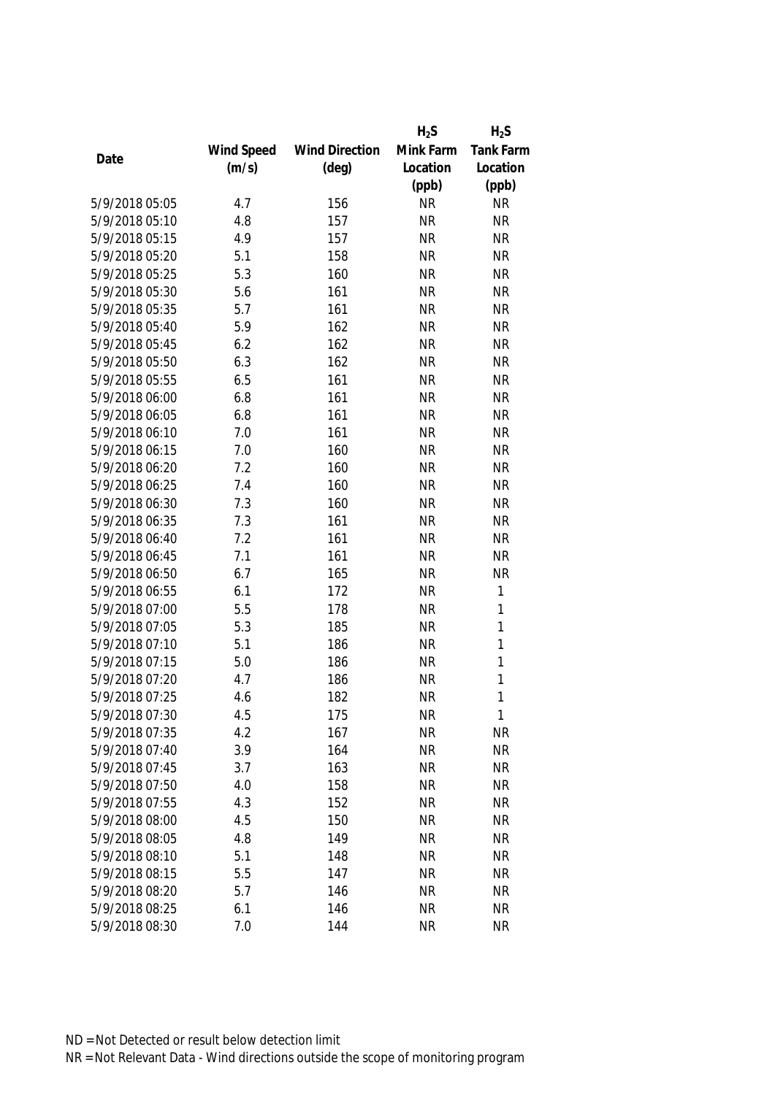|                |            |                       | $H_2S$    | $H_2S$    |
|----------------|------------|-----------------------|-----------|-----------|
|                | Wind Speed | <b>Wind Direction</b> | Mink Farm | Tank Farm |
| Date           | (m/s)      | $(\text{deg})$        | Location  | Location  |
|                |            |                       | (ppb)     | (ppb)     |
| 5/9/2018 05:05 | 4.7        | 156                   | <b>NR</b> | <b>NR</b> |
| 5/9/2018 05:10 | 4.8        | 157                   | <b>NR</b> | <b>NR</b> |
| 5/9/2018 05:15 | 4.9        | 157                   | <b>NR</b> | <b>NR</b> |
| 5/9/2018 05:20 | 5.1        | 158                   | <b>NR</b> | <b>NR</b> |
| 5/9/2018 05:25 | 5.3        | 160                   | <b>NR</b> | <b>NR</b> |
| 5/9/2018 05:30 | 5.6        | 161                   | <b>NR</b> | <b>NR</b> |
| 5/9/2018 05:35 | 5.7        | 161                   | <b>NR</b> | <b>NR</b> |
| 5/9/2018 05:40 | 5.9        | 162                   | <b>NR</b> | <b>NR</b> |
| 5/9/2018 05:45 | 6.2        | 162                   | <b>NR</b> | <b>NR</b> |
| 5/9/2018 05:50 | 6.3        | 162                   | <b>NR</b> | <b>NR</b> |
| 5/9/2018 05:55 | 6.5        | 161                   | <b>NR</b> | <b>NR</b> |
| 5/9/2018 06:00 | 6.8        | 161                   | <b>NR</b> | <b>NR</b> |
| 5/9/2018 06:05 | 6.8        | 161                   | <b>NR</b> | <b>NR</b> |
| 5/9/2018 06:10 | 7.0        | 161                   | <b>NR</b> | <b>NR</b> |
| 5/9/2018 06:15 | 7.0        | 160                   | <b>NR</b> | <b>NR</b> |
| 5/9/2018 06:20 | 7.2        | 160                   | <b>NR</b> | <b>NR</b> |
| 5/9/2018 06:25 | 7.4        | 160                   | <b>NR</b> | <b>NR</b> |
| 5/9/2018 06:30 | 7.3        | 160                   | <b>NR</b> | <b>NR</b> |
| 5/9/2018 06:35 | 7.3        | 161                   | <b>NR</b> | <b>NR</b> |
| 5/9/2018 06:40 | 7.2        | 161                   | <b>NR</b> | <b>NR</b> |
| 5/9/2018 06:45 | 7.1        | 161                   | <b>NR</b> | <b>NR</b> |
| 5/9/2018 06:50 | 6.7        | 165                   | <b>NR</b> | <b>NR</b> |
| 5/9/2018 06:55 | 6.1        | 172                   | <b>NR</b> | 1         |
| 5/9/2018 07:00 | 5.5        | 178                   | <b>NR</b> | 1         |
| 5/9/2018 07:05 | 5.3        | 185                   | <b>NR</b> | 1         |
| 5/9/2018 07:10 | 5.1        | 186                   | <b>NR</b> | 1         |
| 5/9/2018 07:15 | 5.0        | 186                   | <b>NR</b> | 1         |
| 5/9/2018 07:20 | 4.7        | 186                   | <b>NR</b> | 1         |
| 5/9/2018 07:25 | 4.6        | 182                   | <b>NR</b> | 1         |
| 5/9/2018 07:30 | 4.5        | 175                   | <b>NR</b> | 1         |
| 5/9/2018 07:35 | 4.2        | 167                   | <b>NR</b> | NR        |
| 5/9/2018 07:40 | 3.9        | 164                   | <b>NR</b> | <b>NR</b> |
| 5/9/2018 07:45 | 3.7        | 163                   | <b>NR</b> | <b>NR</b> |
| 5/9/2018 07:50 | 4.0        | 158                   | <b>NR</b> | <b>NR</b> |
| 5/9/2018 07:55 | 4.3        | 152                   | <b>NR</b> | <b>NR</b> |
| 5/9/2018 08:00 | 4.5        | 150                   | <b>NR</b> | <b>NR</b> |
| 5/9/2018 08:05 | 4.8        | 149                   | <b>NR</b> | <b>NR</b> |
| 5/9/2018 08:10 | 5.1        | 148                   | <b>NR</b> | <b>NR</b> |
| 5/9/2018 08:15 | 5.5        | 147                   | <b>NR</b> | <b>NR</b> |
| 5/9/2018 08:20 | 5.7        | 146                   | <b>NR</b> | <b>NR</b> |
| 5/9/2018 08:25 | 6.1        | 146                   | <b>NR</b> | <b>NR</b> |
| 5/9/2018 08:30 | 7.0        | 144                   | <b>NR</b> | <b>NR</b> |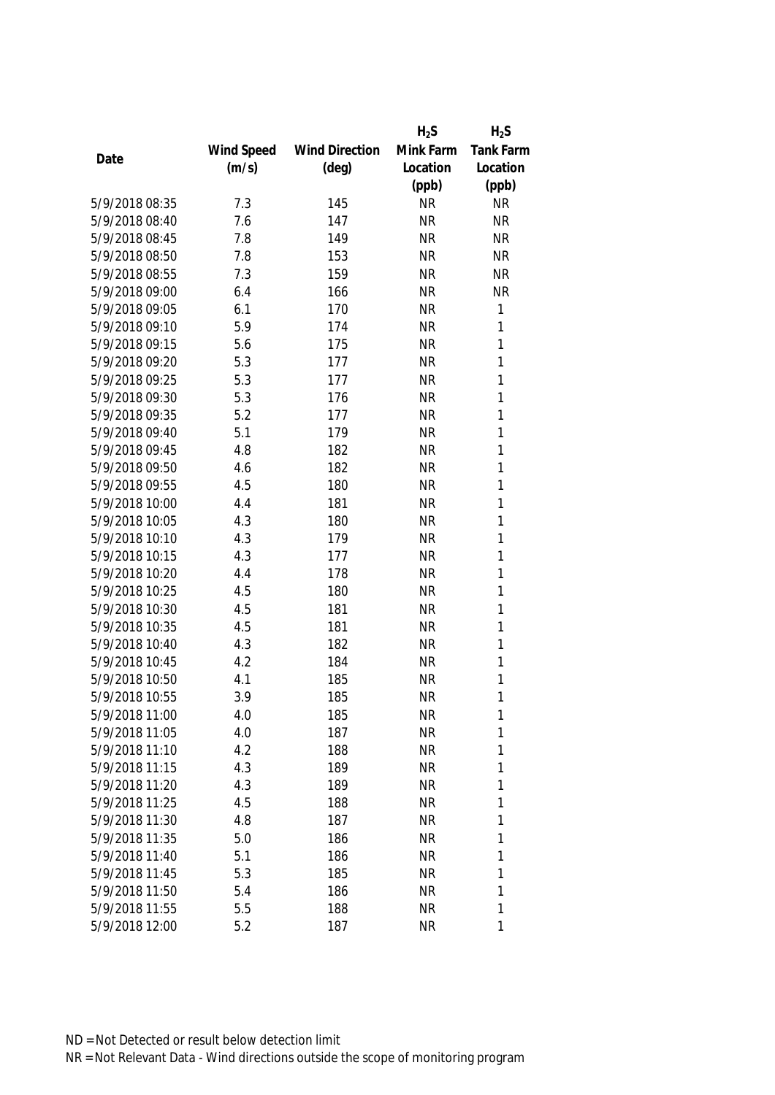|                |            |                       | $H_2S$    | $H_2S$           |
|----------------|------------|-----------------------|-----------|------------------|
|                | Wind Speed | <b>Wind Direction</b> | Mink Farm | <b>Tank Farm</b> |
| Date           | (m/s)      | $(\text{deg})$        | Location  | Location         |
|                |            |                       | (ppb)     | (ppb)            |
| 5/9/2018 08:35 | 7.3        | 145                   | <b>NR</b> | <b>NR</b>        |
| 5/9/2018 08:40 | 7.6        | 147                   | <b>NR</b> | <b>NR</b>        |
| 5/9/2018 08:45 | 7.8        | 149                   | <b>NR</b> | <b>NR</b>        |
| 5/9/2018 08:50 | 7.8        | 153                   | <b>NR</b> | <b>NR</b>        |
| 5/9/2018 08:55 | 7.3        | 159                   | <b>NR</b> | <b>NR</b>        |
| 5/9/2018 09:00 | 6.4        | 166                   | <b>NR</b> | <b>NR</b>        |
| 5/9/2018 09:05 | 6.1        | 170                   | <b>NR</b> | 1                |
| 5/9/2018 09:10 | 5.9        | 174                   | <b>NR</b> | 1                |
| 5/9/2018 09:15 | 5.6        | 175                   | <b>NR</b> | $\mathbf{1}$     |
| 5/9/2018 09:20 | 5.3        | 177                   | <b>NR</b> | 1                |
| 5/9/2018 09:25 | 5.3        | 177                   | <b>NR</b> | 1                |
| 5/9/2018 09:30 | 5.3        | 176                   | <b>NR</b> | 1                |
| 5/9/2018 09:35 | 5.2        | 177                   | <b>NR</b> | 1                |
| 5/9/2018 09:40 | 5.1        | 179                   | <b>NR</b> | 1                |
| 5/9/2018 09:45 | 4.8        | 182                   | <b>NR</b> | 1                |
| 5/9/2018 09:50 | 4.6        | 182                   | <b>NR</b> | $\mathbf{1}$     |
| 5/9/2018 09:55 | 4.5        | 180                   | <b>NR</b> | 1                |
| 5/9/2018 10:00 | 4.4        | 181                   | <b>NR</b> | $\mathbf{1}$     |
| 5/9/2018 10:05 | 4.3        | 180                   | <b>NR</b> | 1                |
| 5/9/2018 10:10 | 4.3        | 179                   | <b>NR</b> | 1                |
| 5/9/2018 10:15 | 4.3        | 177                   | <b>NR</b> | $\mathbf{1}$     |
| 5/9/2018 10:20 | 4.4        | 178                   | <b>NR</b> | $\mathbf{1}$     |
| 5/9/2018 10:25 | 4.5        | 180                   | <b>NR</b> | 1                |
| 5/9/2018 10:30 | 4.5        | 181                   | <b>NR</b> | 1                |
| 5/9/2018 10:35 | 4.5        | 181                   | <b>NR</b> | 1                |
| 5/9/2018 10:40 | 4.3        | 182                   | <b>NR</b> | 1                |
| 5/9/2018 10:45 | 4.2        | 184                   | <b>NR</b> | 1                |
| 5/9/2018 10:50 | 4.1        | 185                   | <b>NR</b> | 1                |
| 5/9/2018 10:55 | 3.9        | 185                   | <b>NR</b> | 1                |
| 5/9/2018 11:00 | 4.0        | 185                   | <b>NR</b> | 1                |
| 5/9/2018 11:05 | 4.0        | 187                   | <b>NR</b> | 1                |
| 5/9/2018 11:10 | 4.2        | 188                   | <b>NR</b> | 1                |
| 5/9/2018 11:15 | 4.3        | 189                   | <b>NR</b> | 1                |
| 5/9/2018 11:20 | 4.3        | 189                   | <b>NR</b> | 1                |
| 5/9/2018 11:25 | 4.5        | 188                   | <b>NR</b> | 1                |
| 5/9/2018 11:30 | 4.8        | 187                   | <b>NR</b> | 1                |
| 5/9/2018 11:35 | 5.0        | 186                   | <b>NR</b> | 1                |
| 5/9/2018 11:40 | 5.1        | 186                   | <b>NR</b> | 1                |
| 5/9/2018 11:45 | 5.3        | 185                   | <b>NR</b> | 1                |
| 5/9/2018 11:50 | 5.4        | 186                   | <b>NR</b> | 1                |
| 5/9/2018 11:55 | 5.5        | 188                   | <b>NR</b> | 1                |
| 5/9/2018 12:00 | 5.2        | 187                   | <b>NR</b> | 1                |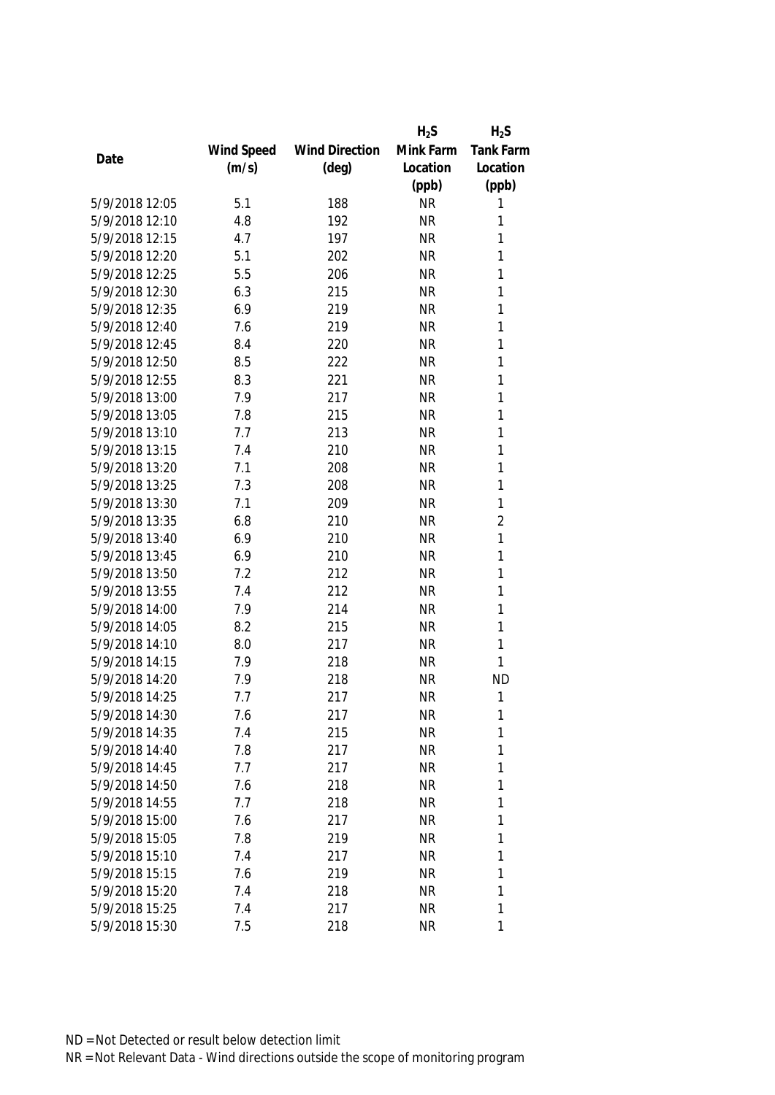|                |            |                       | $H_2S$    | $H_2S$           |
|----------------|------------|-----------------------|-----------|------------------|
|                | Wind Speed | <b>Wind Direction</b> | Mink Farm | <b>Tank Farm</b> |
| Date           | (m/s)      | $(\text{deg})$        | Location  | Location         |
|                |            |                       | (ppb)     | (ppb)            |
| 5/9/2018 12:05 | 5.1        | 188                   | <b>NR</b> | 1                |
| 5/9/2018 12:10 | 4.8        | 192                   | <b>NR</b> | 1                |
| 5/9/2018 12:15 | 4.7        | 197                   | <b>NR</b> | 1                |
| 5/9/2018 12:20 | 5.1        | 202                   | <b>NR</b> | 1                |
| 5/9/2018 12:25 | 5.5        | 206                   | <b>NR</b> | 1                |
| 5/9/2018 12:30 | 6.3        | 215                   | <b>NR</b> | 1                |
| 5/9/2018 12:35 | 6.9        | 219                   | <b>NR</b> | 1                |
| 5/9/2018 12:40 | 7.6        | 219                   | <b>NR</b> | 1                |
| 5/9/2018 12:45 | 8.4        | 220                   | <b>NR</b> | 1                |
| 5/9/2018 12:50 | 8.5        | 222                   | <b>NR</b> | 1                |
| 5/9/2018 12:55 | 8.3        | 221                   | <b>NR</b> | 1                |
| 5/9/2018 13:00 | 7.9        | 217                   | <b>NR</b> | 1                |
| 5/9/2018 13:05 | 7.8        | 215                   | <b>NR</b> | 1                |
| 5/9/2018 13:10 | 7.7        | 213                   | <b>NR</b> | 1                |
| 5/9/2018 13:15 | 7.4        | 210                   | <b>NR</b> | 1                |
| 5/9/2018 13:20 | 7.1        | 208                   | <b>NR</b> | $\mathbf{1}$     |
| 5/9/2018 13:25 | 7.3        | 208                   | <b>NR</b> | 1                |
| 5/9/2018 13:30 | 7.1        | 209                   | <b>NR</b> | 1                |
| 5/9/2018 13:35 | 6.8        | 210                   | <b>NR</b> | $\overline{2}$   |
| 5/9/2018 13:40 | 6.9        | 210                   | <b>NR</b> | $\mathbf{1}$     |
| 5/9/2018 13:45 | 6.9        | 210                   | <b>NR</b> | 1                |
| 5/9/2018 13:50 | 7.2        | 212                   | <b>NR</b> | 1                |
| 5/9/2018 13:55 | 7.4        | 212                   | <b>NR</b> | 1                |
| 5/9/2018 14:00 | 7.9        | 214                   | <b>NR</b> | 1                |
| 5/9/2018 14:05 | 8.2        | 215                   | <b>NR</b> | 1                |
| 5/9/2018 14:10 | 8.0        | 217                   | <b>NR</b> | 1                |
| 5/9/2018 14:15 | 7.9        | 218                   | <b>NR</b> | 1                |
| 5/9/2018 14:20 | 7.9        | 218                   | <b>NR</b> | <b>ND</b>        |
| 5/9/2018 14:25 | 7.7        | 217                   | <b>NR</b> | 1                |
| 5/9/2018 14:30 | 7.6        | 217                   | <b>NR</b> | 1                |
| 5/9/2018 14:35 | 7.4        | 215                   | <b>NR</b> | 1                |
| 5/9/2018 14:40 | 7.8        | 217                   | <b>NR</b> | 1                |
| 5/9/2018 14:45 | 7.7        | 217                   | <b>NR</b> | 1                |
| 5/9/2018 14:50 | 7.6        | 218                   | <b>NR</b> | 1                |
| 5/9/2018 14:55 | 7.7        | 218                   | <b>NR</b> | 1                |
| 5/9/2018 15:00 | 7.6        | 217                   | <b>NR</b> | 1                |
| 5/9/2018 15:05 | 7.8        | 219                   | <b>NR</b> | 1                |
| 5/9/2018 15:10 | 7.4        | 217                   | <b>NR</b> | 1                |
| 5/9/2018 15:15 | 7.6        | 219                   | <b>NR</b> | 1                |
| 5/9/2018 15:20 | 7.4        | 218                   | <b>NR</b> | 1                |
| 5/9/2018 15:25 | 7.4        | 217                   | <b>NR</b> | 1                |
| 5/9/2018 15:30 | 7.5        | 218                   | <b>NR</b> | 1                |
|                |            |                       |           |                  |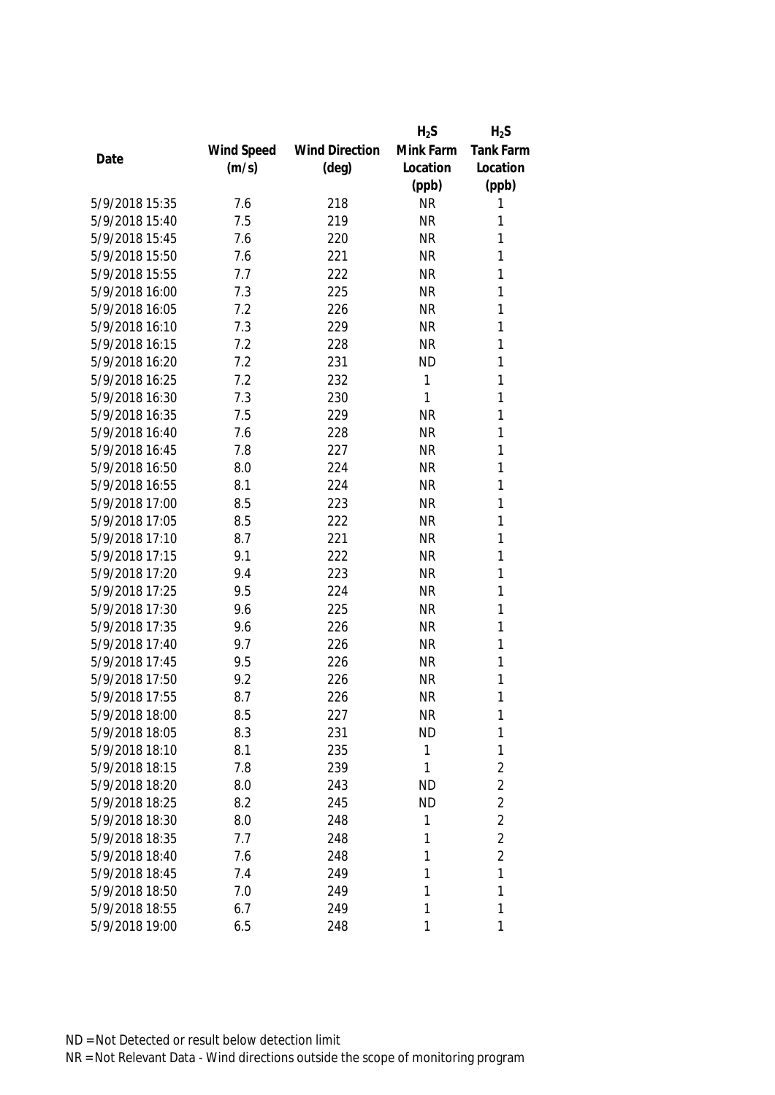|                |            |                       | $H_2S$    | $H_2S$           |
|----------------|------------|-----------------------|-----------|------------------|
|                | Wind Speed | <b>Wind Direction</b> | Mink Farm | <b>Tank Farm</b> |
| Date           | (m/s)      | $(\text{deg})$        | Location  | Location         |
|                |            |                       | (ppb)     | (ppb)            |
| 5/9/2018 15:35 | 7.6        | 218                   | <b>NR</b> | 1                |
| 5/9/2018 15:40 | 7.5        | 219                   | <b>NR</b> | 1                |
| 5/9/2018 15:45 | 7.6        | 220                   | <b>NR</b> | 1                |
| 5/9/2018 15:50 | 7.6        | 221                   | <b>NR</b> | 1                |
| 5/9/2018 15:55 | 7.7        | 222                   | <b>NR</b> | 1                |
| 5/9/2018 16:00 | 7.3        | 225                   | <b>NR</b> | 1                |
| 5/9/2018 16:05 | 7.2        | 226                   | <b>NR</b> | 1                |
| 5/9/2018 16:10 | 7.3        | 229                   | <b>NR</b> | 1                |
| 5/9/2018 16:15 | 7.2        | 228                   | <b>NR</b> | 1                |
| 5/9/2018 16:20 | 7.2        | 231                   | <b>ND</b> | 1                |
| 5/9/2018 16:25 | 7.2        | 232                   | 1         | 1                |
| 5/9/2018 16:30 | 7.3        | 230                   | 1         | 1                |
| 5/9/2018 16:35 | 7.5        | 229                   | <b>NR</b> | 1                |
| 5/9/2018 16:40 | 7.6        | 228                   | <b>NR</b> | 1                |
| 5/9/2018 16:45 | 7.8        | 227                   | <b>NR</b> | 1                |
| 5/9/2018 16:50 | 8.0        | 224                   | <b>NR</b> | 1                |
| 5/9/2018 16:55 | 8.1        | 224                   | <b>NR</b> | 1                |
| 5/9/2018 17:00 | 8.5        | 223                   | <b>NR</b> | 1                |
| 5/9/2018 17:05 | 8.5        | 222                   | <b>NR</b> | 1                |
| 5/9/2018 17:10 | 8.7        | 221                   | <b>NR</b> | 1                |
| 5/9/2018 17:15 | 9.1        | 222                   | <b>NR</b> | 1                |
| 5/9/2018 17:20 | 9.4        | 223                   | <b>NR</b> | 1                |
| 5/9/2018 17:25 | 9.5        | 224                   | <b>NR</b> | 1                |
| 5/9/2018 17:30 | 9.6        | 225                   | <b>NR</b> | 1                |
| 5/9/2018 17:35 | 9.6        | 226                   | <b>NR</b> | 1                |
| 5/9/2018 17:40 | 9.7        | 226                   | <b>NR</b> | 1                |
| 5/9/2018 17:45 | 9.5        | 226                   | <b>NR</b> | 1                |
| 5/9/2018 17:50 | 9.2        | 226                   | <b>NR</b> | 1                |
| 5/9/2018 17:55 | 8.7        | 226                   | <b>NR</b> | 1                |
| 5/9/2018 18:00 | 8.5        | 227                   | <b>NR</b> | 1                |
| 5/9/2018 18:05 | 8.3        | 231                   | ND        | 1                |
| 5/9/2018 18:10 | 8.1        | 235                   | 1         | 1                |
| 5/9/2018 18:15 | 7.8        | 239                   | 1         | $\overline{2}$   |
| 5/9/2018 18:20 | 8.0        | 243                   | <b>ND</b> | $\overline{2}$   |
| 5/9/2018 18:25 | 8.2        | 245                   | <b>ND</b> | $\overline{2}$   |
| 5/9/2018 18:30 | 8.0        | 248                   | 1         | $\overline{2}$   |
| 5/9/2018 18:35 | 7.7        | 248                   | 1         | $\overline{2}$   |
| 5/9/2018 18:40 | 7.6        | 248                   | 1         | $\overline{2}$   |
| 5/9/2018 18:45 | 7.4        | 249                   | 1         | 1                |
| 5/9/2018 18:50 | 7.0        | 249                   | 1         | 1                |
| 5/9/2018 18:55 | 6.7        | 249                   | 1         | 1                |
| 5/9/2018 19:00 | 6.5        | 248                   | 1         | 1                |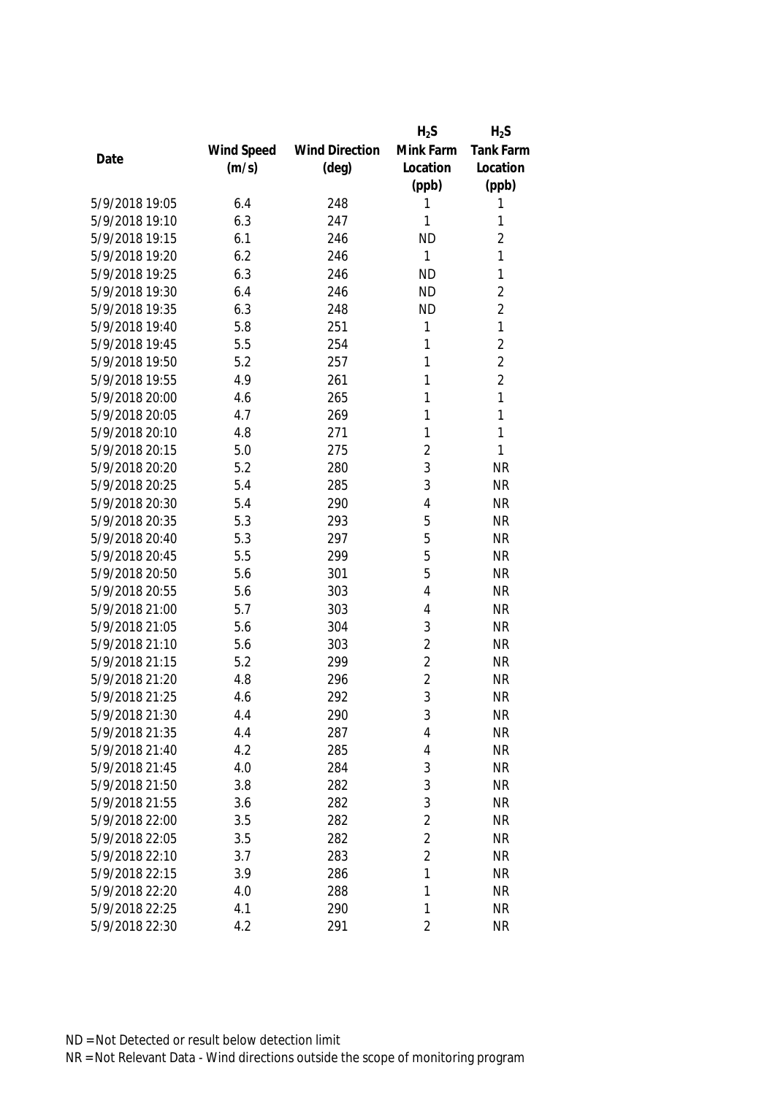|                |            |                       | $H_2S$         | $H_2S$         |
|----------------|------------|-----------------------|----------------|----------------|
|                | Wind Speed | <b>Wind Direction</b> | Mink Farm      | Tank Farm      |
| Date           | (m/s)      | $(\text{deg})$        | Location       | Location       |
|                |            |                       | (ppb)          | (ppb)          |
| 5/9/2018 19:05 | 6.4        | 248                   | 1              | 1              |
| 5/9/2018 19:10 | 6.3        | 247                   | 1              | 1              |
| 5/9/2018 19:15 | 6.1        | 246                   | <b>ND</b>      | $\overline{2}$ |
| 5/9/2018 19:20 | 6.2        | 246                   | 1              | 1              |
| 5/9/2018 19:25 | 6.3        | 246                   | <b>ND</b>      | 1              |
| 5/9/2018 19:30 | 6.4        | 246                   | <b>ND</b>      | $\overline{2}$ |
| 5/9/2018 19:35 | 6.3        | 248                   | <b>ND</b>      | $\overline{2}$ |
| 5/9/2018 19:40 | 5.8        | 251                   | 1              | $\mathbf{1}$   |
| 5/9/2018 19:45 | 5.5        | 254                   | 1              | $\overline{2}$ |
| 5/9/2018 19:50 | 5.2        | 257                   | 1              | $\overline{2}$ |
| 5/9/2018 19:55 | 4.9        | 261                   | 1              | $\overline{2}$ |
| 5/9/2018 20:00 | 4.6        | 265                   | 1              | 1              |
| 5/9/2018 20:05 | 4.7        | 269                   | 1              | 1              |
| 5/9/2018 20:10 | 4.8        | 271                   | 1              | $\mathbf{1}$   |
| 5/9/2018 20:15 | 5.0        | 275                   | $\overline{2}$ | 1              |
| 5/9/2018 20:20 | 5.2        | 280                   | 3              | <b>NR</b>      |
| 5/9/2018 20:25 | 5.4        | 285                   | 3              | <b>NR</b>      |
| 5/9/2018 20:30 | 5.4        | 290                   | 4              | <b>NR</b>      |
| 5/9/2018 20:35 | 5.3        | 293                   | 5              | <b>NR</b>      |
| 5/9/2018 20:40 | 5.3        | 297                   | 5              | <b>NR</b>      |
| 5/9/2018 20:45 | 5.5        | 299                   | 5              | <b>NR</b>      |
| 5/9/2018 20:50 | 5.6        | 301                   | 5              | <b>NR</b>      |
| 5/9/2018 20:55 | 5.6        | 303                   | 4              | <b>NR</b>      |
| 5/9/2018 21:00 | 5.7        | 303                   | 4              | <b>NR</b>      |
| 5/9/2018 21:05 | 5.6        | 304                   | 3              | <b>NR</b>      |
| 5/9/2018 21:10 | 5.6        | 303                   | $\overline{2}$ | <b>NR</b>      |
| 5/9/2018 21:15 | 5.2        | 299                   | $\overline{2}$ | <b>NR</b>      |
| 5/9/2018 21:20 | 4.8        | 296                   | $\overline{2}$ | <b>NR</b>      |
| 5/9/2018 21:25 | 4.6        | 292                   | 3              | <b>NR</b>      |
| 5/9/2018 21:30 | 4.4        | 290                   | 3              | <b>NR</b>      |
| 5/9/2018 21:35 | 4.4        | 287                   | 4              | <b>NR</b>      |
| 5/9/2018 21:40 | 4.2        | 285                   | 4              | <b>NR</b>      |
| 5/9/2018 21:45 | 4.0        | 284                   | 3              | <b>NR</b>      |
| 5/9/2018 21:50 | 3.8        | 282                   | 3              | <b>NR</b>      |
| 5/9/2018 21:55 | 3.6        | 282                   | 3              | <b>NR</b>      |
| 5/9/2018 22:00 | 3.5        | 282                   | $\overline{2}$ | <b>NR</b>      |
| 5/9/2018 22:05 | 3.5        | 282                   | $\overline{2}$ | <b>NR</b>      |
| 5/9/2018 22:10 | 3.7        | 283                   | $\overline{2}$ | <b>NR</b>      |
| 5/9/2018 22:15 | 3.9        | 286                   | 1              | <b>NR</b>      |
| 5/9/2018 22:20 | 4.0        | 288                   | 1              | <b>NR</b>      |
| 5/9/2018 22:25 | 4.1        | 290                   | 1              | <b>NR</b>      |
| 5/9/2018 22:30 | 4.2        | 291                   | $\overline{2}$ | <b>NR</b>      |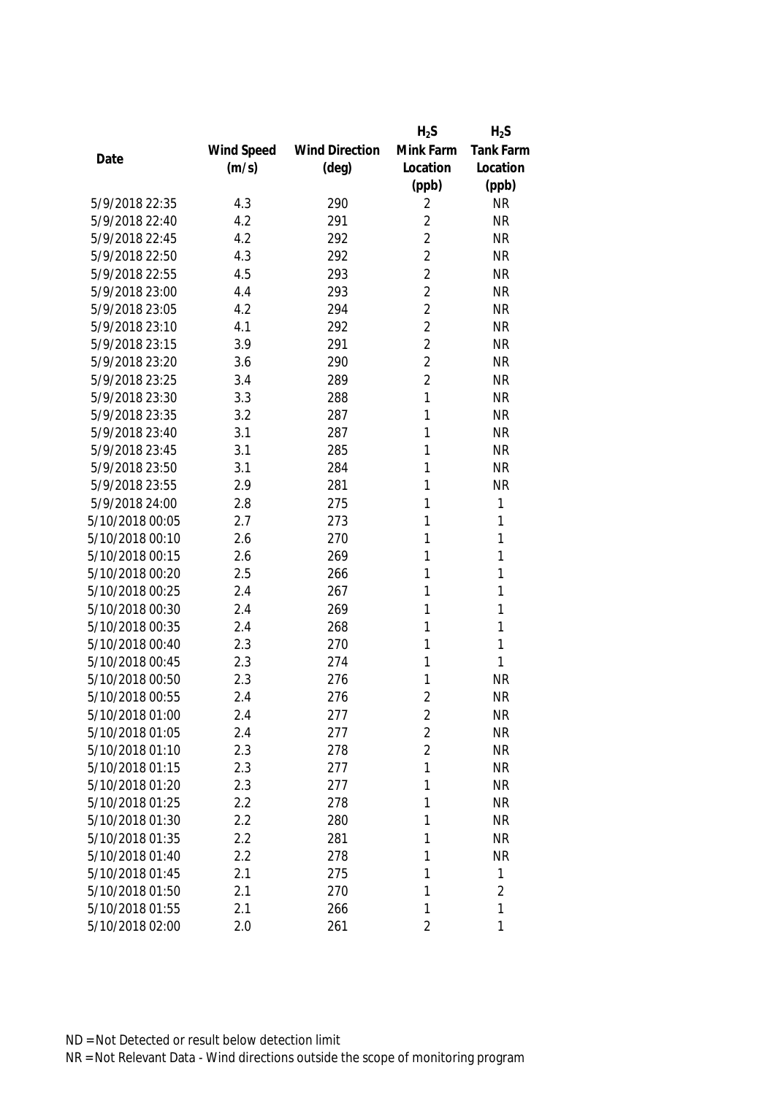|                 |            |                       | $H_2S$         | $H_2S$           |
|-----------------|------------|-----------------------|----------------|------------------|
|                 | Wind Speed | <b>Wind Direction</b> | Mink Farm      | <b>Tank Farm</b> |
| Date            | (m/s)      | $(\text{deg})$        | Location       | Location         |
|                 |            |                       | (ppb)          | (ppb)            |
| 5/9/2018 22:35  | 4.3        | 290                   | 2              | <b>NR</b>        |
| 5/9/2018 22:40  | 4.2        | 291                   | $\overline{2}$ | <b>NR</b>        |
| 5/9/2018 22:45  | 4.2        | 292                   | $\overline{2}$ | <b>NR</b>        |
| 5/9/2018 22:50  | 4.3        | 292                   | $\overline{2}$ | <b>NR</b>        |
| 5/9/2018 22:55  | 4.5        | 293                   | $\overline{2}$ | <b>NR</b>        |
| 5/9/2018 23:00  | 4.4        | 293                   | $\overline{2}$ | <b>NR</b>        |
| 5/9/2018 23:05  | 4.2        | 294                   | $\overline{2}$ | <b>NR</b>        |
| 5/9/2018 23:10  | 4.1        | 292                   | $\overline{2}$ | <b>NR</b>        |
| 5/9/2018 23:15  | 3.9        | 291                   | $\overline{2}$ | <b>NR</b>        |
| 5/9/2018 23:20  | 3.6        | 290                   | $\overline{2}$ | <b>NR</b>        |
| 5/9/2018 23:25  | 3.4        | 289                   | $\overline{2}$ | <b>NR</b>        |
| 5/9/2018 23:30  | 3.3        | 288                   | 1              | <b>NR</b>        |
| 5/9/2018 23:35  | 3.2        | 287                   | 1              | <b>NR</b>        |
| 5/9/2018 23:40  | 3.1        | 287                   | 1              | <b>NR</b>        |
| 5/9/2018 23:45  | 3.1        | 285                   | 1              | <b>NR</b>        |
| 5/9/2018 23:50  | 3.1        | 284                   | 1              | <b>NR</b>        |
| 5/9/2018 23:55  | 2.9        | 281                   | 1              | <b>NR</b>        |
| 5/9/2018 24:00  | 2.8        | 275                   | 1              | 1                |
| 5/10/2018 00:05 | 2.7        | 273                   | 1              | 1                |
| 5/10/2018 00:10 | 2.6        | 270                   | 1              | 1                |
| 5/10/2018 00:15 | 2.6        | 269                   | 1              | 1                |
| 5/10/2018 00:20 | 2.5        | 266                   | 1              | 1                |
| 5/10/2018 00:25 | 2.4        | 267                   | 1              | 1                |
| 5/10/2018 00:30 | 2.4        | 269                   | 1              | 1                |
| 5/10/2018 00:35 | 2.4        | 268                   | 1              | 1                |
| 5/10/2018 00:40 | 2.3        | 270                   | 1              | 1                |
| 5/10/2018 00:45 | 2.3        | 274                   | 1              | 1                |
| 5/10/2018 00:50 | 2.3        | 276                   | 1              | <b>NR</b>        |
| 5/10/2018 00:55 | 2.4        | 276                   | $\overline{2}$ | <b>NR</b>        |
| 5/10/2018 01:00 | 2.4        | 277                   | 2              | <b>NR</b>        |
| 5/10/2018 01:05 | 2.4        | 277                   | $\overline{2}$ | <b>NR</b>        |
| 5/10/2018 01:10 | 2.3        | 278                   | $\overline{2}$ | <b>NR</b>        |
| 5/10/2018 01:15 | 2.3        | 277                   | 1              | <b>NR</b>        |
| 5/10/2018 01:20 | 2.3        | 277                   | 1              | <b>NR</b>        |
| 5/10/2018 01:25 | 2.2        | 278                   | 1              | <b>NR</b>        |
| 5/10/2018 01:30 | 2.2        | 280                   | 1              | <b>NR</b>        |
| 5/10/2018 01:35 | 2.2        | 281                   | 1              | <b>NR</b>        |
| 5/10/2018 01:40 | 2.2        | 278                   | 1              | <b>NR</b>        |
| 5/10/2018 01:45 | 2.1        | 275                   | 1              | 1                |
| 5/10/2018 01:50 | 2.1        | 270                   | 1              | $\overline{2}$   |
| 5/10/2018 01:55 | 2.1        | 266                   | 1              | 1                |
| 5/10/2018 02:00 | 2.0        | 261                   | 2              | 1                |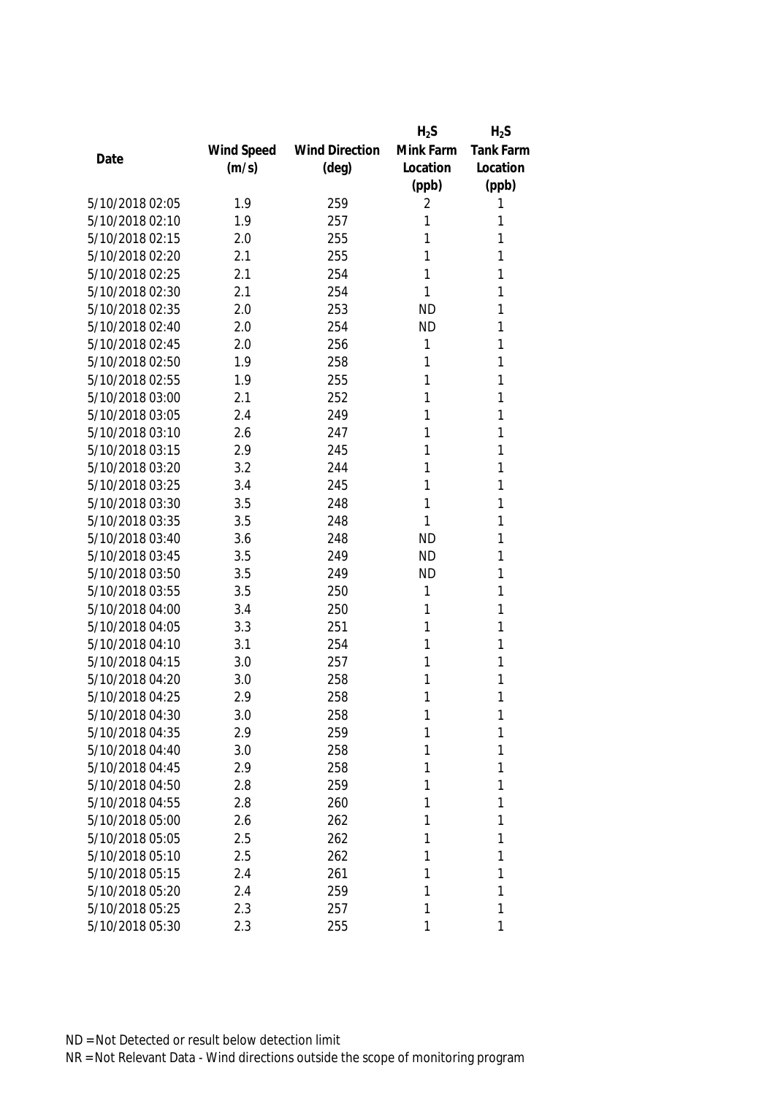|                 |            |                       | $H_2S$    | $H_2S$           |
|-----------------|------------|-----------------------|-----------|------------------|
|                 | Wind Speed | <b>Wind Direction</b> | Mink Farm | <b>Tank Farm</b> |
| Date            | (m/s)      | $(\text{deg})$        | Location  | Location         |
|                 |            |                       | (ppb)     | (ppb)            |
| 5/10/2018 02:05 | 1.9        | 259                   | 2         | 1                |
| 5/10/2018 02:10 | 1.9        | 257                   | 1         | 1                |
| 5/10/2018 02:15 | 2.0        | 255                   | 1         | 1                |
| 5/10/2018 02:20 | 2.1        | 255                   | 1         | 1                |
| 5/10/2018 02:25 | 2.1        | 254                   | 1         | 1                |
| 5/10/2018 02:30 | 2.1        | 254                   | 1         | 1                |
| 5/10/2018 02:35 | 2.0        | 253                   | <b>ND</b> | 1                |
| 5/10/2018 02:40 | 2.0        | 254                   | <b>ND</b> | 1                |
| 5/10/2018 02:45 | 2.0        | 256                   | 1         | 1                |
| 5/10/2018 02:50 | 1.9        | 258                   | 1         | 1                |
| 5/10/2018 02:55 | 1.9        | 255                   | 1         | 1                |
| 5/10/2018 03:00 | 2.1        | 252                   | 1         | 1                |
| 5/10/2018 03:05 | 2.4        | 249                   | 1         | 1                |
| 5/10/2018 03:10 | 2.6        | 247                   | 1         | 1                |
| 5/10/2018 03:15 | 2.9        | 245                   | 1         | 1                |
| 5/10/2018 03:20 | 3.2        | 244                   | 1         | 1                |
| 5/10/2018 03:25 | 3.4        | 245                   | 1         | 1                |
| 5/10/2018 03:30 | 3.5        | 248                   | 1         | 1                |
| 5/10/2018 03:35 | 3.5        | 248                   | 1         | 1                |
| 5/10/2018 03:40 | 3.6        | 248                   | <b>ND</b> | 1                |
| 5/10/2018 03:45 | 3.5        | 249                   | <b>ND</b> | 1                |
| 5/10/2018 03:50 | 3.5        | 249                   | <b>ND</b> | 1                |
| 5/10/2018 03:55 | 3.5        | 250                   | 1         | 1                |
| 5/10/2018 04:00 | 3.4        | 250                   | 1         | 1                |
| 5/10/2018 04:05 | 3.3        | 251                   | 1         | 1                |
| 5/10/2018 04:10 | 3.1        | 254                   | 1         | 1                |
| 5/10/2018 04:15 | 3.0        | 257                   | 1         | 1                |
| 5/10/2018 04:20 | 3.0        | 258                   | 1         | 1                |
| 5/10/2018 04:25 | 2.9        | 258                   | 1         | 1                |
| 5/10/2018 04:30 | 3.0        | 258                   | 1         | 1                |
| 5/10/2018 04:35 | 2.9        | 259                   | 1         | 1                |
| 5/10/2018 04:40 | 3.0        | 258                   | 1         | 1                |
| 5/10/2018 04:45 | 2.9        | 258                   | 1         | 1                |
| 5/10/2018 04:50 | 2.8        | 259                   | 1         | 1                |
| 5/10/2018 04:55 | 2.8        | 260                   | 1         | 1                |
| 5/10/2018 05:00 | 2.6        | 262                   | 1         | 1                |
| 5/10/2018 05:05 | 2.5        | 262                   | 1         | 1                |
| 5/10/2018 05:10 | 2.5        | 262                   | 1         | 1                |
| 5/10/2018 05:15 | 2.4        | 261                   | 1         | 1                |
| 5/10/2018 05:20 | 2.4        | 259                   | 1         | 1                |
| 5/10/2018 05:25 | 2.3        | 257                   | 1         | 1                |
| 5/10/2018 05:30 | 2.3        | 255                   | 1         | 1                |
|                 |            |                       |           |                  |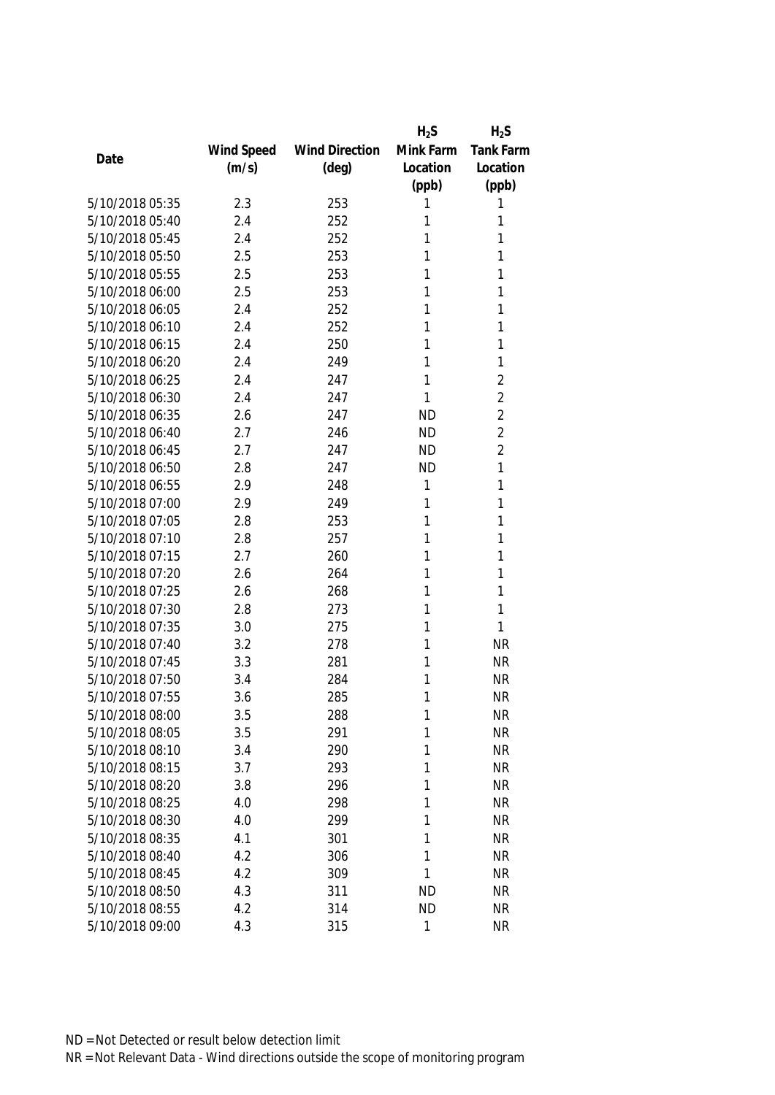|                 |            |                       | $H_2S$    | $H_2S$         |
|-----------------|------------|-----------------------|-----------|----------------|
|                 | Wind Speed | <b>Wind Direction</b> | Mink Farm | Tank Farm      |
| Date            | (m/s)      | $(\text{deg})$        | Location  | Location       |
|                 |            |                       | (ppb)     | (ppb)          |
| 5/10/2018 05:35 | 2.3        | 253                   | 1         | 1              |
| 5/10/2018 05:40 | 2.4        | 252                   | 1         | 1              |
| 5/10/2018 05:45 | 2.4        | 252                   | 1         | 1              |
| 5/10/2018 05:50 | 2.5        | 253                   | 1         | 1              |
| 5/10/2018 05:55 | 2.5        | 253                   | 1         | 1              |
| 5/10/2018 06:00 | 2.5        | 253                   | 1         | 1              |
| 5/10/2018 06:05 | 2.4        | 252                   | 1         | 1              |
| 5/10/2018 06:10 | 2.4        | 252                   | 1         | 1              |
| 5/10/2018 06:15 | 2.4        | 250                   | 1         | 1              |
| 5/10/2018 06:20 | 2.4        | 249                   | 1         | 1              |
| 5/10/2018 06:25 | 2.4        | 247                   | 1         | $\overline{2}$ |
| 5/10/2018 06:30 | 2.4        | 247                   | 1         | $\overline{2}$ |
| 5/10/2018 06:35 | 2.6        | 247                   | <b>ND</b> | $\overline{2}$ |
| 5/10/2018 06:40 | 2.7        | 246                   | <b>ND</b> | $\overline{2}$ |
| 5/10/2018 06:45 | 2.7        | 247                   | <b>ND</b> | $\overline{2}$ |
| 5/10/2018 06:50 | 2.8        | 247                   | <b>ND</b> | $\mathbf{1}$   |
| 5/10/2018 06:55 | 2.9        | 248                   | 1         | 1              |
| 5/10/2018 07:00 | 2.9        | 249                   | 1         | 1              |
| 5/10/2018 07:05 | 2.8        | 253                   | 1         | 1              |
| 5/10/2018 07:10 | 2.8        | 257                   | 1         | 1              |
| 5/10/2018 07:15 | 2.7        | 260                   | 1         | 1              |
| 5/10/2018 07:20 | 2.6        | 264                   | 1         | 1              |
| 5/10/2018 07:25 | 2.6        | 268                   | 1         | 1              |
| 5/10/2018 07:30 | 2.8        | 273                   | 1         | 1              |
| 5/10/2018 07:35 | 3.0        | 275                   | 1         | 1              |
| 5/10/2018 07:40 | 3.2        | 278                   | 1         | <b>NR</b>      |
| 5/10/2018 07:45 | 3.3        | 281                   | 1         | <b>NR</b>      |
| 5/10/2018 07:50 | 3.4        | 284                   | 1         | <b>NR</b>      |
| 5/10/2018 07:55 | 3.6        | 285                   | 1         | <b>NR</b>      |
| 5/10/2018 08:00 | 3.5        | 288                   | 1         | <b>NR</b>      |
| 5/10/2018 08:05 | 3.5        | 291                   | 1         | <b>NR</b>      |
| 5/10/2018 08:10 | 3.4        | 290                   | 1         | <b>NR</b>      |
| 5/10/2018 08:15 | 3.7        | 293                   | 1         | <b>NR</b>      |
| 5/10/2018 08:20 | 3.8        | 296                   | 1         | <b>NR</b>      |
| 5/10/2018 08:25 | 4.0        | 298                   | 1         | <b>NR</b>      |
| 5/10/2018 08:30 | 4.0        | 299                   | 1         | <b>NR</b>      |
| 5/10/2018 08:35 | 4.1        | 301                   | 1         | <b>NR</b>      |
| 5/10/2018 08:40 | 4.2        | 306                   | 1         | <b>NR</b>      |
| 5/10/2018 08:45 | 4.2        | 309                   | 1         | <b>NR</b>      |
| 5/10/2018 08:50 | 4.3        | 311                   | <b>ND</b> | <b>NR</b>      |
| 5/10/2018 08:55 | 4.2        | 314                   | <b>ND</b> | <b>NR</b>      |
| 5/10/2018 09:00 | 4.3        | 315                   | 1         | <b>NR</b>      |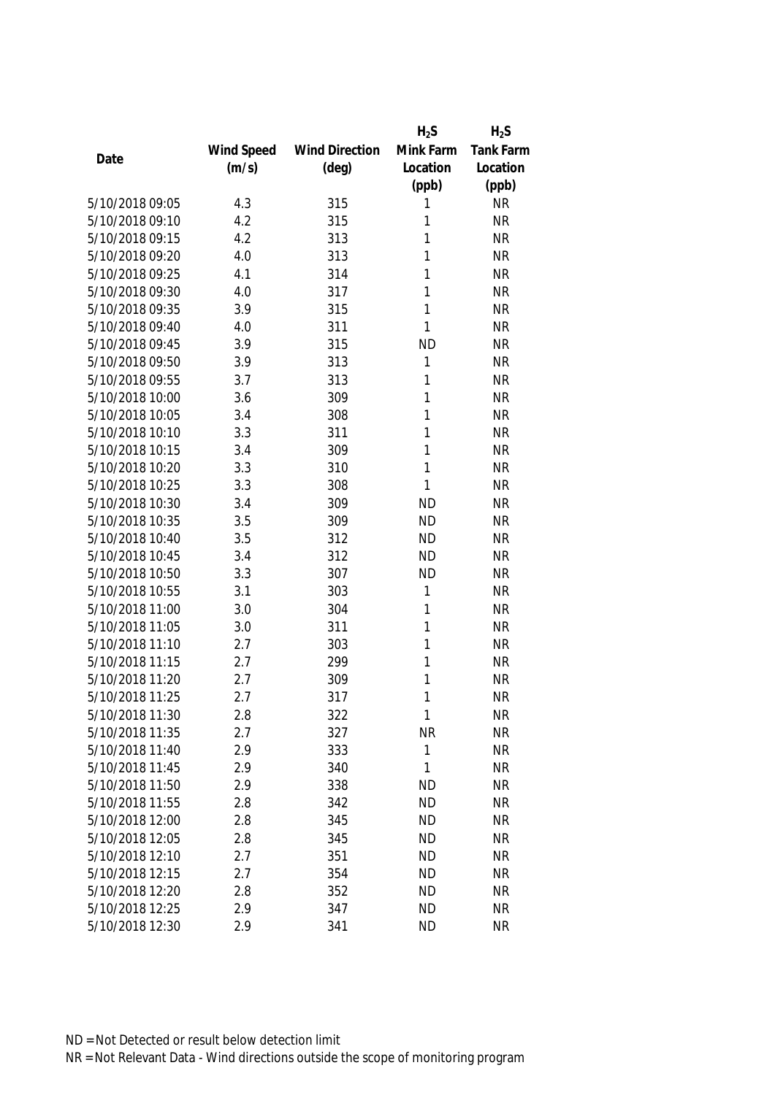|                 |            |                       | $H_2S$    | $H_2S$           |
|-----------------|------------|-----------------------|-----------|------------------|
|                 | Wind Speed | <b>Wind Direction</b> | Mink Farm | <b>Tank Farm</b> |
| Date            | (m/s)      | $(\text{deg})$        | Location  | Location         |
|                 |            |                       | (ppb)     | (ppb)            |
| 5/10/2018 09:05 | 4.3        | 315                   | 1         | <b>NR</b>        |
| 5/10/2018 09:10 | 4.2        | 315                   | 1         | <b>NR</b>        |
| 5/10/2018 09:15 | 4.2        | 313                   | 1         | <b>NR</b>        |
| 5/10/2018 09:20 | 4.0        | 313                   | 1         | <b>NR</b>        |
| 5/10/2018 09:25 | 4.1        | 314                   | 1         | <b>NR</b>        |
| 5/10/2018 09:30 | 4.0        | 317                   | 1         | <b>NR</b>        |
| 5/10/2018 09:35 | 3.9        | 315                   | 1         | <b>NR</b>        |
| 5/10/2018 09:40 | 4.0        | 311                   | 1         | <b>NR</b>        |
| 5/10/2018 09:45 | 3.9        | 315                   | <b>ND</b> | <b>NR</b>        |
| 5/10/2018 09:50 | 3.9        | 313                   | 1         | <b>NR</b>        |
| 5/10/2018 09:55 | 3.7        | 313                   | 1         | <b>NR</b>        |
| 5/10/2018 10:00 | 3.6        | 309                   | 1         | <b>NR</b>        |
| 5/10/2018 10:05 | 3.4        | 308                   | 1         | <b>NR</b>        |
| 5/10/2018 10:10 | 3.3        | 311                   | 1         | <b>NR</b>        |
| 5/10/2018 10:15 | 3.4        | 309                   | 1         | <b>NR</b>        |
| 5/10/2018 10:20 | 3.3        | 310                   | 1         | <b>NR</b>        |
| 5/10/2018 10:25 | 3.3        | 308                   | 1         | <b>NR</b>        |
| 5/10/2018 10:30 | 3.4        | 309                   | <b>ND</b> | <b>NR</b>        |
| 5/10/2018 10:35 | 3.5        | 309                   | <b>ND</b> | <b>NR</b>        |
| 5/10/2018 10:40 | 3.5        | 312                   | <b>ND</b> | <b>NR</b>        |
| 5/10/2018 10:45 | 3.4        | 312                   | <b>ND</b> | <b>NR</b>        |
| 5/10/2018 10:50 | 3.3        | 307                   | <b>ND</b> | <b>NR</b>        |
| 5/10/2018 10:55 | 3.1        | 303                   | 1         | <b>NR</b>        |
| 5/10/2018 11:00 | 3.0        | 304                   | 1         | <b>NR</b>        |
| 5/10/2018 11:05 | 3.0        | 311                   | 1         | <b>NR</b>        |
| 5/10/2018 11:10 | 2.7        | 303                   | 1         | <b>NR</b>        |
| 5/10/2018 11:15 | 2.7        | 299                   | 1         | <b>NR</b>        |
| 5/10/2018 11:20 | 2.7        | 309                   | 1         | <b>NR</b>        |
| 5/10/2018 11:25 | 2.7        | 317                   | 1         | <b>NR</b>        |
| 5/10/2018 11:30 | 2.8        | 322                   | 1         | <b>NR</b>        |
| 5/10/2018 11:35 | 2.7        | 327                   | NR        | <b>NR</b>        |
| 5/10/2018 11:40 | 2.9        | 333                   | 1         | <b>NR</b>        |
| 5/10/2018 11:45 | 2.9        | 340                   | 1         | <b>NR</b>        |
| 5/10/2018 11:50 | 2.9        | 338                   | <b>ND</b> | <b>NR</b>        |
| 5/10/2018 11:55 | 2.8        | 342                   | <b>ND</b> | <b>NR</b>        |
| 5/10/2018 12:00 | 2.8        | 345                   | <b>ND</b> | <b>NR</b>        |
| 5/10/2018 12:05 | 2.8        | 345                   | <b>ND</b> | <b>NR</b>        |
| 5/10/2018 12:10 | 2.7        | 351                   | <b>ND</b> | <b>NR</b>        |
| 5/10/2018 12:15 | 2.7        | 354                   | <b>ND</b> | <b>NR</b>        |
| 5/10/2018 12:20 | 2.8        | 352                   | <b>ND</b> | <b>NR</b>        |
| 5/10/2018 12:25 | 2.9        | 347                   | <b>ND</b> | <b>NR</b>        |
| 5/10/2018 12:30 | 2.9        | 341                   | <b>ND</b> | <b>NR</b>        |
|                 |            |                       |           |                  |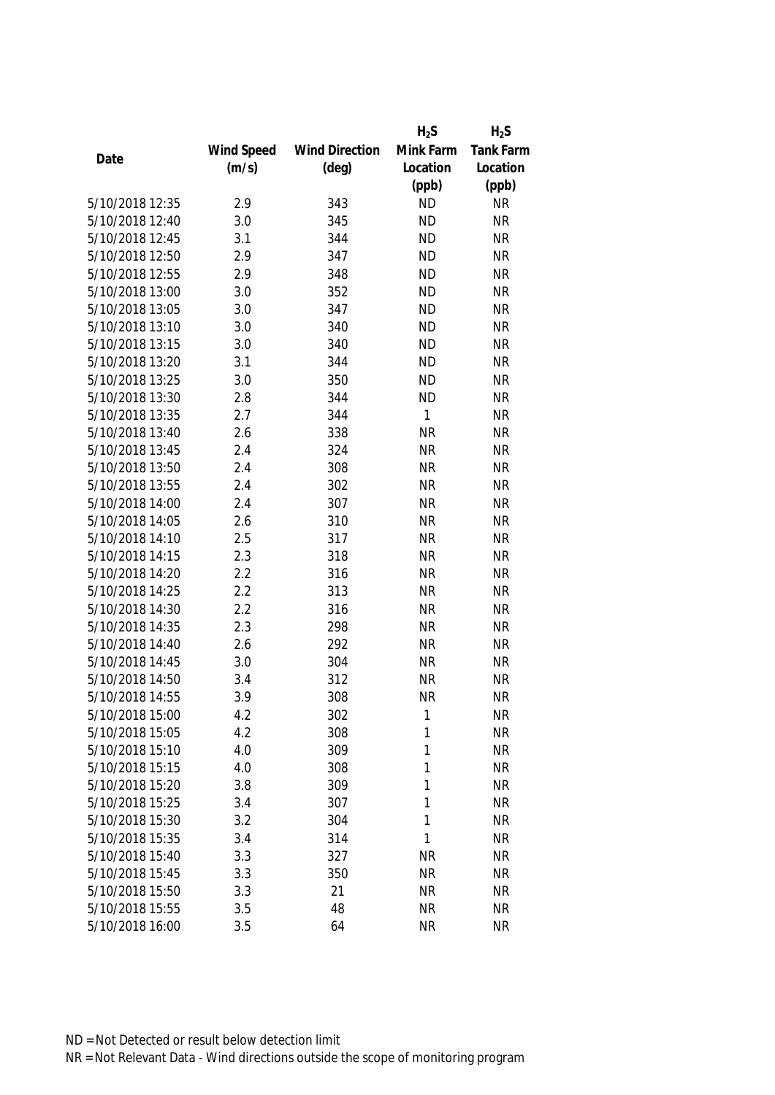|                 |            |                       | $H_2S$    | $H_2S$    |
|-----------------|------------|-----------------------|-----------|-----------|
|                 | Wind Speed | <b>Wind Direction</b> | Mink Farm | Tank Farm |
| Date            | (m/s)      | $(\text{deg})$        | Location  | Location  |
|                 |            |                       | (ppb)     | (ppb)     |
| 5/10/2018 12:35 | 2.9        | 343                   | <b>ND</b> | <b>NR</b> |
| 5/10/2018 12:40 | 3.0        | 345                   | <b>ND</b> | <b>NR</b> |
| 5/10/2018 12:45 | 3.1        | 344                   | <b>ND</b> | <b>NR</b> |
| 5/10/2018 12:50 | 2.9        | 347                   | <b>ND</b> | <b>NR</b> |
| 5/10/2018 12:55 | 2.9        | 348                   | <b>ND</b> | <b>NR</b> |
| 5/10/2018 13:00 | 3.0        | 352                   | <b>ND</b> | <b>NR</b> |
| 5/10/2018 13:05 | 3.0        | 347                   | <b>ND</b> | <b>NR</b> |
| 5/10/2018 13:10 | 3.0        | 340                   | <b>ND</b> | <b>NR</b> |
| 5/10/2018 13:15 | 3.0        | 340                   | <b>ND</b> | <b>NR</b> |
| 5/10/2018 13:20 | 3.1        | 344                   | <b>ND</b> | <b>NR</b> |
| 5/10/2018 13:25 | 3.0        | 350                   | <b>ND</b> | <b>NR</b> |
| 5/10/2018 13:30 | 2.8        | 344                   | <b>ND</b> | <b>NR</b> |
| 5/10/2018 13:35 | 2.7        | 344                   | 1         | <b>NR</b> |
| 5/10/2018 13:40 | 2.6        | 338                   | <b>NR</b> | <b>NR</b> |
| 5/10/2018 13:45 | 2.4        | 324                   | <b>NR</b> | <b>NR</b> |
| 5/10/2018 13:50 | 2.4        | 308                   | <b>NR</b> | <b>NR</b> |
| 5/10/2018 13:55 | 2.4        | 302                   | <b>NR</b> | <b>NR</b> |
| 5/10/2018 14:00 | 2.4        | 307                   | <b>NR</b> | <b>NR</b> |
| 5/10/2018 14:05 | 2.6        | 310                   | <b>NR</b> | <b>NR</b> |
| 5/10/2018 14:10 | 2.5        | 317                   | <b>NR</b> | <b>NR</b> |
| 5/10/2018 14:15 | 2.3        | 318                   | <b>NR</b> | <b>NR</b> |
| 5/10/2018 14:20 | 2.2        | 316                   | <b>NR</b> | <b>NR</b> |
| 5/10/2018 14:25 | 2.2        | 313                   | <b>NR</b> | <b>NR</b> |
| 5/10/2018 14:30 | 2.2        | 316                   | <b>NR</b> | <b>NR</b> |
| 5/10/2018 14:35 | 2.3        | 298                   | <b>NR</b> | <b>NR</b> |
| 5/10/2018 14:40 | 2.6        | 292                   | <b>NR</b> | <b>NR</b> |
| 5/10/2018 14:45 | 3.0        | 304                   | <b>NR</b> | <b>NR</b> |
| 5/10/2018 14:50 | 3.4        | 312                   | <b>NR</b> | <b>NR</b> |
| 5/10/2018 14:55 | 3.9        | 308                   | <b>NR</b> | <b>NR</b> |
| 5/10/2018 15:00 | 4.2        | 302                   | 1         | <b>NR</b> |
| 5/10/2018 15:05 | 4.2        | 308                   | 1         | <b>NR</b> |
| 5/10/2018 15:10 | 4.0        | 309                   | 1         | <b>NR</b> |
| 5/10/2018 15:15 | 4.0        | 308                   | 1         | <b>NR</b> |
| 5/10/2018 15:20 | 3.8        | 309                   | 1         | <b>NR</b> |
| 5/10/2018 15:25 | 3.4        | 307                   | 1         | <b>NR</b> |
| 5/10/2018 15:30 | 3.2        | 304                   | 1         | <b>NR</b> |
| 5/10/2018 15:35 | 3.4        | 314                   | 1         | <b>NR</b> |
| 5/10/2018 15:40 | 3.3        | 327                   | <b>NR</b> | <b>NR</b> |
| 5/10/2018 15:45 | 3.3        | 350                   | <b>NR</b> | <b>NR</b> |
| 5/10/2018 15:50 | 3.3        | 21                    | <b>NR</b> | <b>NR</b> |
| 5/10/2018 15:55 | 3.5        | 48                    | <b>NR</b> | <b>NR</b> |
| 5/10/2018 16:00 | 3.5        | 64                    | <b>NR</b> | <b>NR</b> |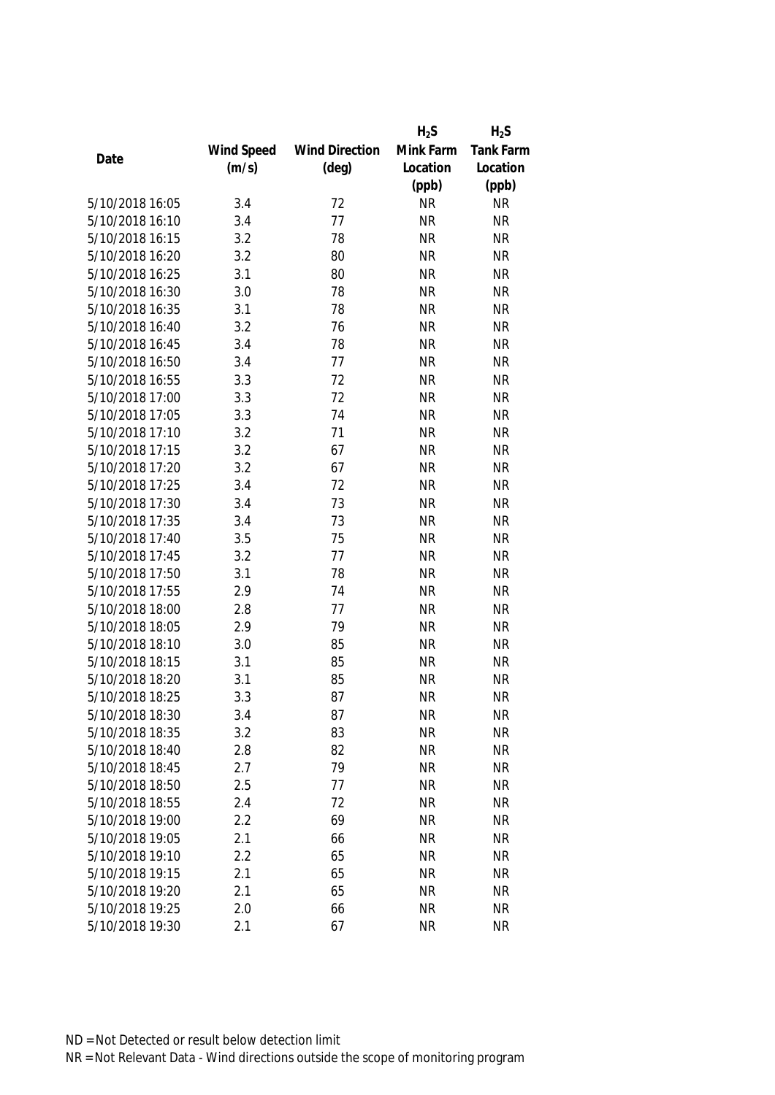|                 |            |                       | $H_2S$    | $H_2S$    |
|-----------------|------------|-----------------------|-----------|-----------|
|                 | Wind Speed | <b>Wind Direction</b> | Mink Farm | Tank Farm |
| Date            | (m/s)      | $(\text{deg})$        | Location  | Location  |
|                 |            |                       | (ppb)     | (ppb)     |
| 5/10/2018 16:05 | 3.4        | 72                    | <b>NR</b> | <b>NR</b> |
| 5/10/2018 16:10 | 3.4        | 77                    | <b>NR</b> | <b>NR</b> |
| 5/10/2018 16:15 | 3.2        | 78                    | <b>NR</b> | <b>NR</b> |
| 5/10/2018 16:20 | 3.2        | 80                    | <b>NR</b> | <b>NR</b> |
| 5/10/2018 16:25 | 3.1        | 80                    | <b>NR</b> | <b>NR</b> |
| 5/10/2018 16:30 | 3.0        | 78                    | <b>NR</b> | <b>NR</b> |
| 5/10/2018 16:35 | 3.1        | 78                    | <b>NR</b> | <b>NR</b> |
| 5/10/2018 16:40 | 3.2        | 76                    | <b>NR</b> | <b>NR</b> |
| 5/10/2018 16:45 | 3.4        | 78                    | <b>NR</b> | <b>NR</b> |
| 5/10/2018 16:50 | 3.4        | 77                    | <b>NR</b> | <b>NR</b> |
| 5/10/2018 16:55 | 3.3        | 72                    | <b>NR</b> | <b>NR</b> |
| 5/10/2018 17:00 | 3.3        | 72                    | <b>NR</b> | <b>NR</b> |
| 5/10/2018 17:05 | 3.3        | 74                    | <b>NR</b> | <b>NR</b> |
| 5/10/2018 17:10 | 3.2        | 71                    | <b>NR</b> | <b>NR</b> |
| 5/10/2018 17:15 | 3.2        | 67                    | <b>NR</b> | <b>NR</b> |
| 5/10/2018 17:20 | 3.2        | 67                    | <b>NR</b> | <b>NR</b> |
| 5/10/2018 17:25 | 3.4        | 72                    | <b>NR</b> | <b>NR</b> |
| 5/10/2018 17:30 | 3.4        | 73                    | <b>NR</b> | <b>NR</b> |
| 5/10/2018 17:35 | 3.4        | 73                    | <b>NR</b> | <b>NR</b> |
| 5/10/2018 17:40 | 3.5        | 75                    | <b>NR</b> | <b>NR</b> |
| 5/10/2018 17:45 | 3.2        | 77                    | <b>NR</b> | <b>NR</b> |
| 5/10/2018 17:50 | 3.1        | 78                    | <b>NR</b> | <b>NR</b> |
| 5/10/2018 17:55 | 2.9        | 74                    | <b>NR</b> | <b>NR</b> |
| 5/10/2018 18:00 | 2.8        | 77                    | <b>NR</b> | <b>NR</b> |
| 5/10/2018 18:05 | 2.9        | 79                    | <b>NR</b> | <b>NR</b> |
| 5/10/2018 18:10 | 3.0        | 85                    | <b>NR</b> | <b>NR</b> |
| 5/10/2018 18:15 | 3.1        | 85                    | <b>NR</b> | <b>NR</b> |
| 5/10/2018 18:20 | 3.1        | 85                    | <b>NR</b> | <b>NR</b> |
| 5/10/2018 18:25 | 3.3        | 87                    | <b>NR</b> | <b>NR</b> |
| 5/10/2018 18:30 | 3.4        | 87                    | <b>NR</b> | <b>NR</b> |
| 5/10/2018 18:35 | 3.2        | 83                    | <b>NR</b> | <b>NR</b> |
| 5/10/2018 18:40 | 2.8        | 82                    | <b>NR</b> | <b>NR</b> |
| 5/10/2018 18:45 | 2.7        | 79                    | <b>NR</b> | <b>NR</b> |
| 5/10/2018 18:50 | 2.5        | 77                    | <b>NR</b> | <b>NR</b> |
| 5/10/2018 18:55 | 2.4        | 72                    | <b>NR</b> | <b>NR</b> |
| 5/10/2018 19:00 | 2.2        | 69                    | <b>NR</b> | <b>NR</b> |
| 5/10/2018 19:05 | 2.1        | 66                    | <b>NR</b> | <b>NR</b> |
| 5/10/2018 19:10 | 2.2        | 65                    | <b>NR</b> | <b>NR</b> |
| 5/10/2018 19:15 | 2.1        | 65                    | <b>NR</b> | <b>NR</b> |
| 5/10/2018 19:20 | 2.1        | 65                    | <b>NR</b> | <b>NR</b> |
| 5/10/2018 19:25 | 2.0        | 66                    | <b>NR</b> | <b>NR</b> |
|                 |            |                       |           |           |
| 5/10/2018 19:30 | 2.1        | 67                    | <b>NR</b> | <b>NR</b> |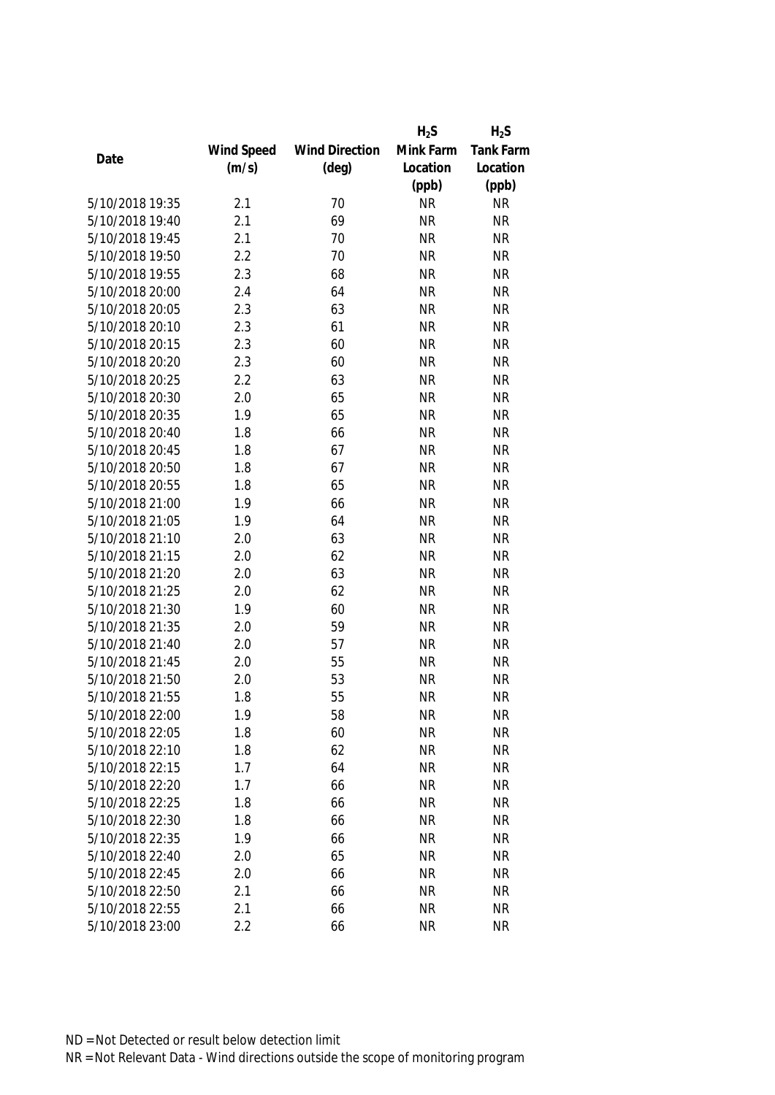|                 |            |                       | $H_2S$    | $H_2S$           |
|-----------------|------------|-----------------------|-----------|------------------|
|                 | Wind Speed | <b>Wind Direction</b> | Mink Farm | <b>Tank Farm</b> |
| Date            | (m/s)      | $(\text{deg})$        | Location  | Location         |
|                 |            |                       | (ppb)     | (ppb)            |
| 5/10/2018 19:35 | 2.1        | 70                    | <b>NR</b> | <b>NR</b>        |
| 5/10/2018 19:40 | 2.1        | 69                    | <b>NR</b> | <b>NR</b>        |
| 5/10/2018 19:45 | 2.1        | 70                    | <b>NR</b> | <b>NR</b>        |
| 5/10/2018 19:50 | 2.2        | 70                    | <b>NR</b> | <b>NR</b>        |
| 5/10/2018 19:55 | 2.3        | 68                    | <b>NR</b> | <b>NR</b>        |
| 5/10/2018 20:00 | 2.4        | 64                    | <b>NR</b> | <b>NR</b>        |
| 5/10/2018 20:05 | 2.3        | 63                    | <b>NR</b> | <b>NR</b>        |
| 5/10/2018 20:10 | 2.3        | 61                    | <b>NR</b> | <b>NR</b>        |
| 5/10/2018 20:15 | 2.3        | 60                    | <b>NR</b> | <b>NR</b>        |
| 5/10/2018 20:20 | 2.3        | 60                    | <b>NR</b> | <b>NR</b>        |
| 5/10/2018 20:25 | 2.2        | 63                    | <b>NR</b> | <b>NR</b>        |
| 5/10/2018 20:30 | 2.0        | 65                    | <b>NR</b> | <b>NR</b>        |
| 5/10/2018 20:35 | 1.9        | 65                    | <b>NR</b> | <b>NR</b>        |
| 5/10/2018 20:40 | 1.8        | 66                    | <b>NR</b> | <b>NR</b>        |
| 5/10/2018 20:45 | 1.8        | 67                    | <b>NR</b> | <b>NR</b>        |
| 5/10/2018 20:50 | 1.8        | 67                    | <b>NR</b> | <b>NR</b>        |
| 5/10/2018 20:55 | 1.8        | 65                    | <b>NR</b> | <b>NR</b>        |
| 5/10/2018 21:00 | 1.9        | 66                    | <b>NR</b> | <b>NR</b>        |
| 5/10/2018 21:05 | 1.9        | 64                    | <b>NR</b> | <b>NR</b>        |
| 5/10/2018 21:10 | 2.0        | 63                    | <b>NR</b> | <b>NR</b>        |
| 5/10/2018 21:15 | 2.0        | 62                    | <b>NR</b> | <b>NR</b>        |
| 5/10/2018 21:20 | 2.0        | 63                    | <b>NR</b> | <b>NR</b>        |
| 5/10/2018 21:25 | 2.0        | 62                    | <b>NR</b> | <b>NR</b>        |
| 5/10/2018 21:30 | 1.9        | 60                    | <b>NR</b> | <b>NR</b>        |
| 5/10/2018 21:35 | 2.0        | 59                    | <b>NR</b> | <b>NR</b>        |
| 5/10/2018 21:40 | 2.0        | 57                    | <b>NR</b> | <b>NR</b>        |
| 5/10/2018 21:45 | 2.0        | 55                    | <b>NR</b> | <b>NR</b>        |
| 5/10/2018 21:50 | 2.0        | 53                    | <b>NR</b> | <b>NR</b>        |
| 5/10/2018 21:55 | 1.8        | 55                    | <b>NR</b> | <b>NR</b>        |
| 5/10/2018 22:00 | 1.9        | 58                    | <b>NR</b> | <b>NR</b>        |
| 5/10/2018 22:05 | 1.8        | 60                    | <b>NR</b> | <b>NR</b>        |
| 5/10/2018 22:10 | 1.8        | 62                    | <b>NR</b> | <b>NR</b>        |
| 5/10/2018 22:15 | 1.7        | 64                    | <b>NR</b> | <b>NR</b>        |
| 5/10/2018 22:20 | 1.7        | 66                    | <b>NR</b> | <b>NR</b>        |
| 5/10/2018 22:25 | 1.8        | 66                    | <b>NR</b> | <b>NR</b>        |
| 5/10/2018 22:30 | 1.8        | 66                    | <b>NR</b> | <b>NR</b>        |
| 5/10/2018 22:35 | 1.9        | 66                    | <b>NR</b> | <b>NR</b>        |
| 5/10/2018 22:40 | 2.0        | 65                    | <b>NR</b> | <b>NR</b>        |
| 5/10/2018 22:45 | 2.0        | 66                    | <b>NR</b> | <b>NR</b>        |
| 5/10/2018 22:50 | 2.1        | 66                    | <b>NR</b> | <b>NR</b>        |
| 5/10/2018 22:55 | 2.1        | 66                    | <b>NR</b> | NR               |
| 5/10/2018 23:00 | 2.2        | 66                    | <b>NR</b> | <b>NR</b>        |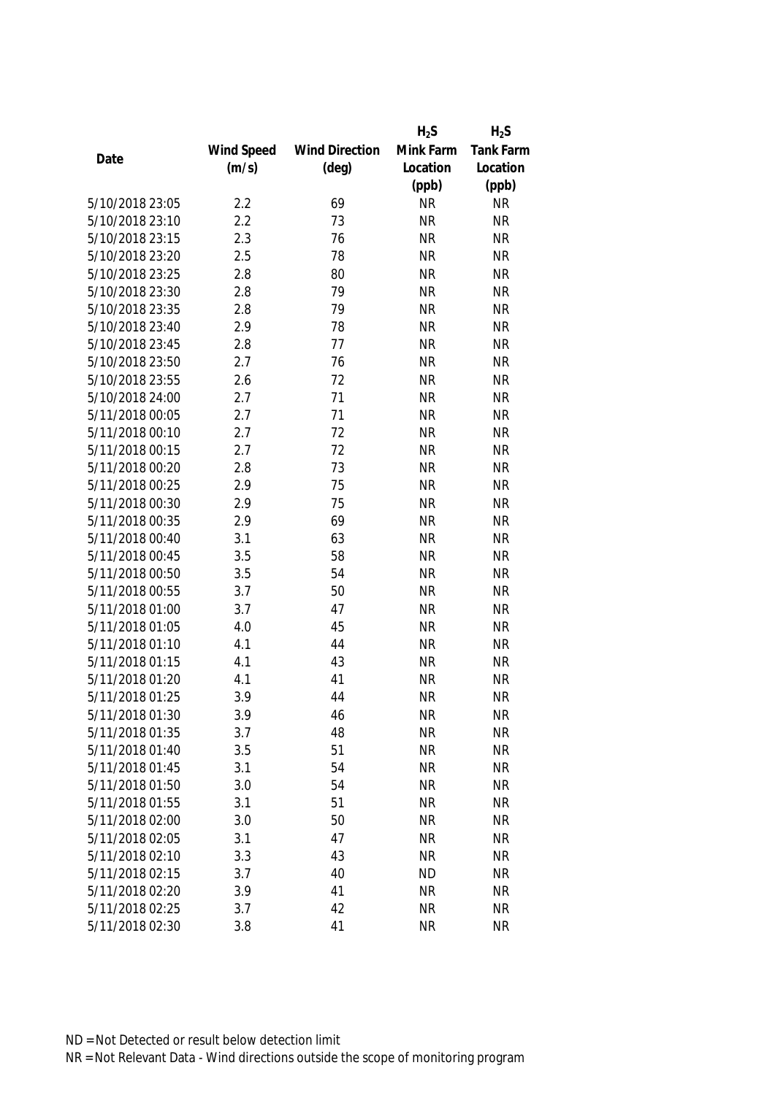|                 |            |                       | $H_2S$    | $H_2S$           |
|-----------------|------------|-----------------------|-----------|------------------|
|                 | Wind Speed | <b>Wind Direction</b> | Mink Farm | <b>Tank Farm</b> |
| Date            | (m/s)      | $(\text{deg})$        | Location  | Location         |
|                 |            |                       | (ppb)     | (ppb)            |
| 5/10/2018 23:05 | 2.2        | 69                    | <b>NR</b> | <b>NR</b>        |
| 5/10/2018 23:10 | 2.2        | 73                    | <b>NR</b> | <b>NR</b>        |
| 5/10/2018 23:15 | 2.3        | 76                    | <b>NR</b> | <b>NR</b>        |
| 5/10/2018 23:20 | 2.5        | 78                    | <b>NR</b> | <b>NR</b>        |
| 5/10/2018 23:25 | 2.8        | 80                    | <b>NR</b> | <b>NR</b>        |
| 5/10/2018 23:30 | 2.8        | 79                    | <b>NR</b> | <b>NR</b>        |
| 5/10/2018 23:35 | 2.8        | 79                    | <b>NR</b> | <b>NR</b>        |
| 5/10/2018 23:40 | 2.9        | 78                    | <b>NR</b> | <b>NR</b>        |
| 5/10/2018 23:45 | 2.8        | 77                    | <b>NR</b> | <b>NR</b>        |
| 5/10/2018 23:50 | 2.7        | 76                    | <b>NR</b> | <b>NR</b>        |
| 5/10/2018 23:55 | 2.6        | 72                    | <b>NR</b> | <b>NR</b>        |
| 5/10/2018 24:00 | 2.7        | 71                    | <b>NR</b> | <b>NR</b>        |
| 5/11/2018 00:05 | 2.7        | 71                    | <b>NR</b> | <b>NR</b>        |
| 5/11/2018 00:10 | 2.7        | 72                    | <b>NR</b> | <b>NR</b>        |
| 5/11/2018 00:15 | 2.7        | 72                    | <b>NR</b> | <b>NR</b>        |
| 5/11/2018 00:20 | 2.8        | 73                    | <b>NR</b> | <b>NR</b>        |
| 5/11/2018 00:25 | 2.9        | 75                    | <b>NR</b> | <b>NR</b>        |
| 5/11/2018 00:30 | 2.9        | 75                    | <b>NR</b> | <b>NR</b>        |
| 5/11/2018 00:35 | 2.9        | 69                    | <b>NR</b> | <b>NR</b>        |
| 5/11/2018 00:40 | 3.1        | 63                    | <b>NR</b> | <b>NR</b>        |
| 5/11/2018 00:45 | 3.5        | 58                    | <b>NR</b> | <b>NR</b>        |
| 5/11/2018 00:50 | 3.5        | 54                    | <b>NR</b> | <b>NR</b>        |
| 5/11/2018 00:55 | 3.7        | 50                    | <b>NR</b> | <b>NR</b>        |
| 5/11/2018 01:00 | 3.7        | 47                    | <b>NR</b> | <b>NR</b>        |
| 5/11/2018 01:05 | 4.0        | 45                    | <b>NR</b> | <b>NR</b>        |
| 5/11/2018 01:10 | 4.1        | 44                    | <b>NR</b> | <b>NR</b>        |
| 5/11/2018 01:15 | 4.1        | 43                    | <b>NR</b> | <b>NR</b>        |
| 5/11/2018 01:20 | 4.1        | 41                    | <b>NR</b> | <b>NR</b>        |
| 5/11/2018 01:25 | 3.9        | 44                    | <b>NR</b> | <b>NR</b>        |
| 5/11/2018 01:30 | 3.9        | 46                    | <b>NR</b> | <b>NR</b>        |
| 5/11/2018 01:35 | 3.7        | 48                    | <b>NR</b> | <b>NR</b>        |
| 5/11/2018 01:40 | 3.5        | 51                    | <b>NR</b> | <b>NR</b>        |
| 5/11/2018 01:45 | 3.1        | 54                    | <b>NR</b> | <b>NR</b>        |
| 5/11/2018 01:50 | 3.0        | 54                    | <b>NR</b> | <b>NR</b>        |
| 5/11/2018 01:55 | 3.1        | 51                    | <b>NR</b> | <b>NR</b>        |
| 5/11/2018 02:00 | 3.0        | 50                    | <b>NR</b> | <b>NR</b>        |
| 5/11/2018 02:05 | 3.1        | 47                    | <b>NR</b> | <b>NR</b>        |
| 5/11/2018 02:10 | 3.3        | 43                    | <b>NR</b> | <b>NR</b>        |
| 5/11/2018 02:15 | 3.7        | 40                    | <b>ND</b> | <b>NR</b>        |
| 5/11/2018 02:20 | 3.9        | 41                    | <b>NR</b> | <b>NR</b>        |
| 5/11/2018 02:25 | 3.7        | 42                    | <b>NR</b> | <b>NR</b>        |
| 5/11/2018 02:30 | 3.8        | 41                    | <b>NR</b> | <b>NR</b>        |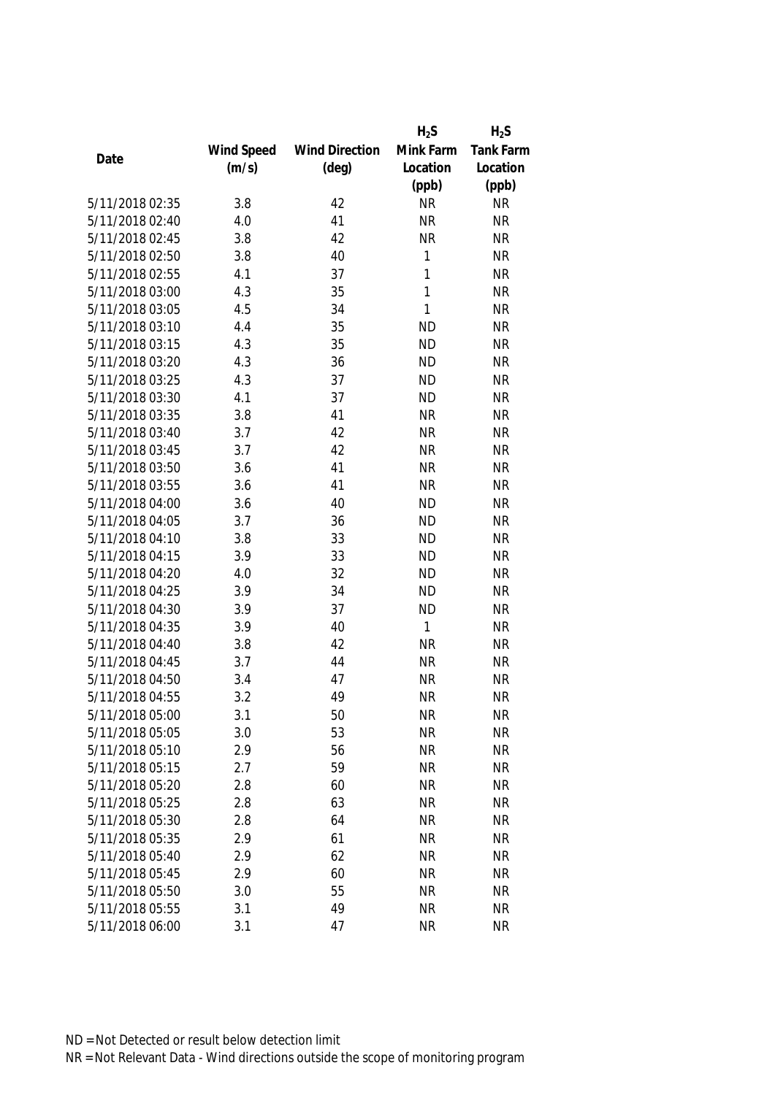|                 |            |                       | $H_2S$    | $H_2S$           |
|-----------------|------------|-----------------------|-----------|------------------|
|                 | Wind Speed | <b>Wind Direction</b> | Mink Farm | <b>Tank Farm</b> |
| Date            | (m/s)      | $(\text{deg})$        | Location  | Location         |
|                 |            |                       | (ppb)     | (ppb)            |
| 5/11/2018 02:35 | 3.8        | 42                    | <b>NR</b> | <b>NR</b>        |
| 5/11/2018 02:40 | 4.0        | 41                    | <b>NR</b> | <b>NR</b>        |
| 5/11/2018 02:45 | 3.8        | 42                    | <b>NR</b> | <b>NR</b>        |
| 5/11/2018 02:50 | 3.8        | 40                    | 1         | <b>NR</b>        |
| 5/11/2018 02:55 | 4.1        | 37                    | 1         | <b>NR</b>        |
| 5/11/2018 03:00 | 4.3        | 35                    | 1         | <b>NR</b>        |
| 5/11/2018 03:05 | 4.5        | 34                    | 1         | <b>NR</b>        |
| 5/11/2018 03:10 | 4.4        | 35                    | <b>ND</b> | <b>NR</b>        |
| 5/11/2018 03:15 | 4.3        | 35                    | <b>ND</b> | <b>NR</b>        |
| 5/11/2018 03:20 | 4.3        | 36                    | <b>ND</b> | <b>NR</b>        |
| 5/11/2018 03:25 | 4.3        | 37                    | <b>ND</b> | <b>NR</b>        |
| 5/11/2018 03:30 | 4.1        | 37                    | <b>ND</b> | <b>NR</b>        |
| 5/11/2018 03:35 | 3.8        | 41                    | <b>NR</b> | <b>NR</b>        |
| 5/11/2018 03:40 | 3.7        | 42                    | <b>NR</b> | <b>NR</b>        |
| 5/11/2018 03:45 | 3.7        | 42                    | <b>NR</b> | <b>NR</b>        |
| 5/11/2018 03:50 | 3.6        | 41                    | <b>NR</b> | <b>NR</b>        |
| 5/11/2018 03:55 | 3.6        | 41                    | <b>NR</b> | <b>NR</b>        |
| 5/11/2018 04:00 | 3.6        | 40                    | <b>ND</b> | <b>NR</b>        |
| 5/11/2018 04:05 | 3.7        | 36                    | <b>ND</b> | <b>NR</b>        |
| 5/11/2018 04:10 | 3.8        | 33                    | <b>ND</b> | <b>NR</b>        |
| 5/11/2018 04:15 | 3.9        | 33                    | <b>ND</b> | <b>NR</b>        |
| 5/11/2018 04:20 | 4.0        | 32                    | <b>ND</b> | <b>NR</b>        |
| 5/11/2018 04:25 | 3.9        | 34                    | <b>ND</b> | <b>NR</b>        |
| 5/11/2018 04:30 | 3.9        | 37                    | <b>ND</b> | <b>NR</b>        |
| 5/11/2018 04:35 | 3.9        | 40                    | 1         | <b>NR</b>        |
| 5/11/2018 04:40 | 3.8        | 42                    | <b>NR</b> | <b>NR</b>        |
| 5/11/2018 04:45 | 3.7        | 44                    | <b>NR</b> | <b>NR</b>        |
| 5/11/2018 04:50 | 3.4        | 47                    | <b>NR</b> | <b>NR</b>        |
| 5/11/2018 04:55 | 3.2        | 49                    | <b>NR</b> | <b>NR</b>        |
| 5/11/2018 05:00 | 3.1        | 50                    | <b>NR</b> | <b>NR</b>        |
| 5/11/2018 05:05 | 3.0        | 53                    | <b>NR</b> | <b>NR</b>        |
| 5/11/2018 05:10 | 2.9        | 56                    | <b>NR</b> | <b>NR</b>        |
| 5/11/2018 05:15 | 2.7        | 59                    | <b>NR</b> | <b>NR</b>        |
| 5/11/2018 05:20 | 2.8        | 60                    | <b>NR</b> | <b>NR</b>        |
| 5/11/2018 05:25 | 2.8        | 63                    | <b>NR</b> | <b>NR</b>        |
| 5/11/2018 05:30 | 2.8        | 64                    | <b>NR</b> | <b>NR</b>        |
| 5/11/2018 05:35 | 2.9        | 61                    | <b>NR</b> | <b>NR</b>        |
| 5/11/2018 05:40 | 2.9        | 62                    | <b>NR</b> | <b>NR</b>        |
| 5/11/2018 05:45 | 2.9        | 60                    | <b>NR</b> | <b>NR</b>        |
| 5/11/2018 05:50 | 3.0        | 55                    | <b>NR</b> | <b>NR</b>        |
| 5/11/2018 05:55 | 3.1        | 49                    | <b>NR</b> | <b>NR</b>        |
| 5/11/2018 06:00 | 3.1        | 47                    | <b>NR</b> | <b>NR</b>        |
|                 |            |                       |           |                  |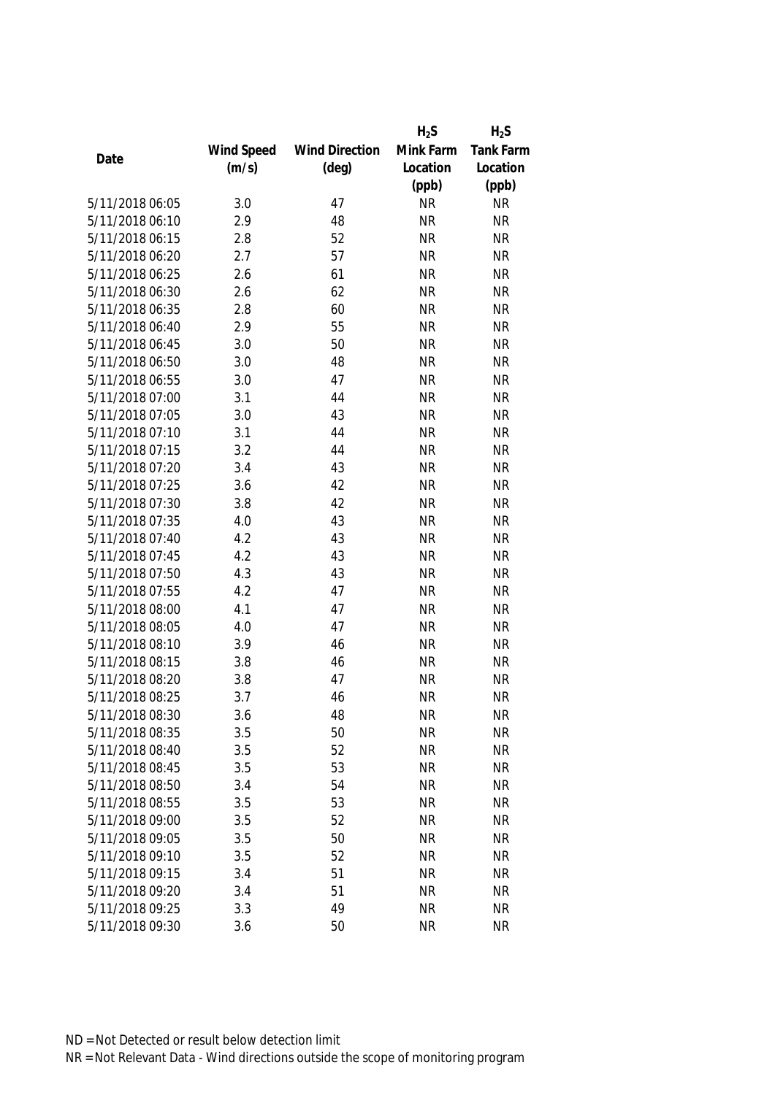|                 |            |                       | $H_2S$    | $H_2S$           |
|-----------------|------------|-----------------------|-----------|------------------|
|                 | Wind Speed | <b>Wind Direction</b> | Mink Farm | <b>Tank Farm</b> |
| Date            | (m/s)      | $(\text{deg})$        | Location  | Location         |
|                 |            |                       | (ppb)     | (ppb)            |
| 5/11/2018 06:05 | 3.0        | 47                    | <b>NR</b> | <b>NR</b>        |
| 5/11/2018 06:10 | 2.9        | 48                    | <b>NR</b> | <b>NR</b>        |
| 5/11/2018 06:15 | 2.8        | 52                    | <b>NR</b> | <b>NR</b>        |
| 5/11/2018 06:20 | 2.7        | 57                    | <b>NR</b> | <b>NR</b>        |
| 5/11/2018 06:25 | 2.6        | 61                    | <b>NR</b> | <b>NR</b>        |
| 5/11/2018 06:30 | 2.6        | 62                    | <b>NR</b> | <b>NR</b>        |
| 5/11/2018 06:35 | 2.8        | 60                    | <b>NR</b> | <b>NR</b>        |
| 5/11/2018 06:40 | 2.9        | 55                    | <b>NR</b> | <b>NR</b>        |
| 5/11/2018 06:45 | 3.0        | 50                    | <b>NR</b> | <b>NR</b>        |
| 5/11/2018 06:50 | 3.0        | 48                    | <b>NR</b> | <b>NR</b>        |
| 5/11/2018 06:55 | 3.0        | 47                    | <b>NR</b> | <b>NR</b>        |
| 5/11/2018 07:00 | 3.1        | 44                    | <b>NR</b> | <b>NR</b>        |
| 5/11/2018 07:05 | 3.0        | 43                    | <b>NR</b> | <b>NR</b>        |
| 5/11/2018 07:10 | 3.1        | 44                    | <b>NR</b> | <b>NR</b>        |
| 5/11/2018 07:15 | 3.2        | 44                    | <b>NR</b> | <b>NR</b>        |
| 5/11/2018 07:20 | 3.4        | 43                    | <b>NR</b> | <b>NR</b>        |
| 5/11/2018 07:25 | 3.6        | 42                    | <b>NR</b> | <b>NR</b>        |
| 5/11/2018 07:30 | 3.8        | 42                    | <b>NR</b> | <b>NR</b>        |
| 5/11/2018 07:35 | 4.0        | 43                    | <b>NR</b> | <b>NR</b>        |
| 5/11/2018 07:40 | 4.2        | 43                    | <b>NR</b> | <b>NR</b>        |
| 5/11/2018 07:45 | 4.2        | 43                    | <b>NR</b> | <b>NR</b>        |
| 5/11/2018 07:50 | 4.3        | 43                    | <b>NR</b> | <b>NR</b>        |
| 5/11/2018 07:55 | 4.2        | 47                    | <b>NR</b> | <b>NR</b>        |
| 5/11/2018 08:00 | 4.1        | 47                    | <b>NR</b> | <b>NR</b>        |
| 5/11/2018 08:05 | 4.0        | 47                    | <b>NR</b> | <b>NR</b>        |
| 5/11/2018 08:10 | 3.9        | 46                    | <b>NR</b> | <b>NR</b>        |
| 5/11/2018 08:15 | 3.8        | 46                    | <b>NR</b> | <b>NR</b>        |
| 5/11/2018 08:20 | 3.8        | 47                    | <b>NR</b> | <b>NR</b>        |
| 5/11/2018 08:25 | 3.7        | 46                    | <b>NR</b> | <b>NR</b>        |
| 5/11/2018 08:30 | 3.6        | 48                    | <b>NR</b> | <b>NR</b>        |
| 5/11/2018 08:35 | 3.5        | 50                    | <b>NR</b> | <b>NR</b>        |
| 5/11/2018 08:40 | 3.5        | 52                    | <b>NR</b> | <b>NR</b>        |
| 5/11/2018 08:45 | 3.5        | 53                    | <b>NR</b> | <b>NR</b>        |
| 5/11/2018 08:50 | 3.4        | 54                    | <b>NR</b> | NR               |
| 5/11/2018 08:55 | 3.5        | 53                    | <b>NR</b> | <b>NR</b>        |
| 5/11/2018 09:00 | 3.5        | 52                    | <b>NR</b> | <b>NR</b>        |
| 5/11/2018 09:05 | 3.5        | 50                    | <b>NR</b> | <b>NR</b>        |
| 5/11/2018 09:10 | 3.5        | 52                    | <b>NR</b> | <b>NR</b>        |
| 5/11/2018 09:15 | 3.4        | 51                    | <b>NR</b> | <b>NR</b>        |
| 5/11/2018 09:20 | 3.4        | 51                    | <b>NR</b> | <b>NR</b>        |
| 5/11/2018 09:25 | 3.3        | 49                    | <b>NR</b> | <b>NR</b>        |
| 5/11/2018 09:30 |            |                       |           |                  |
|                 | 3.6        | 50                    | <b>NR</b> | <b>NR</b>        |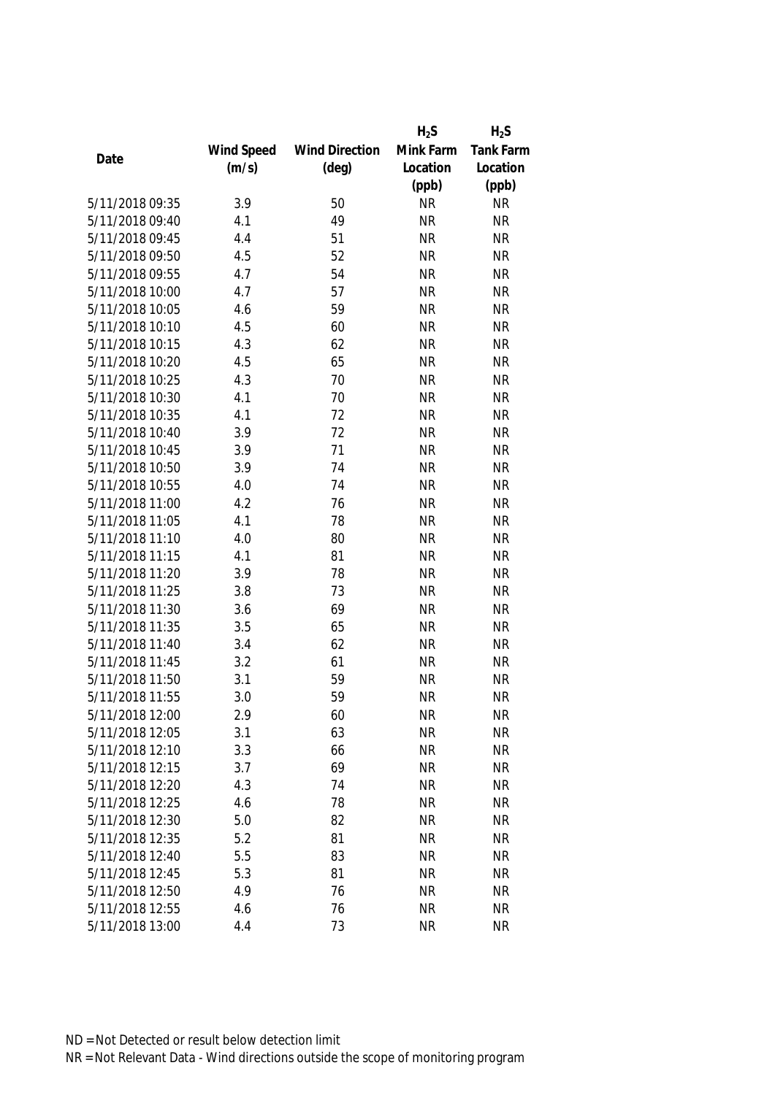|                 |            |                       | $H_2S$    | $H_2S$           |
|-----------------|------------|-----------------------|-----------|------------------|
|                 | Wind Speed | <b>Wind Direction</b> | Mink Farm | <b>Tank Farm</b> |
| Date            | (m/s)      | $(\text{deg})$        | Location  | Location         |
|                 |            |                       | (ppb)     | (ppb)            |
| 5/11/2018 09:35 | 3.9        | 50                    | <b>NR</b> | <b>NR</b>        |
| 5/11/2018 09:40 | 4.1        | 49                    | <b>NR</b> | <b>NR</b>        |
| 5/11/2018 09:45 | 4.4        | 51                    | <b>NR</b> | <b>NR</b>        |
| 5/11/2018 09:50 | 4.5        | 52                    | <b>NR</b> | <b>NR</b>        |
| 5/11/2018 09:55 | 4.7        | 54                    | <b>NR</b> | <b>NR</b>        |
| 5/11/2018 10:00 | 4.7        | 57                    | <b>NR</b> | <b>NR</b>        |
| 5/11/2018 10:05 | 4.6        | 59                    | <b>NR</b> | <b>NR</b>        |
| 5/11/2018 10:10 | 4.5        | 60                    | <b>NR</b> | <b>NR</b>        |
| 5/11/2018 10:15 | 4.3        | 62                    | <b>NR</b> | <b>NR</b>        |
| 5/11/2018 10:20 | 4.5        | 65                    | <b>NR</b> | <b>NR</b>        |
| 5/11/2018 10:25 | 4.3        | 70                    | <b>NR</b> | <b>NR</b>        |
| 5/11/2018 10:30 | 4.1        | 70                    | <b>NR</b> | <b>NR</b>        |
| 5/11/2018 10:35 | 4.1        | 72                    | <b>NR</b> | <b>NR</b>        |
| 5/11/2018 10:40 | 3.9        | 72                    | <b>NR</b> | <b>NR</b>        |
| 5/11/2018 10:45 | 3.9        | 71                    | <b>NR</b> | <b>NR</b>        |
| 5/11/2018 10:50 | 3.9        | 74                    | <b>NR</b> | <b>NR</b>        |
| 5/11/2018 10:55 | 4.0        | 74                    | <b>NR</b> | <b>NR</b>        |
| 5/11/2018 11:00 | 4.2        | 76                    | <b>NR</b> | <b>NR</b>        |
| 5/11/2018 11:05 | 4.1        | 78                    | <b>NR</b> | <b>NR</b>        |
| 5/11/2018 11:10 | 4.0        | 80                    | <b>NR</b> | <b>NR</b>        |
| 5/11/2018 11:15 | 4.1        | 81                    | <b>NR</b> | <b>NR</b>        |
| 5/11/2018 11:20 | 3.9        | 78                    | <b>NR</b> | <b>NR</b>        |
| 5/11/2018 11:25 | 3.8        | 73                    | <b>NR</b> | <b>NR</b>        |
| 5/11/2018 11:30 | 3.6        | 69                    | <b>NR</b> | <b>NR</b>        |
| 5/11/2018 11:35 | 3.5        | 65                    | <b>NR</b> | <b>NR</b>        |
| 5/11/2018 11:40 | 3.4        | 62                    | <b>NR</b> | <b>NR</b>        |
| 5/11/2018 11:45 | 3.2        | 61                    | <b>NR</b> | <b>NR</b>        |
| 5/11/2018 11:50 | 3.1        | 59                    | <b>NR</b> | <b>NR</b>        |
| 5/11/2018 11:55 | 3.0        | 59                    | <b>NR</b> | <b>NR</b>        |
| 5/11/2018 12:00 | 2.9        | 60                    | <b>NR</b> | <b>NR</b>        |
| 5/11/2018 12:05 | 3.1        | 63                    | <b>NR</b> | <b>NR</b>        |
| 5/11/2018 12:10 | 3.3        | 66                    | <b>NR</b> | <b>NR</b>        |
| 5/11/2018 12:15 | 3.7        | 69                    | <b>NR</b> | <b>NR</b>        |
| 5/11/2018 12:20 | 4.3        | 74                    | <b>NR</b> | <b>NR</b>        |
| 5/11/2018 12:25 | 4.6        | 78                    | <b>NR</b> | <b>NR</b>        |
| 5/11/2018 12:30 | 5.0        | 82                    | <b>NR</b> | <b>NR</b>        |
| 5/11/2018 12:35 | 5.2        | 81                    | <b>NR</b> | <b>NR</b>        |
| 5/11/2018 12:40 | 5.5        | 83                    | <b>NR</b> | <b>NR</b>        |
| 5/11/2018 12:45 | 5.3        | 81                    | <b>NR</b> | <b>NR</b>        |
| 5/11/2018 12:50 | 4.9        | 76                    | <b>NR</b> | <b>NR</b>        |
| 5/11/2018 12:55 | 4.6        | 76                    | <b>NR</b> | NR               |
|                 |            |                       |           |                  |
| 5/11/2018 13:00 | 4.4        | 73                    | <b>NR</b> | <b>NR</b>        |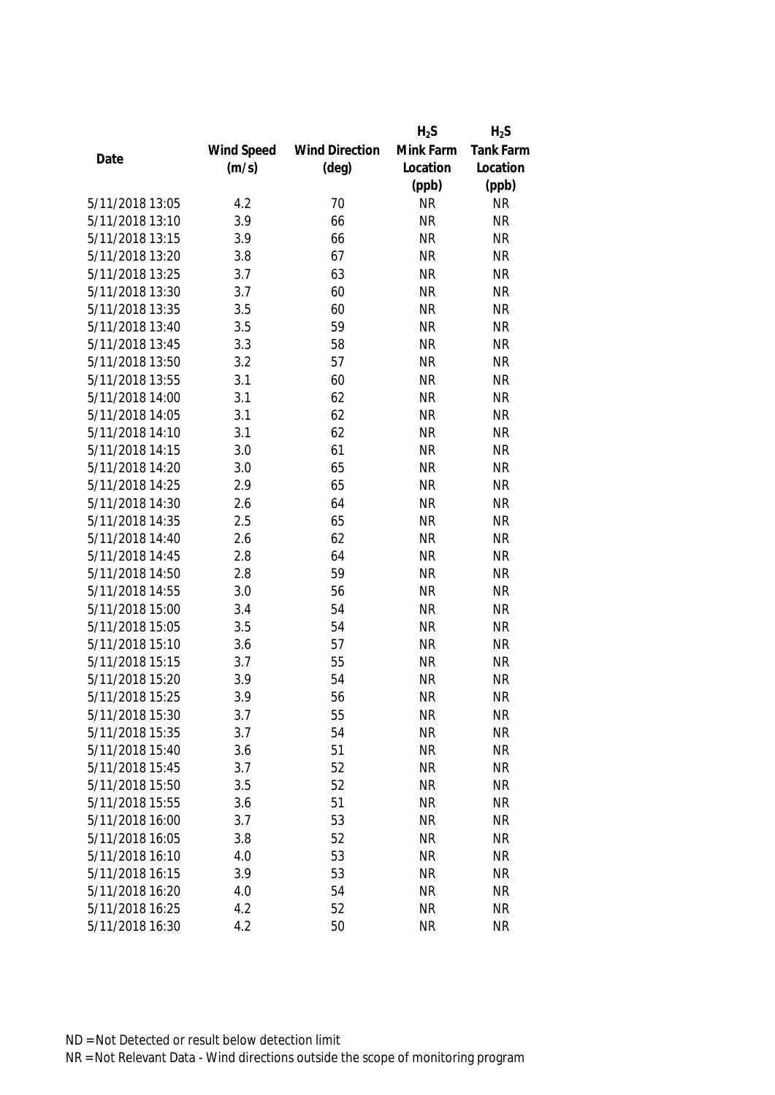|                 |            |                       | $H_2S$    | $H_2S$           |
|-----------------|------------|-----------------------|-----------|------------------|
|                 | Wind Speed | <b>Wind Direction</b> | Mink Farm | <b>Tank Farm</b> |
| Date            | (m/s)      | $(\text{deg})$        | Location  | Location         |
|                 |            |                       | (ppb)     | (ppb)            |
| 5/11/2018 13:05 | 4.2        | 70                    | <b>NR</b> | <b>NR</b>        |
| 5/11/2018 13:10 | 3.9        | 66                    | <b>NR</b> | <b>NR</b>        |
| 5/11/2018 13:15 | 3.9        | 66                    | <b>NR</b> | <b>NR</b>        |
| 5/11/2018 13:20 | 3.8        | 67                    | <b>NR</b> | <b>NR</b>        |
| 5/11/2018 13:25 | 3.7        | 63                    | <b>NR</b> | <b>NR</b>        |
| 5/11/2018 13:30 | 3.7        | 60                    | <b>NR</b> | <b>NR</b>        |
| 5/11/2018 13:35 | 3.5        | 60                    | <b>NR</b> | <b>NR</b>        |
| 5/11/2018 13:40 | 3.5        | 59                    | <b>NR</b> | <b>NR</b>        |
| 5/11/2018 13:45 | 3.3        | 58                    | <b>NR</b> | <b>NR</b>        |
| 5/11/2018 13:50 | 3.2        | 57                    | <b>NR</b> | <b>NR</b>        |
| 5/11/2018 13:55 | 3.1        | 60                    | <b>NR</b> | <b>NR</b>        |
| 5/11/2018 14:00 | 3.1        | 62                    | <b>NR</b> | <b>NR</b>        |
| 5/11/2018 14:05 | 3.1        | 62                    | <b>NR</b> | <b>NR</b>        |
| 5/11/2018 14:10 | 3.1        | 62                    | <b>NR</b> | <b>NR</b>        |
| 5/11/2018 14:15 | 3.0        | 61                    | <b>NR</b> | <b>NR</b>        |
| 5/11/2018 14:20 | 3.0        | 65                    | <b>NR</b> | <b>NR</b>        |
| 5/11/2018 14:25 | 2.9        | 65                    | <b>NR</b> | <b>NR</b>        |
| 5/11/2018 14:30 | 2.6        | 64                    | <b>NR</b> | <b>NR</b>        |
| 5/11/2018 14:35 | 2.5        | 65                    | <b>NR</b> | <b>NR</b>        |
| 5/11/2018 14:40 | 2.6        | 62                    | <b>NR</b> | <b>NR</b>        |
| 5/11/2018 14:45 | 2.8        | 64                    | <b>NR</b> | <b>NR</b>        |
| 5/11/2018 14:50 | 2.8        | 59                    | <b>NR</b> | <b>NR</b>        |
| 5/11/2018 14:55 | 3.0        | 56                    | <b>NR</b> | <b>NR</b>        |
| 5/11/2018 15:00 | 3.4        | 54                    | <b>NR</b> | <b>NR</b>        |
| 5/11/2018 15:05 | 3.5        | 54                    | <b>NR</b> | <b>NR</b>        |
| 5/11/2018 15:10 | 3.6        | 57                    | <b>NR</b> | <b>NR</b>        |
| 5/11/2018 15:15 | 3.7        | 55                    | <b>NR</b> | <b>NR</b>        |
| 5/11/2018 15:20 | 3.9        | 54                    | <b>NR</b> | <b>NR</b>        |
| 5/11/2018 15:25 | 3.9        | 56                    | <b>NR</b> | <b>NR</b>        |
| 5/11/2018 15:30 | 3.7        | 55                    | <b>NR</b> | <b>NR</b>        |
| 5/11/2018 15:35 | 3.7        | 54                    | <b>NR</b> | <b>NR</b>        |
| 5/11/2018 15:40 | 3.6        | 51                    | <b>NR</b> | <b>NR</b>        |
| 5/11/2018 15:45 | 3.7        | 52                    | <b>NR</b> | <b>NR</b>        |
| 5/11/2018 15:50 | 3.5        | 52                    | <b>NR</b> | <b>NR</b>        |
| 5/11/2018 15:55 | 3.6        | 51                    | <b>NR</b> | <b>NR</b>        |
| 5/11/2018 16:00 | 3.7        | 53                    | <b>NR</b> | <b>NR</b>        |
| 5/11/2018 16:05 | 3.8        | 52                    | <b>NR</b> | <b>NR</b>        |
| 5/11/2018 16:10 | 4.0        | 53                    | <b>NR</b> | <b>NR</b>        |
| 5/11/2018 16:15 | 3.9        | 53                    | <b>NR</b> | <b>NR</b>        |
| 5/11/2018 16:20 | 4.0        | 54                    | <b>NR</b> | <b>NR</b>        |
| 5/11/2018 16:25 | 4.2        | 52                    | <b>NR</b> | NR               |
| 5/11/2018 16:30 | 4.2        | 50                    | <b>NR</b> | <b>NR</b>        |
|                 |            |                       |           |                  |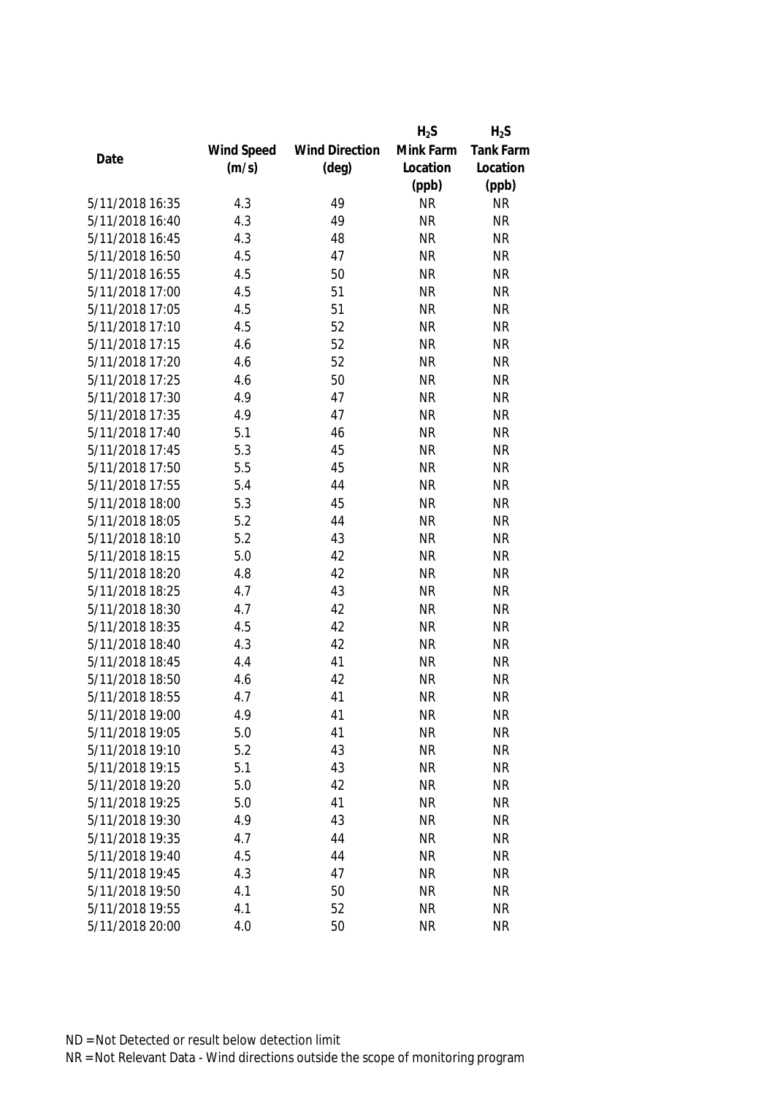|                 |            |                       | $H_2S$    | $H_2S$           |
|-----------------|------------|-----------------------|-----------|------------------|
|                 | Wind Speed | <b>Wind Direction</b> | Mink Farm | <b>Tank Farm</b> |
| Date            | (m/s)      | $(\text{deg})$        | Location  | Location         |
|                 |            |                       | (ppb)     | (ppb)            |
| 5/11/2018 16:35 | 4.3        | 49                    | <b>NR</b> | <b>NR</b>        |
| 5/11/2018 16:40 | 4.3        | 49                    | <b>NR</b> | <b>NR</b>        |
| 5/11/2018 16:45 | 4.3        | 48                    | <b>NR</b> | <b>NR</b>        |
| 5/11/2018 16:50 | 4.5        | 47                    | <b>NR</b> | <b>NR</b>        |
| 5/11/2018 16:55 | 4.5        | 50                    | <b>NR</b> | <b>NR</b>        |
| 5/11/2018 17:00 | 4.5        | 51                    | <b>NR</b> | <b>NR</b>        |
| 5/11/2018 17:05 | 4.5        | 51                    | <b>NR</b> | <b>NR</b>        |
| 5/11/2018 17:10 | 4.5        | 52                    | <b>NR</b> | <b>NR</b>        |
| 5/11/2018 17:15 | 4.6        | 52                    | <b>NR</b> | <b>NR</b>        |
| 5/11/2018 17:20 | 4.6        | 52                    | <b>NR</b> | <b>NR</b>        |
| 5/11/2018 17:25 | 4.6        | 50                    | <b>NR</b> | <b>NR</b>        |
| 5/11/2018 17:30 | 4.9        | 47                    | <b>NR</b> | <b>NR</b>        |
| 5/11/2018 17:35 | 4.9        | 47                    | <b>NR</b> | <b>NR</b>        |
| 5/11/2018 17:40 | 5.1        | 46                    | <b>NR</b> | <b>NR</b>        |
| 5/11/2018 17:45 | 5.3        | 45                    | <b>NR</b> | <b>NR</b>        |
| 5/11/2018 17:50 | 5.5        | 45                    | <b>NR</b> | <b>NR</b>        |
| 5/11/2018 17:55 | 5.4        | 44                    | <b>NR</b> | <b>NR</b>        |
| 5/11/2018 18:00 | 5.3        | 45                    | <b>NR</b> | <b>NR</b>        |
| 5/11/2018 18:05 | 5.2        | 44                    | <b>NR</b> | <b>NR</b>        |
| 5/11/2018 18:10 | 5.2        | 43                    | <b>NR</b> | <b>NR</b>        |
| 5/11/2018 18:15 | 5.0        | 42                    | <b>NR</b> | <b>NR</b>        |
| 5/11/2018 18:20 | 4.8        | 42                    | <b>NR</b> | <b>NR</b>        |
| 5/11/2018 18:25 | 4.7        | 43                    | <b>NR</b> | <b>NR</b>        |
| 5/11/2018 18:30 | 4.7        | 42                    | <b>NR</b> | <b>NR</b>        |
| 5/11/2018 18:35 | 4.5        | 42                    | <b>NR</b> | <b>NR</b>        |
| 5/11/2018 18:40 | 4.3        | 42                    | <b>NR</b> | <b>NR</b>        |
| 5/11/2018 18:45 | 4.4        | 41                    | <b>NR</b> | <b>NR</b>        |
| 5/11/2018 18:50 | 4.6        | 42                    | <b>NR</b> | <b>NR</b>        |
| 5/11/2018 18:55 | 4.7        | 41                    | <b>NR</b> | <b>NR</b>        |
| 5/11/2018 19:00 | 4.9        | 41                    | <b>NR</b> | <b>NR</b>        |
| 5/11/2018 19:05 | 5.0        | 41                    | <b>NR</b> | <b>NR</b>        |
| 5/11/2018 19:10 | 5.2        | 43                    | <b>NR</b> | <b>NR</b>        |
| 5/11/2018 19:15 | 5.1        | 43                    | <b>NR</b> | <b>NR</b>        |
| 5/11/2018 19:20 | 5.0        | 42                    | <b>NR</b> | <b>NR</b>        |
| 5/11/2018 19:25 | 5.0        | 41                    | <b>NR</b> | <b>NR</b>        |
| 5/11/2018 19:30 | 4.9        | 43                    | <b>NR</b> | <b>NR</b>        |
| 5/11/2018 19:35 | 4.7        | 44                    | <b>NR</b> | <b>NR</b>        |
| 5/11/2018 19:40 | 4.5        | 44                    | <b>NR</b> | <b>NR</b>        |
| 5/11/2018 19:45 | 4.3        | 47                    | <b>NR</b> | <b>NR</b>        |
| 5/11/2018 19:50 | 4.1        | 50                    | <b>NR</b> | <b>NR</b>        |
| 5/11/2018 19:55 | 4.1        | 52                    | <b>NR</b> | NR               |
| 5/11/2018 20:00 | 4.0        | 50                    | <b>NR</b> | <b>NR</b>        |
|                 |            |                       |           |                  |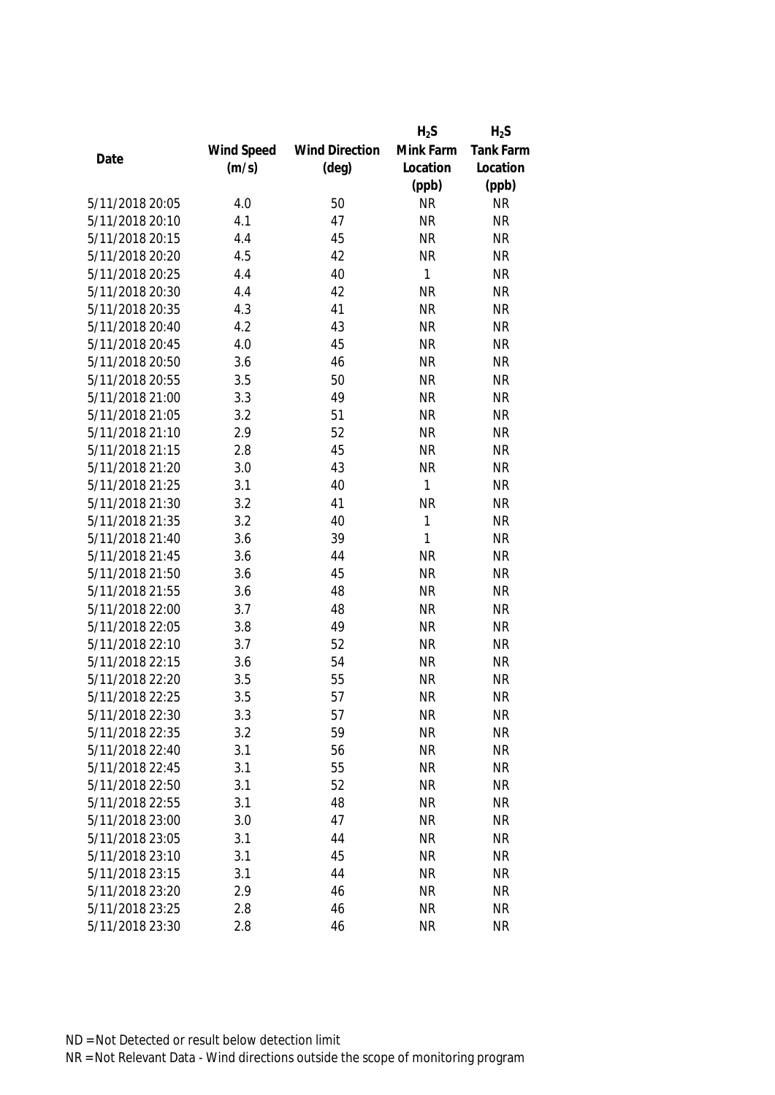|                 |            |                       | $H_2S$    | $H_2S$           |
|-----------------|------------|-----------------------|-----------|------------------|
|                 | Wind Speed | <b>Wind Direction</b> | Mink Farm | <b>Tank Farm</b> |
| Date            | (m/s)      | $(\text{deg})$        | Location  | Location         |
|                 |            |                       | (ppb)     | (ppb)            |
| 5/11/2018 20:05 | 4.0        | 50                    | <b>NR</b> | <b>NR</b>        |
| 5/11/2018 20:10 | 4.1        | 47                    | <b>NR</b> | <b>NR</b>        |
| 5/11/2018 20:15 | 4.4        | 45                    | <b>NR</b> | <b>NR</b>        |
| 5/11/2018 20:20 | 4.5        | 42                    | <b>NR</b> | <b>NR</b>        |
| 5/11/2018 20:25 | 4.4        | 40                    | 1         | <b>NR</b>        |
| 5/11/2018 20:30 | 4.4        | 42                    | <b>NR</b> | <b>NR</b>        |
| 5/11/2018 20:35 | 4.3        | 41                    | <b>NR</b> | <b>NR</b>        |
| 5/11/2018 20:40 | 4.2        | 43                    | <b>NR</b> | <b>NR</b>        |
| 5/11/2018 20:45 | 4.0        | 45                    | <b>NR</b> | <b>NR</b>        |
| 5/11/2018 20:50 | 3.6        | 46                    | <b>NR</b> | <b>NR</b>        |
| 5/11/2018 20:55 | 3.5        | 50                    | <b>NR</b> | <b>NR</b>        |
| 5/11/2018 21:00 | 3.3        | 49                    | <b>NR</b> | <b>NR</b>        |
| 5/11/2018 21:05 | 3.2        | 51                    | <b>NR</b> | <b>NR</b>        |
| 5/11/2018 21:10 | 2.9        | 52                    | <b>NR</b> | <b>NR</b>        |
| 5/11/2018 21:15 | 2.8        | 45                    | <b>NR</b> | <b>NR</b>        |
| 5/11/2018 21:20 | 3.0        | 43                    | <b>NR</b> | <b>NR</b>        |
| 5/11/2018 21:25 | 3.1        | 40                    | 1         | <b>NR</b>        |
| 5/11/2018 21:30 | 3.2        | 41                    | <b>NR</b> | <b>NR</b>        |
| 5/11/2018 21:35 | 3.2        | 40                    | 1         | <b>NR</b>        |
| 5/11/2018 21:40 | 3.6        | 39                    | 1         | <b>NR</b>        |
| 5/11/2018 21:45 | 3.6        | 44                    | <b>NR</b> | <b>NR</b>        |
| 5/11/2018 21:50 | 3.6        | 45                    | <b>NR</b> | <b>NR</b>        |
| 5/11/2018 21:55 | 3.6        | 48                    | <b>NR</b> | <b>NR</b>        |
| 5/11/2018 22:00 | 3.7        | 48                    | <b>NR</b> | <b>NR</b>        |
| 5/11/2018 22:05 | 3.8        | 49                    | <b>NR</b> | <b>NR</b>        |
| 5/11/2018 22:10 | 3.7        | 52                    | <b>NR</b> | <b>NR</b>        |
| 5/11/2018 22:15 | 3.6        | 54                    | <b>NR</b> | <b>NR</b>        |
| 5/11/2018 22:20 | 3.5        | 55                    | <b>NR</b> | <b>NR</b>        |
| 5/11/2018 22:25 | 3.5        | 57                    | <b>NR</b> | <b>NR</b>        |
| 5/11/2018 22:30 | 3.3        | 57                    | <b>NR</b> | <b>NR</b>        |
| 5/11/2018 22:35 | 3.2        | 59                    | <b>NR</b> | <b>NR</b>        |
| 5/11/2018 22:40 | 3.1        | 56                    | <b>NR</b> | <b>NR</b>        |
| 5/11/2018 22:45 | 3.1        | 55                    | <b>NR</b> | <b>NR</b>        |
| 5/11/2018 22:50 | 3.1        | 52                    | <b>NR</b> | NR               |
| 5/11/2018 22:55 | 3.1        | 48                    | <b>NR</b> | <b>NR</b>        |
| 5/11/2018 23:00 | 3.0        | 47                    | <b>NR</b> | <b>NR</b>        |
| 5/11/2018 23:05 | 3.1        | 44                    | <b>NR</b> | <b>NR</b>        |
| 5/11/2018 23:10 | 3.1        | 45                    | <b>NR</b> | <b>NR</b>        |
| 5/11/2018 23:15 | 3.1        | 44                    | <b>NR</b> | <b>NR</b>        |
| 5/11/2018 23:20 | 2.9        | 46                    | <b>NR</b> | <b>NR</b>        |
| 5/11/2018 23:25 | 2.8        | 46                    | <b>NR</b> | <b>NR</b>        |
|                 |            |                       |           |                  |
| 5/11/2018 23:30 | 2.8        | 46                    | <b>NR</b> | <b>NR</b>        |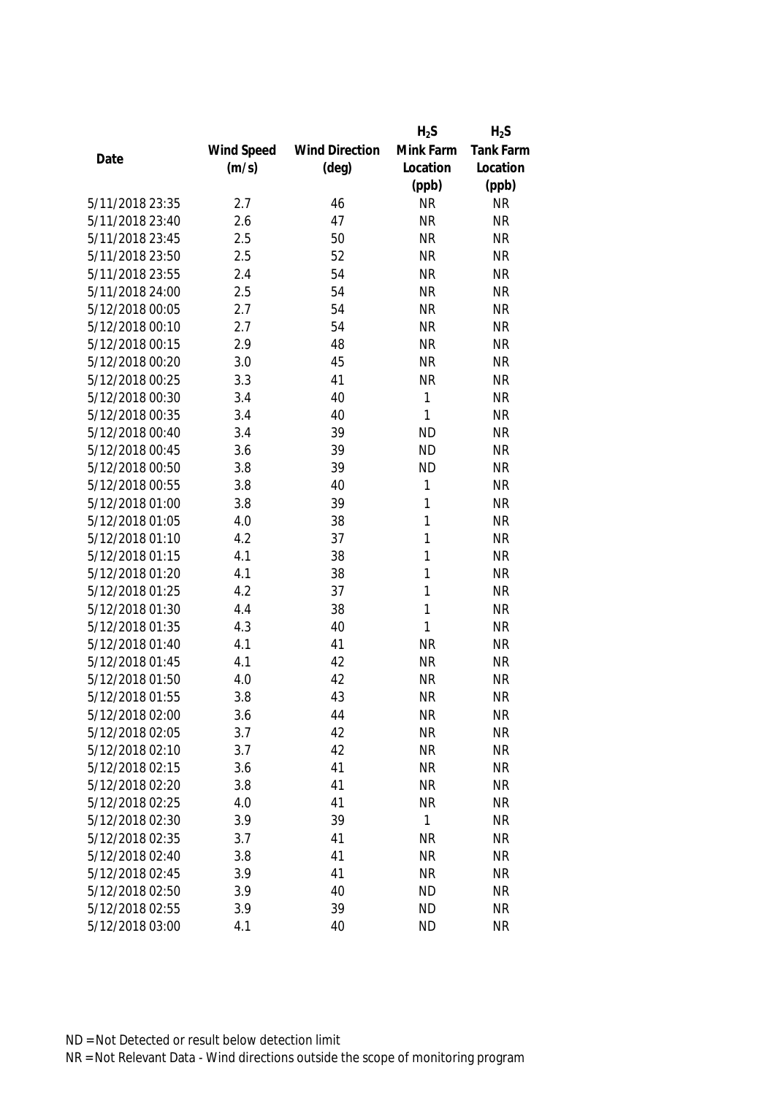|                 |            |                       | $H_2S$       | $H_2S$           |
|-----------------|------------|-----------------------|--------------|------------------|
|                 | Wind Speed | <b>Wind Direction</b> | Mink Farm    | <b>Tank Farm</b> |
| Date            | (m/s)      | $(\text{deg})$        | Location     | Location         |
|                 |            |                       | (ppb)        | (ppb)            |
| 5/11/2018 23:35 | 2.7        | 46                    | <b>NR</b>    | <b>NR</b>        |
| 5/11/2018 23:40 | 2.6        | 47                    | <b>NR</b>    | <b>NR</b>        |
| 5/11/2018 23:45 | 2.5        | 50                    | <b>NR</b>    | <b>NR</b>        |
| 5/11/2018 23:50 | 2.5        | 52                    | <b>NR</b>    | <b>NR</b>        |
| 5/11/2018 23:55 | 2.4        | 54                    | <b>NR</b>    | <b>NR</b>        |
| 5/11/2018 24:00 | 2.5        | 54                    | <b>NR</b>    | <b>NR</b>        |
| 5/12/2018 00:05 | 2.7        | 54                    | <b>NR</b>    | <b>NR</b>        |
| 5/12/2018 00:10 | 2.7        | 54                    | <b>NR</b>    | <b>NR</b>        |
| 5/12/2018 00:15 | 2.9        | 48                    | <b>NR</b>    | <b>NR</b>        |
| 5/12/2018 00:20 | 3.0        | 45                    | <b>NR</b>    | <b>NR</b>        |
| 5/12/2018 00:25 | 3.3        | 41                    | <b>NR</b>    | <b>NR</b>        |
| 5/12/2018 00:30 | 3.4        | 40                    | 1            | <b>NR</b>        |
| 5/12/2018 00:35 | 3.4        | 40                    | 1            | <b>NR</b>        |
| 5/12/2018 00:40 | 3.4        | 39                    | <b>ND</b>    | <b>NR</b>        |
| 5/12/2018 00:45 | 3.6        | 39                    | <b>ND</b>    | <b>NR</b>        |
| 5/12/2018 00:50 | 3.8        | 39                    | <b>ND</b>    | <b>NR</b>        |
| 5/12/2018 00:55 | 3.8        | 40                    | 1            | <b>NR</b>        |
| 5/12/2018 01:00 | 3.8        | 39                    | 1            | <b>NR</b>        |
| 5/12/2018 01:05 | 4.0        | 38                    | 1            | <b>NR</b>        |
| 5/12/2018 01:10 | 4.2        | 37                    | 1            | <b>NR</b>        |
| 5/12/2018 01:15 | 4.1        | 38                    | 1            | <b>NR</b>        |
| 5/12/2018 01:20 | 4.1        | 38                    | 1            | <b>NR</b>        |
| 5/12/2018 01:25 | 4.2        | 37                    | 1            | <b>NR</b>        |
| 5/12/2018 01:30 | 4.4        | 38                    | $\mathbf{1}$ | <b>NR</b>        |
| 5/12/2018 01:35 | 4.3        | 40                    | 1            | <b>NR</b>        |
| 5/12/2018 01:40 | 4.1        | 41                    | <b>NR</b>    | <b>NR</b>        |
| 5/12/2018 01:45 | 4.1        | 42                    | <b>NR</b>    | <b>NR</b>        |
| 5/12/2018 01:50 | 4.0        | 42                    | <b>NR</b>    | <b>NR</b>        |
| 5/12/2018 01:55 | 3.8        | 43                    | <b>NR</b>    | <b>NR</b>        |
| 5/12/2018 02:00 | 3.6        | 44                    | <b>NR</b>    | <b>NR</b>        |
| 5/12/2018 02:05 | 3.7        | 42                    | <b>NR</b>    | <b>NR</b>        |
| 5/12/2018 02:10 | 3.7        | 42                    | <b>NR</b>    | <b>NR</b>        |
| 5/12/2018 02:15 | 3.6        | 41                    | <b>NR</b>    | <b>NR</b>        |
| 5/12/2018 02:20 | 3.8        | 41                    | <b>NR</b>    | <b>NR</b>        |
| 5/12/2018 02:25 | 4.0        | 41                    | <b>NR</b>    | <b>NR</b>        |
| 5/12/2018 02:30 | 3.9        | 39                    | 1            | <b>NR</b>        |
| 5/12/2018 02:35 |            |                       |              |                  |
| 5/12/2018 02:40 | 3.7        | 41                    | <b>NR</b>    | <b>NR</b>        |
| 5/12/2018 02:45 | 3.8        | 41                    | <b>NR</b>    | <b>NR</b>        |
|                 | 3.9        | 41                    | <b>NR</b>    | <b>NR</b>        |
| 5/12/2018 02:50 | 3.9        | 40                    | <b>ND</b>    | <b>NR</b>        |
| 5/12/2018 02:55 | 3.9        | 39                    | <b>ND</b>    | <b>NR</b>        |
| 5/12/2018 03:00 | 4.1        | 40                    | <b>ND</b>    | <b>NR</b>        |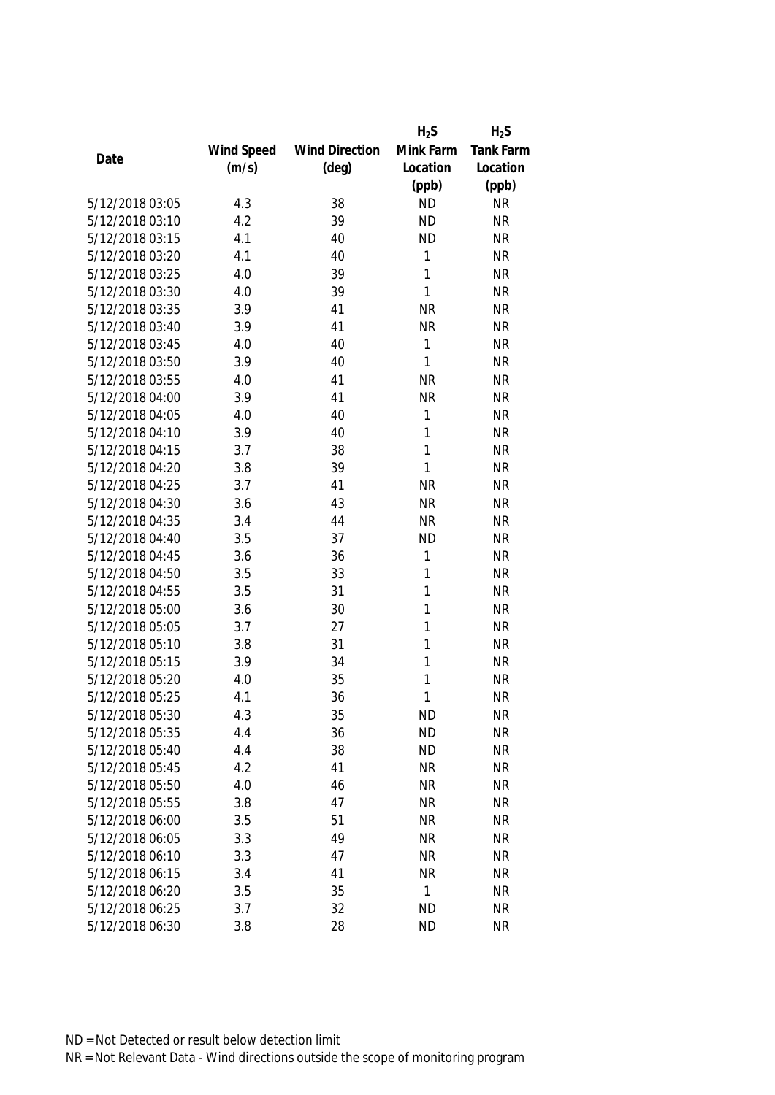|                 |            |                       | $H_2S$       | $H_2S$    |
|-----------------|------------|-----------------------|--------------|-----------|
|                 | Wind Speed | <b>Wind Direction</b> | Mink Farm    | Tank Farm |
| Date            | (m/s)      | $(\text{deg})$        | Location     | Location  |
|                 |            |                       | (ppb)        | (ppb)     |
| 5/12/2018 03:05 | 4.3        | 38                    | <b>ND</b>    | <b>NR</b> |
| 5/12/2018 03:10 | 4.2        | 39                    | <b>ND</b>    | <b>NR</b> |
| 5/12/2018 03:15 | 4.1        | 40                    | <b>ND</b>    | <b>NR</b> |
| 5/12/2018 03:20 | 4.1        | 40                    | 1            | <b>NR</b> |
| 5/12/2018 03:25 | 4.0        | 39                    | 1            | <b>NR</b> |
| 5/12/2018 03:30 | 4.0        | 39                    | 1            | <b>NR</b> |
| 5/12/2018 03:35 | 3.9        | 41                    | <b>NR</b>    | <b>NR</b> |
| 5/12/2018 03:40 | 3.9        | 41                    | <b>NR</b>    | <b>NR</b> |
| 5/12/2018 03:45 | 4.0        | 40                    | 1            | <b>NR</b> |
| 5/12/2018 03:50 | 3.9        | 40                    | 1            | <b>NR</b> |
| 5/12/2018 03:55 | 4.0        | 41                    | <b>NR</b>    | <b>NR</b> |
| 5/12/2018 04:00 | 3.9        | 41                    | <b>NR</b>    | <b>NR</b> |
| 5/12/2018 04:05 | 4.0        | 40                    | 1            | <b>NR</b> |
| 5/12/2018 04:10 | 3.9        | 40                    | 1            | <b>NR</b> |
| 5/12/2018 04:15 | 3.7        | 38                    | 1            | <b>NR</b> |
| 5/12/2018 04:20 | 3.8        | 39                    | 1            | <b>NR</b> |
| 5/12/2018 04:25 | 3.7        | 41                    | <b>NR</b>    | <b>NR</b> |
| 5/12/2018 04:30 | 3.6        | 43                    | <b>NR</b>    | <b>NR</b> |
| 5/12/2018 04:35 | 3.4        | 44                    | <b>NR</b>    | <b>NR</b> |
| 5/12/2018 04:40 | 3.5        | 37                    | <b>ND</b>    | <b>NR</b> |
| 5/12/2018 04:45 | 3.6        | 36                    | 1            | <b>NR</b> |
| 5/12/2018 04:50 | 3.5        | 33                    | 1            | <b>NR</b> |
| 5/12/2018 04:55 | 3.5        | 31                    | 1            | <b>NR</b> |
| 5/12/2018 05:00 | 3.6        | 30                    | 1            | <b>NR</b> |
| 5/12/2018 05:05 | 3.7        | 27                    | 1            | <b>NR</b> |
| 5/12/2018 05:10 | 3.8        | 31                    | 1            | <b>NR</b> |
| 5/12/2018 05:15 | 3.9        | 34                    | 1            | <b>NR</b> |
| 5/12/2018 05:20 | 4.0        | 35                    | 1            | <b>NR</b> |
| 5/12/2018 05:25 | 4.1        | 36                    | 1            | <b>NR</b> |
| 5/12/2018 05:30 | 4.3        | 35                    | <b>ND</b>    | <b>NR</b> |
| 5/12/2018 05:35 | 4.4        | 36                    | <b>ND</b>    | <b>NR</b> |
| 5/12/2018 05:40 | 4.4        | 38                    | <b>ND</b>    | <b>NR</b> |
| 5/12/2018 05:45 | 4.2        | 41                    | <b>NR</b>    | <b>NR</b> |
| 5/12/2018 05:50 | 4.0        | 46                    | <b>NR</b>    | <b>NR</b> |
| 5/12/2018 05:55 | 3.8        | 47                    | <b>NR</b>    | <b>NR</b> |
| 5/12/2018 06:00 | 3.5        | 51                    | <b>NR</b>    | <b>NR</b> |
| 5/12/2018 06:05 | 3.3        | 49                    | <b>NR</b>    | <b>NR</b> |
| 5/12/2018 06:10 | 3.3        | 47                    | <b>NR</b>    | <b>NR</b> |
| 5/12/2018 06:15 | 3.4        | 41                    | <b>NR</b>    | <b>NR</b> |
| 5/12/2018 06:20 | 3.5        | 35                    | $\mathbf{1}$ | <b>NR</b> |
| 5/12/2018 06:25 | 3.7        | 32                    | <b>ND</b>    | <b>NR</b> |
| 5/12/2018 06:30 | 3.8        | 28                    | <b>ND</b>    | <b>NR</b> |
|                 |            |                       |              |           |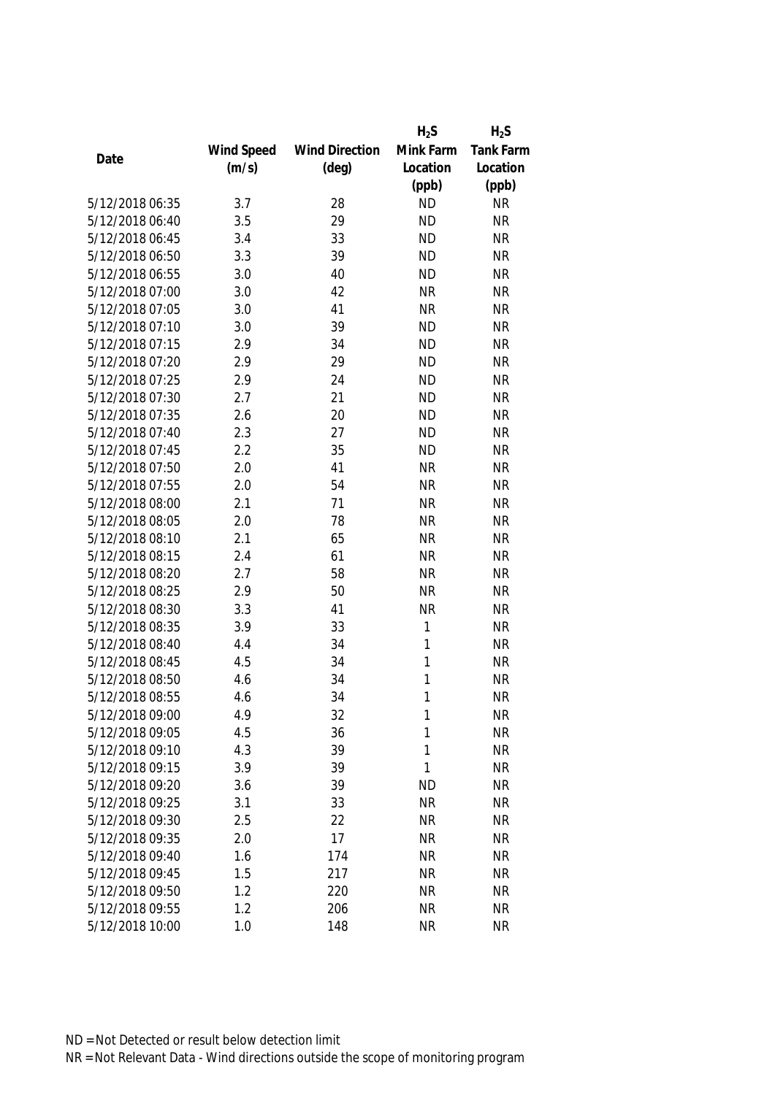|                 |            |                       | $H_2S$    | $H_2S$    |
|-----------------|------------|-----------------------|-----------|-----------|
|                 | Wind Speed | <b>Wind Direction</b> | Mink Farm | Tank Farm |
| Date            | (m/s)      | $(\text{deg})$        | Location  | Location  |
|                 |            |                       | (ppb)     | (ppb)     |
| 5/12/2018 06:35 | 3.7        | 28                    | <b>ND</b> | <b>NR</b> |
| 5/12/2018 06:40 | 3.5        | 29                    | <b>ND</b> | <b>NR</b> |
| 5/12/2018 06:45 | 3.4        | 33                    | <b>ND</b> | <b>NR</b> |
| 5/12/2018 06:50 | 3.3        | 39                    | <b>ND</b> | <b>NR</b> |
| 5/12/2018 06:55 | 3.0        | 40                    | <b>ND</b> | <b>NR</b> |
| 5/12/2018 07:00 | 3.0        | 42                    | <b>NR</b> | <b>NR</b> |
| 5/12/2018 07:05 | 3.0        | 41                    | <b>NR</b> | <b>NR</b> |
| 5/12/2018 07:10 | 3.0        | 39                    | <b>ND</b> | <b>NR</b> |
| 5/12/2018 07:15 | 2.9        | 34                    | <b>ND</b> | <b>NR</b> |
| 5/12/2018 07:20 | 2.9        | 29                    | <b>ND</b> | <b>NR</b> |
| 5/12/2018 07:25 | 2.9        | 24                    | <b>ND</b> | <b>NR</b> |
| 5/12/2018 07:30 | 2.7        | 21                    | <b>ND</b> | <b>NR</b> |
| 5/12/2018 07:35 | 2.6        | 20                    | <b>ND</b> | <b>NR</b> |
| 5/12/2018 07:40 | 2.3        | 27                    | <b>ND</b> | <b>NR</b> |
| 5/12/2018 07:45 | 2.2        | 35                    | <b>ND</b> | <b>NR</b> |
| 5/12/2018 07:50 | 2.0        | 41                    | <b>NR</b> | <b>NR</b> |
| 5/12/2018 07:55 | 2.0        | 54                    | <b>NR</b> | <b>NR</b> |
| 5/12/2018 08:00 | 2.1        | 71                    | <b>NR</b> | <b>NR</b> |
| 5/12/2018 08:05 | 2.0        | 78                    | <b>NR</b> | <b>NR</b> |
| 5/12/2018 08:10 | 2.1        | 65                    | <b>NR</b> | <b>NR</b> |
| 5/12/2018 08:15 | 2.4        | 61                    | <b>NR</b> | <b>NR</b> |
| 5/12/2018 08:20 | 2.7        | 58                    | <b>NR</b> | <b>NR</b> |
| 5/12/2018 08:25 | 2.9        | 50                    | <b>NR</b> | <b>NR</b> |
| 5/12/2018 08:30 | 3.3        | 41                    | <b>NR</b> | <b>NR</b> |
| 5/12/2018 08:35 | 3.9        | 33                    | 1         | <b>NR</b> |
| 5/12/2018 08:40 | 4.4        | 34                    | 1         | <b>NR</b> |
| 5/12/2018 08:45 | 4.5        | 34                    | 1         | <b>NR</b> |
| 5/12/2018 08:50 | 4.6        | 34                    | 1         | <b>NR</b> |
| 5/12/2018 08:55 | 4.6        | 34                    | 1         | <b>NR</b> |
| 5/12/2018 09:00 | 4.9        | 32                    | 1         | <b>NR</b> |
| 5/12/2018 09:05 | 4.5        | 36                    | 1         | <b>NR</b> |
| 5/12/2018 09:10 | 4.3        | 39                    | 1         | <b>NR</b> |
| 5/12/2018 09:15 | 3.9        | 39                    | 1         | <b>NR</b> |
| 5/12/2018 09:20 | 3.6        | 39                    | <b>ND</b> | <b>NR</b> |
| 5/12/2018 09:25 | 3.1        | 33                    | <b>NR</b> | <b>NR</b> |
| 5/12/2018 09:30 | 2.5        | 22                    | <b>NR</b> | <b>NR</b> |
| 5/12/2018 09:35 | 2.0        | 17                    | <b>NR</b> | <b>NR</b> |
| 5/12/2018 09:40 | 1.6        | 174                   | <b>NR</b> | <b>NR</b> |
| 5/12/2018 09:45 | 1.5        | 217                   | <b>NR</b> | <b>NR</b> |
| 5/12/2018 09:50 | 1.2        | 220                   | <b>NR</b> | <b>NR</b> |
| 5/12/2018 09:55 | 1.2        | 206                   | <b>NR</b> | <b>NR</b> |
| 5/12/2018 10:00 | 1.0        | 148                   | <b>NR</b> | <b>NR</b> |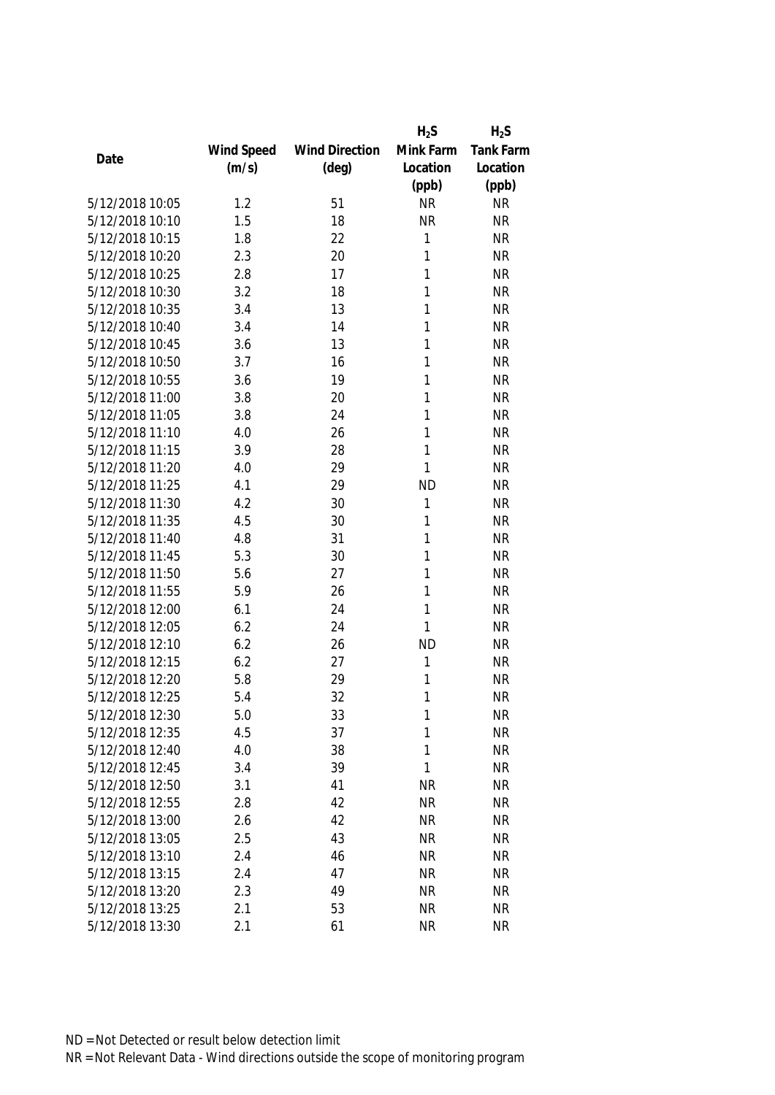|                 |            |                       | $H_2S$    | $H_2S$    |
|-----------------|------------|-----------------------|-----------|-----------|
|                 | Wind Speed | <b>Wind Direction</b> | Mink Farm | Tank Farm |
| Date            | (m/s)      | $(\text{deg})$        | Location  | Location  |
|                 |            |                       | (ppb)     | (ppb)     |
| 5/12/2018 10:05 | 1.2        | 51                    | <b>NR</b> | <b>NR</b> |
| 5/12/2018 10:10 | 1.5        | 18                    | <b>NR</b> | <b>NR</b> |
| 5/12/2018 10:15 | 1.8        | 22                    | 1         | <b>NR</b> |
| 5/12/2018 10:20 | 2.3        | 20                    | 1         | <b>NR</b> |
| 5/12/2018 10:25 | 2.8        | 17                    | 1         | <b>NR</b> |
| 5/12/2018 10:30 | 3.2        | 18                    | 1         | <b>NR</b> |
| 5/12/2018 10:35 | 3.4        | 13                    | 1         | <b>NR</b> |
| 5/12/2018 10:40 | 3.4        | 14                    | 1         | <b>NR</b> |
| 5/12/2018 10:45 | 3.6        | 13                    | 1         | <b>NR</b> |
| 5/12/2018 10:50 | 3.7        | 16                    | 1         | <b>NR</b> |
| 5/12/2018 10:55 | 3.6        | 19                    | 1         | <b>NR</b> |
| 5/12/2018 11:00 | 3.8        | 20                    | 1         | <b>NR</b> |
| 5/12/2018 11:05 | 3.8        | 24                    | 1         | <b>NR</b> |
| 5/12/2018 11:10 | 4.0        | 26                    | 1         | <b>NR</b> |
| 5/12/2018 11:15 | 3.9        | 28                    | 1         | <b>NR</b> |
| 5/12/2018 11:20 | 4.0        | 29                    | 1         | <b>NR</b> |
| 5/12/2018 11:25 | 4.1        | 29                    | <b>ND</b> | <b>NR</b> |
| 5/12/2018 11:30 | 4.2        | 30                    | 1         | <b>NR</b> |
| 5/12/2018 11:35 | 4.5        | 30                    | 1         | <b>NR</b> |
| 5/12/2018 11:40 | 4.8        | 31                    | 1         | <b>NR</b> |
| 5/12/2018 11:45 | 5.3        | 30                    | 1         | <b>NR</b> |
| 5/12/2018 11:50 | 5.6        | 27                    | 1         | <b>NR</b> |
| 5/12/2018 11:55 | 5.9        | 26                    | 1         | <b>NR</b> |
| 5/12/2018 12:00 | 6.1        | 24                    | 1         | <b>NR</b> |
| 5/12/2018 12:05 | 6.2        | 24                    | 1         | <b>NR</b> |
| 5/12/2018 12:10 | 6.2        | 26                    | <b>ND</b> | <b>NR</b> |
| 5/12/2018 12:15 | 6.2        | 27                    | 1         | <b>NR</b> |
| 5/12/2018 12:20 | 5.8        | 29                    | 1         | <b>NR</b> |
| 5/12/2018 12:25 | 5.4        | 32                    | 1         | <b>NR</b> |
| 5/12/2018 12:30 | 5.0        | 33                    | 1         | <b>NR</b> |
| 5/12/2018 12:35 | 4.5        | 37                    | 1         | <b>NR</b> |
| 5/12/2018 12:40 | 4.0        | 38                    | 1         | <b>NR</b> |
| 5/12/2018 12:45 | 3.4        | 39                    | 1         | <b>NR</b> |
| 5/12/2018 12:50 | 3.1        | 41                    | <b>NR</b> | <b>NR</b> |
| 5/12/2018 12:55 | 2.8        | 42                    | <b>NR</b> | <b>NR</b> |
| 5/12/2018 13:00 | 2.6        | 42                    | <b>NR</b> | <b>NR</b> |
| 5/12/2018 13:05 | 2.5        | 43                    | <b>NR</b> | <b>NR</b> |
| 5/12/2018 13:10 | 2.4        | 46                    | <b>NR</b> | <b>NR</b> |
| 5/12/2018 13:15 | 2.4        | 47                    | <b>NR</b> | <b>NR</b> |
| 5/12/2018 13:20 | 2.3        | 49                    | <b>NR</b> | <b>NR</b> |
| 5/12/2018 13:25 | 2.1        | 53                    | <b>NR</b> | NR        |
| 5/12/2018 13:30 | 2.1        | 61                    | <b>NR</b> | <b>NR</b> |
|                 |            |                       |           |           |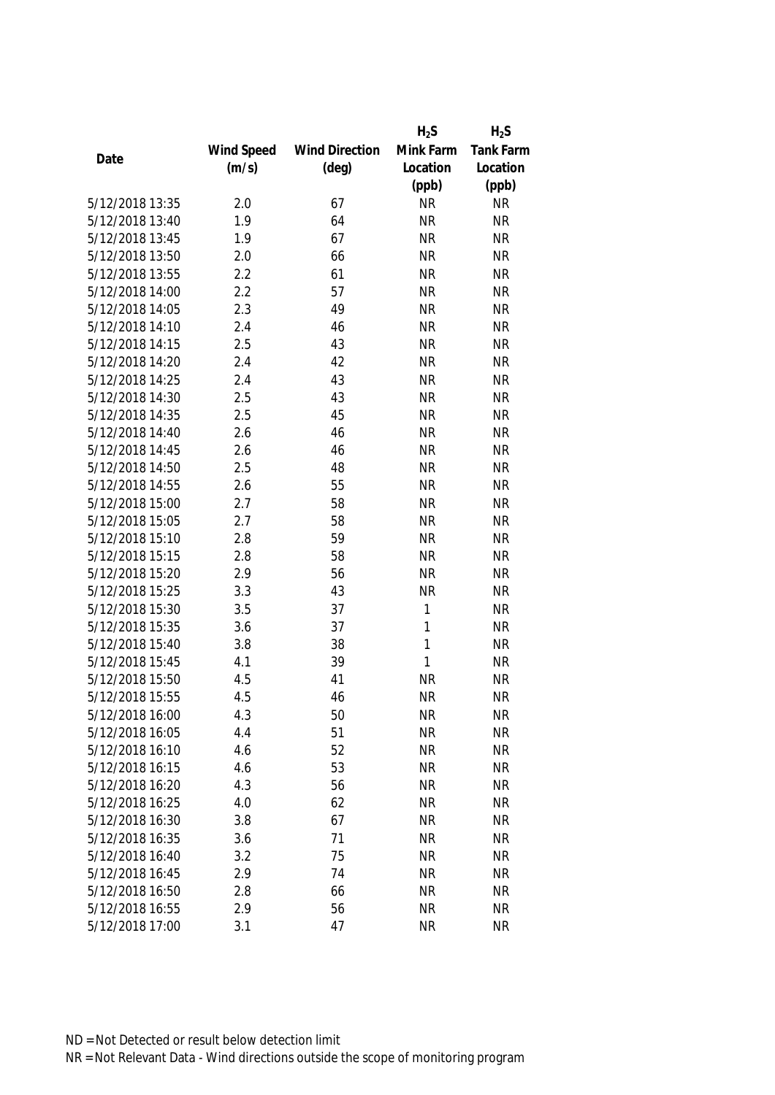|                 |            |                       | $H_2S$    | $H_2S$    |
|-----------------|------------|-----------------------|-----------|-----------|
|                 | Wind Speed | <b>Wind Direction</b> | Mink Farm | Tank Farm |
| Date            | (m/s)      | $(\text{deg})$        | Location  | Location  |
|                 |            |                       | (ppb)     | (ppb)     |
| 5/12/2018 13:35 | 2.0        | 67                    | <b>NR</b> | <b>NR</b> |
| 5/12/2018 13:40 | 1.9        | 64                    | <b>NR</b> | <b>NR</b> |
| 5/12/2018 13:45 | 1.9        | 67                    | <b>NR</b> | <b>NR</b> |
| 5/12/2018 13:50 | 2.0        | 66                    | <b>NR</b> | <b>NR</b> |
| 5/12/2018 13:55 | 2.2        | 61                    | <b>NR</b> | <b>NR</b> |
| 5/12/2018 14:00 | 2.2        | 57                    | <b>NR</b> | <b>NR</b> |
| 5/12/2018 14:05 | 2.3        | 49                    | <b>NR</b> | <b>NR</b> |
| 5/12/2018 14:10 | 2.4        | 46                    | <b>NR</b> | <b>NR</b> |
| 5/12/2018 14:15 | 2.5        | 43                    | <b>NR</b> | <b>NR</b> |
| 5/12/2018 14:20 | 2.4        | 42                    | <b>NR</b> | <b>NR</b> |
| 5/12/2018 14:25 | 2.4        | 43                    | <b>NR</b> | <b>NR</b> |
| 5/12/2018 14:30 | 2.5        | 43                    | <b>NR</b> | <b>NR</b> |
| 5/12/2018 14:35 | 2.5        | 45                    | <b>NR</b> | <b>NR</b> |
| 5/12/2018 14:40 | 2.6        | 46                    | <b>NR</b> | <b>NR</b> |
| 5/12/2018 14:45 | 2.6        | 46                    | <b>NR</b> | <b>NR</b> |
| 5/12/2018 14:50 | 2.5        | 48                    | <b>NR</b> | <b>NR</b> |
| 5/12/2018 14:55 | 2.6        | 55                    | <b>NR</b> | <b>NR</b> |
| 5/12/2018 15:00 | 2.7        | 58                    | <b>NR</b> | <b>NR</b> |
| 5/12/2018 15:05 | 2.7        | 58                    | <b>NR</b> | <b>NR</b> |
| 5/12/2018 15:10 | 2.8        | 59                    | <b>NR</b> | <b>NR</b> |
| 5/12/2018 15:15 | 2.8        | 58                    | <b>NR</b> | <b>NR</b> |
| 5/12/2018 15:20 | 2.9        | 56                    | <b>NR</b> | <b>NR</b> |
| 5/12/2018 15:25 | 3.3        | 43                    | <b>NR</b> | <b>NR</b> |
| 5/12/2018 15:30 | 3.5        | 37                    | 1         | <b>NR</b> |
| 5/12/2018 15:35 | 3.6        | 37                    | 1         | <b>NR</b> |
| 5/12/2018 15:40 | 3.8        | 38                    | 1         | <b>NR</b> |
| 5/12/2018 15:45 | 4.1        | 39                    | 1         | <b>NR</b> |
| 5/12/2018 15:50 | 4.5        | 41                    | <b>NR</b> | <b>NR</b> |
| 5/12/2018 15:55 | 4.5        | 46                    | <b>NR</b> | <b>NR</b> |
| 5/12/2018 16:00 | 4.3        | 50                    | <b>NR</b> | <b>NR</b> |
| 5/12/2018 16:05 | 4.4        | 51                    | <b>NR</b> | <b>NR</b> |
| 5/12/2018 16:10 | 4.6        | 52                    | <b>NR</b> | <b>NR</b> |
| 5/12/2018 16:15 | 4.6        | 53                    | <b>NR</b> | <b>NR</b> |
| 5/12/2018 16:20 | 4.3        | 56                    | <b>NR</b> | <b>NR</b> |
| 5/12/2018 16:25 | 4.0        | 62                    | <b>NR</b> | <b>NR</b> |
| 5/12/2018 16:30 | 3.8        | 67                    | <b>NR</b> | <b>NR</b> |
| 5/12/2018 16:35 | 3.6        | 71                    | <b>NR</b> | <b>NR</b> |
| 5/12/2018 16:40 | 3.2        | 75                    | <b>NR</b> | <b>NR</b> |
| 5/12/2018 16:45 | 2.9        | 74                    | <b>NR</b> | <b>NR</b> |
| 5/12/2018 16:50 | 2.8        | 66                    | <b>NR</b> | <b>NR</b> |
| 5/12/2018 16:55 | 2.9        | 56                    | <b>NR</b> | NR        |
| 5/12/2018 17:00 | 3.1        | 47                    | <b>NR</b> | <b>NR</b> |
|                 |            |                       |           |           |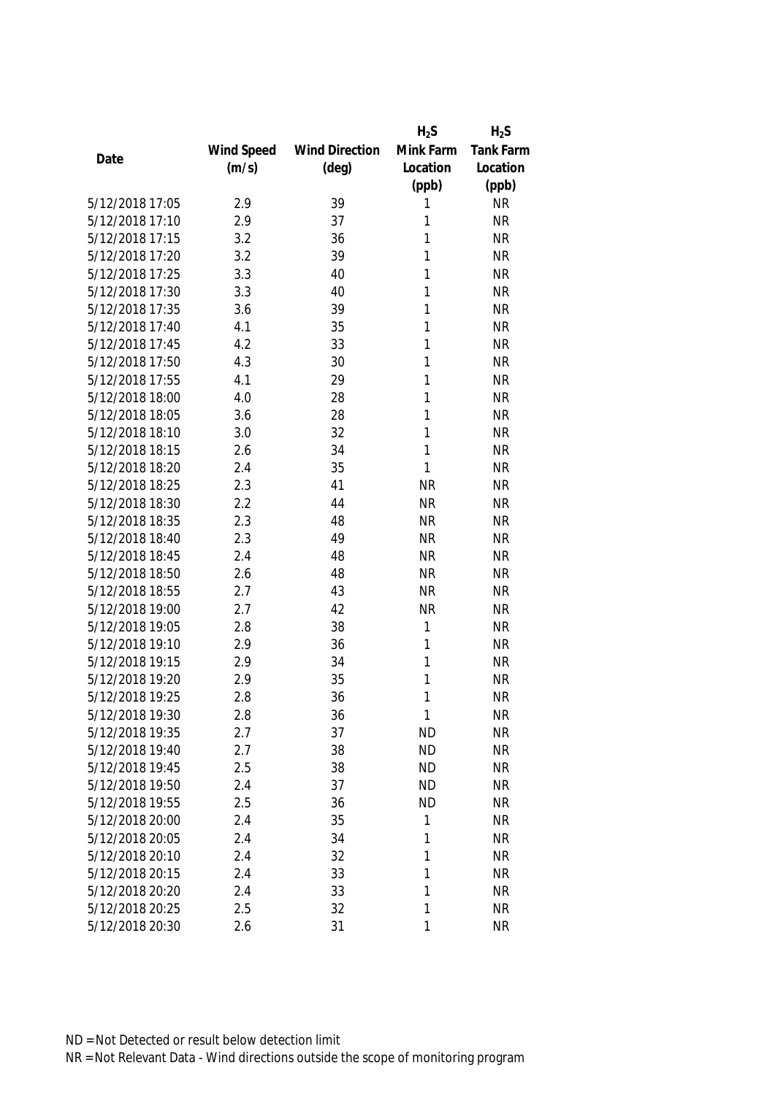|                 |            |                       | $H_2S$    | $H_2S$           |
|-----------------|------------|-----------------------|-----------|------------------|
|                 | Wind Speed | <b>Wind Direction</b> | Mink Farm | <b>Tank Farm</b> |
| Date            | (m/s)      | $(\text{deg})$        | Location  | Location         |
|                 |            |                       | (ppb)     | (ppb)            |
| 5/12/2018 17:05 | 2.9        | 39                    | 1         | <b>NR</b>        |
| 5/12/2018 17:10 | 2.9        | 37                    | 1         | <b>NR</b>        |
| 5/12/2018 17:15 | 3.2        | 36                    | 1         | <b>NR</b>        |
| 5/12/2018 17:20 | 3.2        | 39                    | 1         | <b>NR</b>        |
| 5/12/2018 17:25 | 3.3        | 40                    | 1         | <b>NR</b>        |
| 5/12/2018 17:30 | 3.3        | 40                    | 1         | <b>NR</b>        |
| 5/12/2018 17:35 | 3.6        | 39                    | 1         | <b>NR</b>        |
| 5/12/2018 17:40 | 4.1        | 35                    | 1         | <b>NR</b>        |
| 5/12/2018 17:45 | 4.2        | 33                    | 1         | <b>NR</b>        |
| 5/12/2018 17:50 | 4.3        | 30                    | 1         | <b>NR</b>        |
| 5/12/2018 17:55 | 4.1        | 29                    | 1         | <b>NR</b>        |
| 5/12/2018 18:00 | 4.0        | 28                    | 1         | <b>NR</b>        |
| 5/12/2018 18:05 | 3.6        | 28                    | 1         | <b>NR</b>        |
| 5/12/2018 18:10 | 3.0        | 32                    | 1         | <b>NR</b>        |
| 5/12/2018 18:15 | 2.6        | 34                    | 1         | <b>NR</b>        |
| 5/12/2018 18:20 | 2.4        | 35                    | 1         | <b>NR</b>        |
| 5/12/2018 18:25 | 2.3        | 41                    | <b>NR</b> | <b>NR</b>        |
| 5/12/2018 18:30 | 2.2        | 44                    | <b>NR</b> | <b>NR</b>        |
| 5/12/2018 18:35 | 2.3        | 48                    | <b>NR</b> | <b>NR</b>        |
| 5/12/2018 18:40 | 2.3        | 49                    | <b>NR</b> | <b>NR</b>        |
| 5/12/2018 18:45 | 2.4        | 48                    | <b>NR</b> | <b>NR</b>        |
| 5/12/2018 18:50 | 2.6        | 48                    | <b>NR</b> | <b>NR</b>        |
| 5/12/2018 18:55 | 2.7        | 43                    | <b>NR</b> | <b>NR</b>        |
| 5/12/2018 19:00 | 2.7        | 42                    | <b>NR</b> | <b>NR</b>        |
| 5/12/2018 19:05 | 2.8        | 38                    | 1         | <b>NR</b>        |
| 5/12/2018 19:10 | 2.9        | 36                    | 1         | <b>NR</b>        |
| 5/12/2018 19:15 | 2.9        | 34                    | 1         | <b>NR</b>        |
| 5/12/2018 19:20 | 2.9        | 35                    | 1         | <b>NR</b>        |
| 5/12/2018 19:25 | 2.8        | 36                    | 1         | <b>NR</b>        |
| 5/12/2018 19:30 | 2.8        | 36                    | 1         | <b>NR</b>        |
| 5/12/2018 19:35 | 2.7        | 37                    | <b>ND</b> | <b>NR</b>        |
| 5/12/2018 19:40 | 2.7        | 38                    | <b>ND</b> | <b>NR</b>        |
| 5/12/2018 19:45 | 2.5        | 38                    | <b>ND</b> | <b>NR</b>        |
| 5/12/2018 19:50 | 2.4        | 37                    | <b>ND</b> | <b>NR</b>        |
| 5/12/2018 19:55 | 2.5        | 36                    | <b>ND</b> | <b>NR</b>        |
| 5/12/2018 20:00 | 2.4        | 35                    | 1         | <b>NR</b>        |
| 5/12/2018 20:05 | 2.4        | 34                    | 1         | <b>NR</b>        |
| 5/12/2018 20:10 | 2.4        | 32                    | 1         | <b>NR</b>        |
| 5/12/2018 20:15 | 2.4        | 33                    | 1         | <b>NR</b>        |
| 5/12/2018 20:20 | 2.4        | 33                    | 1         | <b>NR</b>        |
| 5/12/2018 20:25 | 2.5        | 32                    | 1         | NR               |
| 5/12/2018 20:30 | 2.6        | 31                    | 1         | <b>NR</b>        |